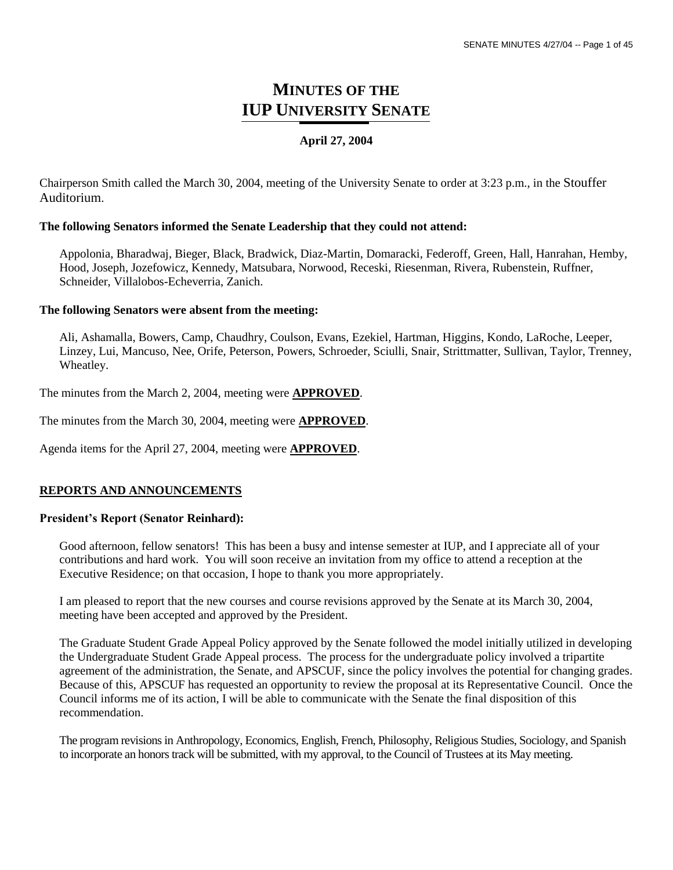## **MINUTES OF THE IUP UNIVERSITY SENATE**

## **April 27, 2004**

Chairperson Smith called the March 30, 2004, meeting of the University Senate to order at 3:23 p.m., in the Stouffer Auditorium.

### **The following Senators informed the Senate Leadership that they could not attend:**

Appolonia, Bharadwaj, Bieger, Black, Bradwick, Diaz-Martin, Domaracki, Federoff, Green, Hall, Hanrahan, Hemby, Hood, Joseph, Jozefowicz, Kennedy, Matsubara, Norwood, Receski, Riesenman, Rivera, Rubenstein, Ruffner, Schneider, Villalobos-Echeverria, Zanich.

### **The following Senators were absent from the meeting:**

Ali, Ashamalla, Bowers, Camp, Chaudhry, Coulson, Evans, Ezekiel, Hartman, Higgins, Kondo, LaRoche, Leeper, Linzey, Lui, Mancuso, Nee, Orife, Peterson, Powers, Schroeder, Sciulli, Snair, Strittmatter, Sullivan, Taylor, Trenney, Wheatley.

The minutes from the March 2, 2004, meeting were **APPROVED**.

The minutes from the March 30, 2004, meeting were **APPROVED**.

Agenda items for the April 27, 2004, meeting were **APPROVED**.

## **REPORTS AND ANNOUNCEMENTS**

#### **President's Report (Senator Reinhard):**

Good afternoon, fellow senators! This has been a busy and intense semester at IUP, and I appreciate all of your contributions and hard work. You will soon receive an invitation from my office to attend a reception at the Executive Residence; on that occasion, I hope to thank you more appropriately.

I am pleased to report that the new courses and course revisions approved by the Senate at its March 30, 2004, meeting have been accepted and approved by the President.

The Graduate Student Grade Appeal Policy approved by the Senate followed the model initially utilized in developing the Undergraduate Student Grade Appeal process. The process for the undergraduate policy involved a tripartite agreement of the administration, the Senate, and APSCUF, since the policy involves the potential for changing grades. Because of this, APSCUF has requested an opportunity to review the proposal at its Representative Council. Once the Council informs me of its action, I will be able to communicate with the Senate the final disposition of this recommendation.

The program revisions in Anthropology, Economics, English, French, Philosophy, Religious Studies, Sociology, and Spanish to incorporate an honors track will be submitted, with my approval, to the Council of Trustees at its May meeting.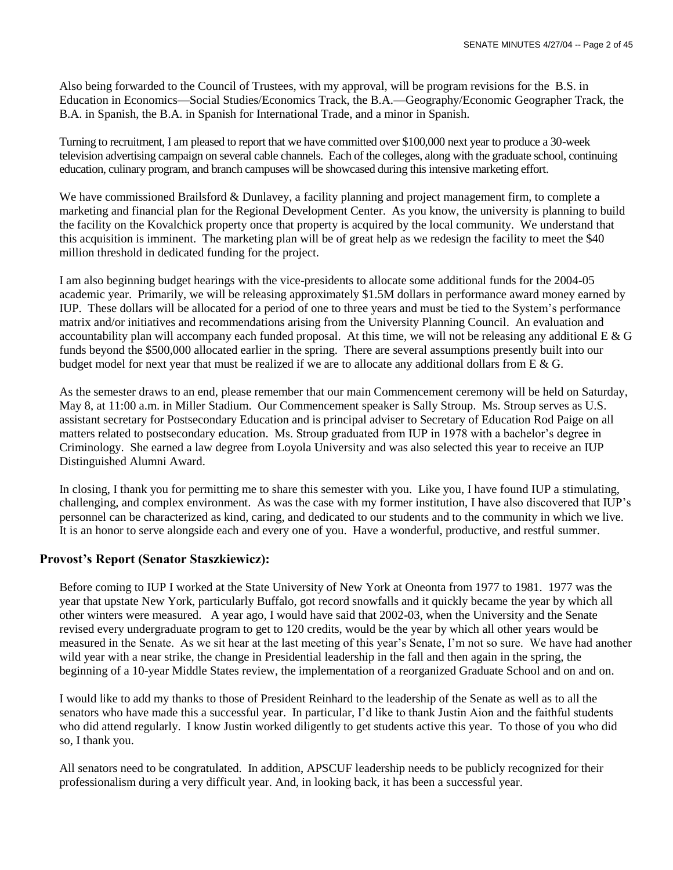Also being forwarded to the Council of Trustees, with my approval, will be program revisions for the B.S. in Education in Economics—Social Studies/Economics Track, the B.A.—Geography/Economic Geographer Track, the B.A. in Spanish, the B.A. in Spanish for International Trade, and a minor in Spanish.

Turning to recruitment, I am pleased to report that we have committed over \$100,000 next year to produce a 30-week television advertising campaign on several cable channels. Each of the colleges, along with the graduate school, continuing education, culinary program, and branch campuses will be showcased during this intensive marketing effort.

We have commissioned Brailsford & Dunlavey, a facility planning and project management firm, to complete a marketing and financial plan for the Regional Development Center. As you know, the university is planning to build the facility on the Kovalchick property once that property is acquired by the local community. We understand that this acquisition is imminent. The marketing plan will be of great help as we redesign the facility to meet the \$40 million threshold in dedicated funding for the project.

I am also beginning budget hearings with the vice-presidents to allocate some additional funds for the 2004-05 academic year. Primarily, we will be releasing approximately \$1.5M dollars in performance award money earned by IUP. These dollars will be allocated for a period of one to three years and must be tied to the System's performance matrix and/or initiatives and recommendations arising from the University Planning Council. An evaluation and accountability plan will accompany each funded proposal. At this time, we will not be releasing any additional  $E \& G$ funds beyond the \$500,000 allocated earlier in the spring. There are several assumptions presently built into our budget model for next year that must be realized if we are to allocate any additional dollars from E & G.

As the semester draws to an end, please remember that our main Commencement ceremony will be held on Saturday, May 8, at 11:00 a.m. in Miller Stadium. Our Commencement speaker is Sally Stroup. Ms. Stroup serves as U.S. assistant secretary for Postsecondary Education and is principal adviser to Secretary of Education Rod Paige on all matters related to postsecondary education. Ms. Stroup graduated from IUP in 1978 with a bachelor's degree in Criminology. She earned a law degree from Loyola University and was also selected this year to receive an IUP Distinguished Alumni Award.

In closing, I thank you for permitting me to share this semester with you. Like you, I have found IUP a stimulating, challenging, and complex environment. As was the case with my former institution, I have also discovered that IUP's personnel can be characterized as kind, caring, and dedicated to our students and to the community in which we live. It is an honor to serve alongside each and every one of you. Have a wonderful, productive, and restful summer.

## **Provost's Report (Senator Staszkiewicz):**

Before coming to IUP I worked at the State University of New York at Oneonta from 1977 to 1981. 1977 was the year that upstate New York, particularly Buffalo, got record snowfalls and it quickly became the year by which all other winters were measured. A year ago, I would have said that 2002-03, when the University and the Senate revised every undergraduate program to get to 120 credits, would be the year by which all other years would be measured in the Senate. As we sit hear at the last meeting of this year's Senate, I'm not so sure. We have had another wild year with a near strike, the change in Presidential leadership in the fall and then again in the spring, the beginning of a 10-year Middle States review, the implementation of a reorganized Graduate School and on and on.

I would like to add my thanks to those of President Reinhard to the leadership of the Senate as well as to all the senators who have made this a successful year. In particular, I'd like to thank Justin Aion and the faithful students who did attend regularly. I know Justin worked diligently to get students active this year. To those of you who did so, I thank you.

All senators need to be congratulated. In addition, APSCUF leadership needs to be publicly recognized for their professionalism during a very difficult year. And, in looking back, it has been a successful year.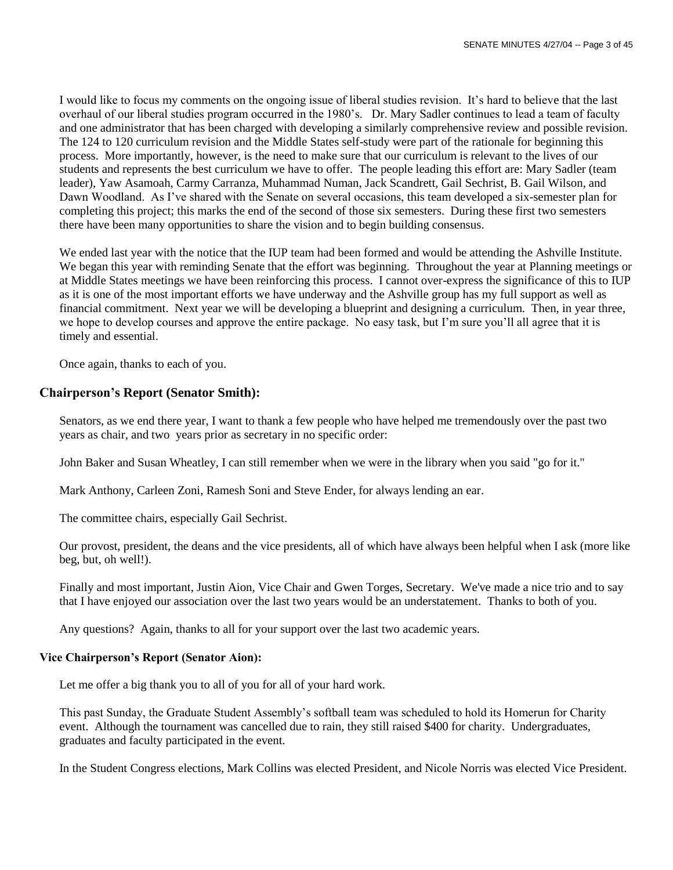I would like to focus my comments on the ongoing issue of liberal studies revision. It's hard to believe that the last overhaul of our liberal studies program occurred in the 1980's. Dr. Mary Sadler continues to lead a team of faculty and one administrator that has been charged with developing a similarly comprehensive review and possible revision. The 124 to 120 curriculum revision and the Middle States self-study were part of the rationale for beginning this process. More importantly, however, is the need to make sure that our curriculum is relevant to the lives of our students and represents the best curriculum we have to offer. The people leading this effort are: Mary Sadler (team leader), Yaw Asamoah, Carmy Carranza, Muhammad Numan, Jack Scandrett, Gail Sechrist, B. Gail Wilson, and Dawn Woodland. As I've shared with the Senate on several occasions, this team developed a six-semester plan for completing this project; this marks the end of the second of those six semesters. During these first two semesters there have been many opportunities to share the vision and to begin building consensus.

We ended last year with the notice that the IUP team had been formed and would be attending the Ashville Institute. We began this year with reminding Senate that the effort was beginning. Throughout the year at Planning meetings or at Middle States meetings we have been reinforcing this process. I cannot over-express the significance of this to IUP as it is one of the most important efforts we have underway and the Ashville group has my full support as well as financial commitment. Next year we will be developing a blueprint and designing a curriculum. Then, in year three, we hope to develop courses and approve the entire package. No easy task, but I'm sure you'll all agree that it is timely and essential.

Once again, thanks to each of you.

## **Chairperson's Report (Senator Smith):**

Senators, as we end there year, I want to thank a few people who have helped me tremendously over the past two years as chair, and two years prior as secretary in no specific order:

John Baker and Susan Wheatley, I can still remember when we were in the library when you said "go for it."

Mark Anthony, Carleen Zoni, Ramesh Soni and Steve Ender, for always lending an ear.

The committee chairs, especially Gail Sechrist.

Our provost, president, the deans and the vice presidents, all of which have always been helpful when I ask (more like beg, but, oh well!).

Finally and most important, Justin Aion, Vice Chair and Gwen Torges, Secretary. We've made a nice trio and to say that I have enjoyed our association over the last two years would be an understatement. Thanks to both of you.

Any questions? Again, thanks to all for your support over the last two academic years.

#### **Vice Chairperson's Report (Senator Aion):**

Let me offer a big thank you to all of you for all of your hard work.

This past Sunday, the Graduate Student Assembly's softball team was scheduled to hold its Homerun for Charity event. Although the tournament was cancelled due to rain, they still raised \$400 for charity. Undergraduates, graduates and faculty participated in the event.

In the Student Congress elections, Mark Collins was elected President, and Nicole Norris was elected Vice President.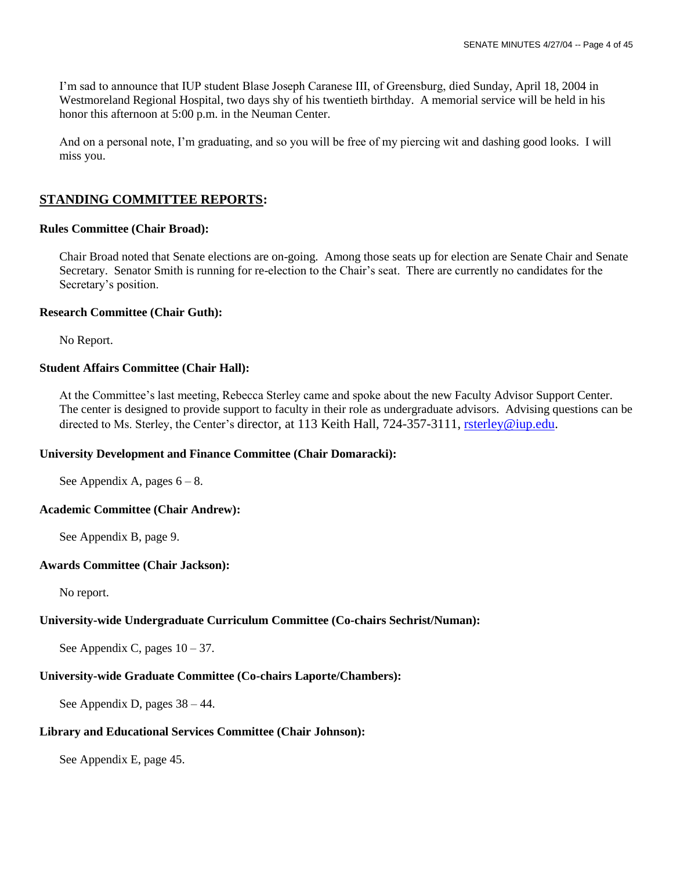I'm sad to announce that IUP student Blase Joseph Caranese III, of Greensburg, died Sunday, April 18, 2004 in Westmoreland Regional Hospital, two days shy of his twentieth birthday. A memorial service will be held in his honor this afternoon at 5:00 p.m. in the Neuman Center.

And on a personal note, I'm graduating, and so you will be free of my piercing wit and dashing good looks. I will miss you.

## **STANDING COMMITTEE REPORTS:**

## **Rules Committee (Chair Broad):**

Chair Broad noted that Senate elections are on-going. Among those seats up for election are Senate Chair and Senate Secretary. Senator Smith is running for re-election to the Chair's seat. There are currently no candidates for the Secretary's position.

### **Research Committee (Chair Guth):**

No Report.

## **Student Affairs Committee (Chair Hall):**

At the Committee's last meeting, Rebecca Sterley came and spoke about the new Faculty Advisor Support Center. The center is designed to provide support to faculty in their role as undergraduate advisors. Advising questions can be directed to Ms. Sterley, the Center's director, at 113 Keith Hall, 724-357-3111, [rsterley@iup.edu.](mailto:rsterley@iup.edu)

## **University Development and Finance Committee (Chair Domaracki):**

See Appendix A, pages  $6 - 8$ .

## **Academic Committee (Chair Andrew):**

See Appendix B, page 9.

## **Awards Committee (Chair Jackson):**

No report.

## **University-wide Undergraduate Curriculum Committee (Co-chairs Sechrist/Numan):**

See Appendix C, pages  $10 - 37$ .

## **University-wide Graduate Committee (Co-chairs Laporte/Chambers):**

See Appendix D, pages 38 – 44.

## **Library and Educational Services Committee (Chair Johnson):**

See Appendix E, page 45.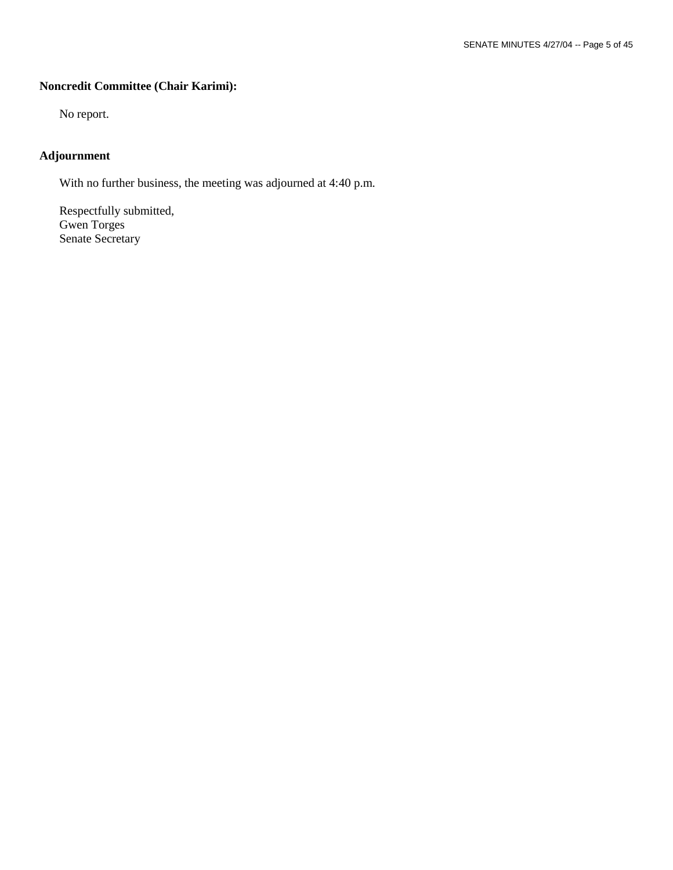## **Noncredit Committee (Chair Karimi):**

No report.

## **Adjournment**

With no further business, the meeting was adjourned at 4:40 p.m.

Respectfully submitted, Gwen Torges Senate Secretary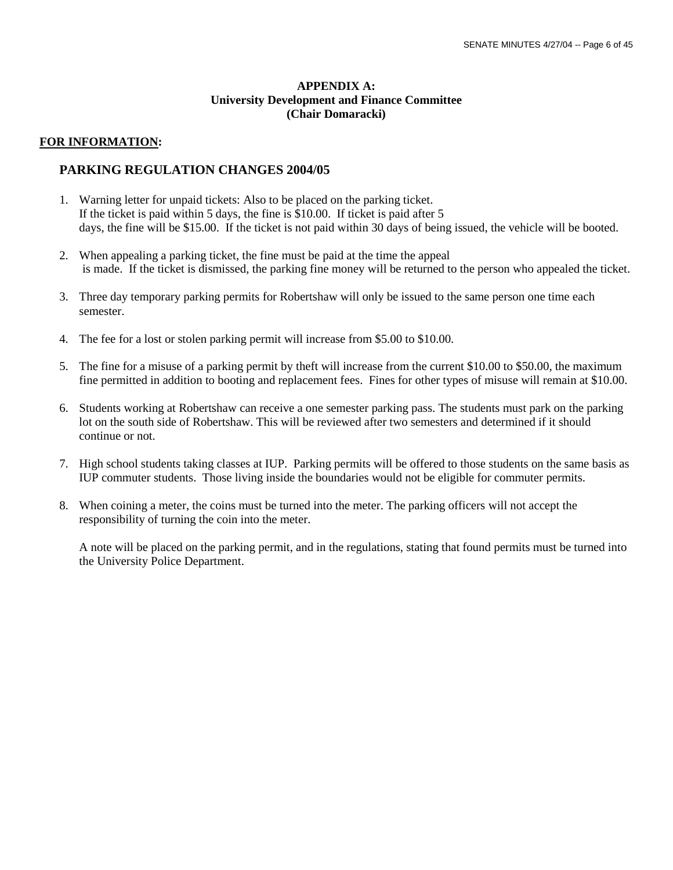## **APPENDIX A: University Development and Finance Committee (Chair Domaracki)**

## **FOR INFORMATION:**

## **PARKING REGULATION CHANGES 2004/05**

- 1. Warning letter for unpaid tickets: Also to be placed on the parking ticket. If the ticket is paid within 5 days, the fine is \$10.00. If ticket is paid after 5 days, the fine will be \$15.00. If the ticket is not paid within 30 days of being issued, the vehicle will be booted.
- 2. When appealing a parking ticket, the fine must be paid at the time the appeal is made. If the ticket is dismissed, the parking fine money will be returned to the person who appealed the ticket.
- 3. Three day temporary parking permits for Robertshaw will only be issued to the same person one time each semester.
- 4. The fee for a lost or stolen parking permit will increase from \$5.00 to \$10.00.
- 5. The fine for a misuse of a parking permit by theft will increase from the current \$10.00 to \$50.00, the maximum fine permitted in addition to booting and replacement fees. Fines for other types of misuse will remain at \$10.00.
- 6. Students working at Robertshaw can receive a one semester parking pass. The students must park on the parking lot on the south side of Robertshaw. This will be reviewed after two semesters and determined if it should continue or not.
- 7. High school students taking classes at IUP. Parking permits will be offered to those students on the same basis as IUP commuter students. Those living inside the boundaries would not be eligible for commuter permits.
- 8. When coining a meter, the coins must be turned into the meter. The parking officers will not accept the responsibility of turning the coin into the meter.

A note will be placed on the parking permit, and in the regulations, stating that found permits must be turned into the University Police Department.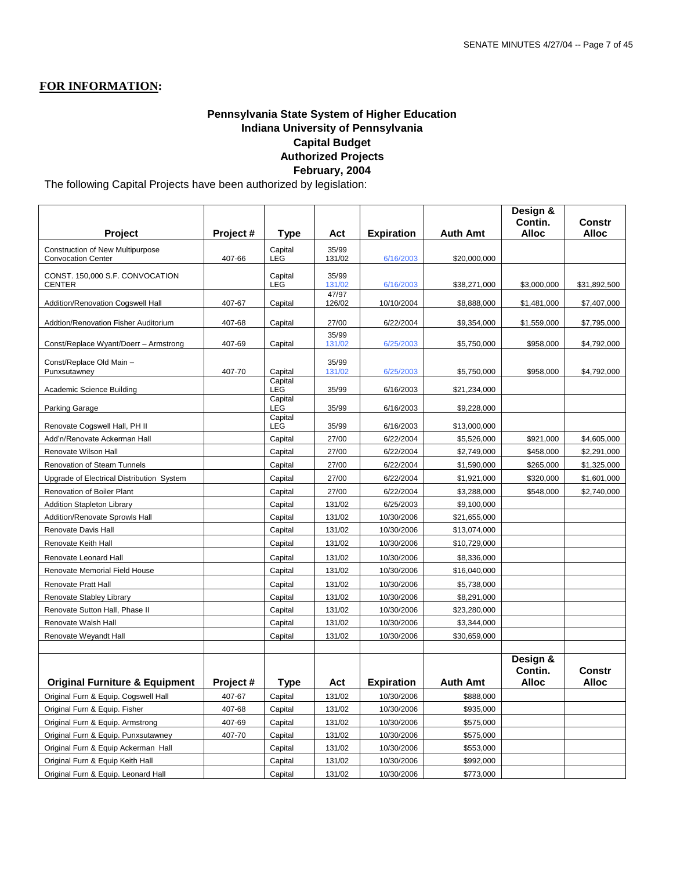## **FOR INFORMATION:**

## **Pennsylvania State System of Higher Education Indiana University of Pennsylvania Capital Budget Authorized Projects February, 2004**

The following Capital Projects have been authorized by legislation:

|                                                               |          |                           |                 |                   |                 | Design &<br>Contin.          | Constr                 |
|---------------------------------------------------------------|----------|---------------------------|-----------------|-------------------|-----------------|------------------------------|------------------------|
| <b>Project</b>                                                | Project# | Type                      | Act             | <b>Expiration</b> | <b>Auth Amt</b> | <b>Alloc</b>                 | <b>Alloc</b>           |
| Construction of New Multipurpose<br><b>Convocation Center</b> | 407-66   | Capital<br><b>LEG</b>     | 35/99<br>131/02 | 6/16/2003         | \$20,000,000    |                              |                        |
| CONST. 150,000 S.F. CONVOCATION<br><b>CENTER</b>              |          | Capital<br>LEG            | 35/99<br>131/02 | 6/16/2003         | \$38,271,000    | \$3,000,000                  | \$31,892,500           |
| Addition/Renovation Cogswell Hall                             | 407-67   | Capital                   | 47/97<br>126/02 | 10/10/2004        | \$8,888,000     | \$1,481,000                  | \$7,407,000            |
| Addtion/Renovation Fisher Auditorium                          | 407-68   | Capital                   | 27/00           | 6/22/2004         | \$9,354,000     | \$1,559,000                  | \$7,795,000            |
| Const/Replace Wyant/Doerr - Armstrong                         | 407-69   | Capital                   | 35/99<br>131/02 | 6/25/2003         | \$5,750,000     | \$958,000                    | \$4,792,000            |
| Const/Replace Old Main -<br>Punxsutawney                      | 407-70   | Capital                   | 35/99<br>131/02 | 6/25/2003         | \$5,750,000     | \$958,000                    | \$4,792,000            |
| Academic Science Building                                     |          | Capital<br>LEG            | 35/99           | 6/16/2003         | \$21,234,000    |                              |                        |
| Parking Garage                                                |          | Capital<br>LEG<br>Capital | 35/99           | 6/16/2003         | \$9,228,000     |                              |                        |
| Renovate Cogswell Hall, PH II                                 |          | LEG                       | 35/99           | 6/16/2003         | \$13,000,000    |                              |                        |
| Add'n/Renovate Ackerman Hall                                  |          | Capital                   | 27/00           | 6/22/2004         | \$5,526,000     | \$921,000                    | \$4,605,000            |
| Renovate Wilson Hall                                          |          | Capital                   | 27/00           | 6/22/2004         | \$2,749,000     | \$458,000                    | \$2,291,000            |
| Renovation of Steam Tunnels                                   |          | Capital                   | 27/00           | 6/22/2004         | \$1,590,000     | \$265,000                    | \$1,325,000            |
| Upgrade of Electrical Distribution System                     |          | Capital                   | 27/00           | 6/22/2004         | \$1,921,000     | \$320,000                    | \$1,601,000            |
| Renovation of Boiler Plant                                    |          | Capital                   | 27/00           | 6/22/2004         | \$3,288,000     | \$548,000                    | \$2,740,000            |
| <b>Addition Stapleton Library</b>                             |          | Capital                   | 131/02          | 6/25/2003         | \$9,100,000     |                              |                        |
| Addition/Renovate Sprowls Hall                                |          | Capital                   | 131/02          | 10/30/2006        | \$21,655,000    |                              |                        |
| Renovate Davis Hall                                           |          | Capital                   | 131/02          | 10/30/2006        | \$13,074,000    |                              |                        |
| Renovate Keith Hall                                           |          | Capital                   | 131/02          | 10/30/2006        | \$10,729,000    |                              |                        |
| Renovate Leonard Hall                                         |          | Capital                   | 131/02          | 10/30/2006        | \$8,336,000     |                              |                        |
| Renovate Memorial Field House                                 |          | Capital                   | 131/02          | 10/30/2006        | \$16,040,000    |                              |                        |
| Renovate Pratt Hall                                           |          | Capital                   | 131/02          | 10/30/2006        | \$5,738,000     |                              |                        |
| Renovate Stabley Library                                      |          | Capital                   | 131/02          | 10/30/2006        | \$8,291,000     |                              |                        |
| Renovate Sutton Hall, Phase II                                |          | Capital                   | 131/02          | 10/30/2006        | \$23,280,000    |                              |                        |
| Renovate Walsh Hall                                           |          | Capital                   | 131/02          | 10/30/2006        | \$3,344,000     |                              |                        |
| Renovate Weyandt Hall                                         |          | Capital                   | 131/02          | 10/30/2006        | \$30,659,000    |                              |                        |
|                                                               |          |                           |                 |                   |                 |                              |                        |
| <b>Original Furniture &amp; Equipment</b>                     | Project# | <b>Type</b>               | Act             | <b>Expiration</b> | <b>Auth Amt</b> | Design &<br>Contin.<br>Alloc | <b>Constr</b><br>Alloc |
| Original Furn & Equip. Cogswell Hall                          | 407-67   | Capital                   | 131/02          | 10/30/2006        | \$888,000       |                              |                        |
| Original Furn & Equip. Fisher                                 | 407-68   | Capital                   | 131/02          | 10/30/2006        | \$935,000       |                              |                        |
| Original Furn & Equip. Armstrong                              | 407-69   | Capital                   | 131/02          | 10/30/2006        | \$575,000       |                              |                        |
| Original Furn & Equip. Punxsutawney                           | 407-70   | Capital                   | 131/02          | 10/30/2006        | \$575,000       |                              |                        |
| Original Furn & Equip Ackerman Hall                           |          | Capital                   | 131/02          | 10/30/2006        | \$553,000       |                              |                        |
| Original Furn & Equip Keith Hall                              |          | Capital                   | 131/02          | 10/30/2006        | \$992,000       |                              |                        |
| Original Furn & Equip. Leonard Hall                           |          | Capital                   | 131/02          | 10/30/2006        | \$773,000       |                              |                        |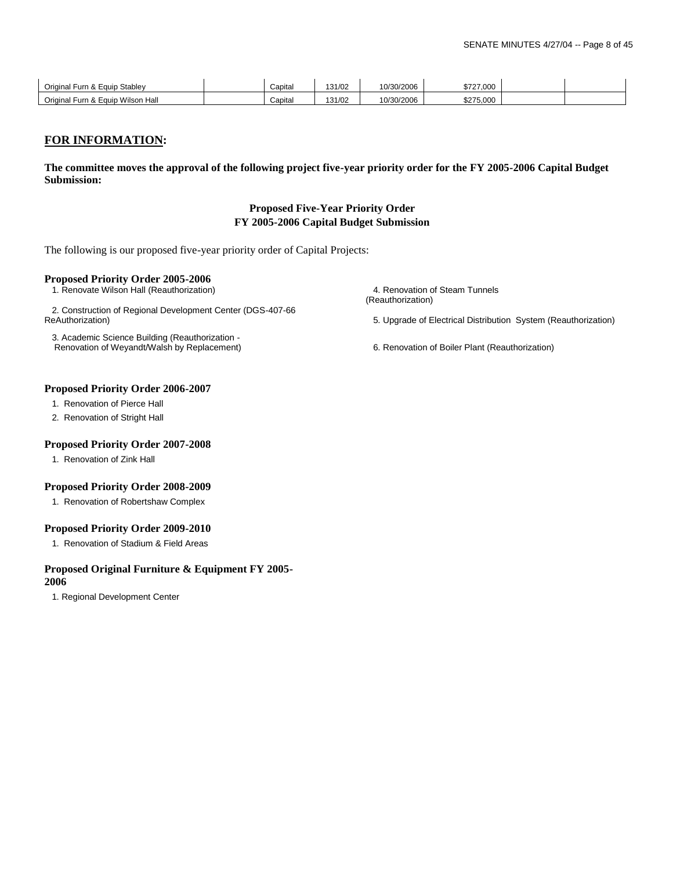| Original<br>Stablev<br>l Furn & Eauip            | Capita | 131/02 | 10/30/2006 | \$727,000 |  |
|--------------------------------------------------|--------|--------|------------|-----------|--|
| <b>Wilson Hall</b><br>Original<br>l Furn & Eauip | Capita | 131/02 | 10/30/2006 | \$275,000 |  |

### **FOR INFORMATION:**

**The committee moves the approval of the following project five-year priority order for the FY 2005-2006 Capital Budget Submission:**

#### **Proposed Five-Year Priority Order FY 2005-2006 Capital Budget Submission**

The following is our proposed five-year priority order of Capital Projects:

#### **Proposed Priority Order 2005-2006**

2. Construction of Regional Development Center (DGS-407-66

 3. Academic Science Building (Reauthorization - Renovation of Weyandt/Walsh by Replacement) 6. Renovation of Boiler Plant (Reauthorization)

 1. Renovate Wilson Hall (Reauthorization) 4. Renovation of Steam Tunnels (Reauthorization)

5. Upgrade of Electrical Distribution System (Reauthorization)

#### **Proposed Priority Order 2006-2007**

1. Renovation of Pierce Hall

2. Renovation of Stright Hall

#### **Proposed Priority Order 2007-2008**

1. Renovation of Zink Hall

#### **Proposed Priority Order 2008-2009**

1. Renovation of Robertshaw Complex

#### **Proposed Priority Order 2009-2010**

1. Renovation of Stadium & Field Areas

#### **Proposed Original Furniture & Equipment FY 2005-**

#### **2006**

1. Regional Development Center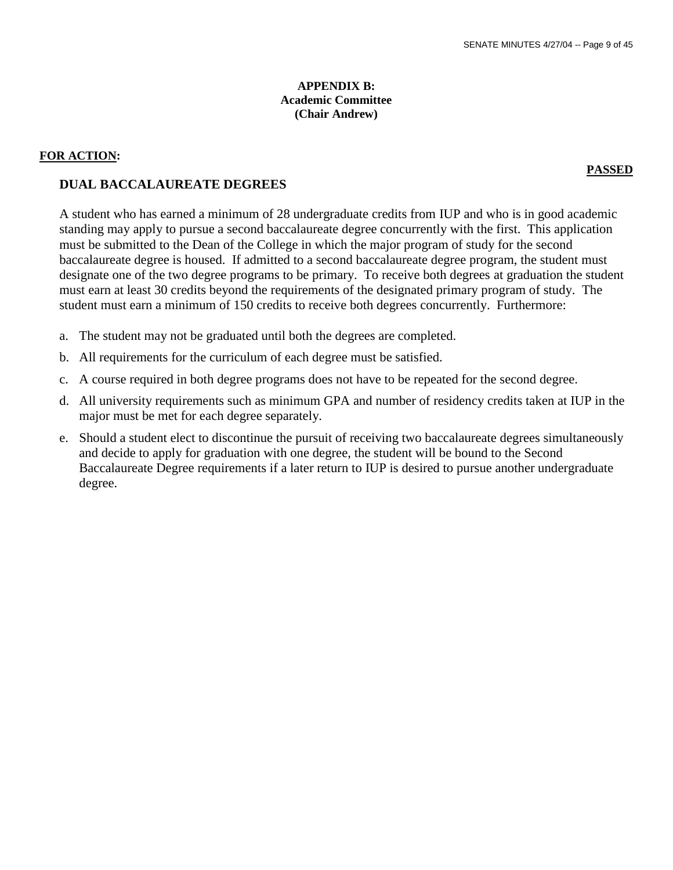## **APPENDIX B: Academic Committee (Chair Andrew)**

#### **FOR ACTION:**

#### **PASSED**

## **DUAL BACCALAUREATE DEGREES**

A student who has earned a minimum of 28 undergraduate credits from IUP and who is in good academic standing may apply to pursue a second baccalaureate degree concurrently with the first. This application must be submitted to the Dean of the College in which the major program of study for the second baccalaureate degree is housed. If admitted to a second baccalaureate degree program, the student must designate one of the two degree programs to be primary. To receive both degrees at graduation the student must earn at least 30 credits beyond the requirements of the designated primary program of study. The student must earn a minimum of 150 credits to receive both degrees concurrently. Furthermore:

- a. The student may not be graduated until both the degrees are completed.
- b. All requirements for the curriculum of each degree must be satisfied.
- c. A course required in both degree programs does not have to be repeated for the second degree.
- d. All university requirements such as minimum GPA and number of residency credits taken at IUP in the major must be met for each degree separately.
- e. Should a student elect to discontinue the pursuit of receiving two baccalaureate degrees simultaneously and decide to apply for graduation with one degree, the student will be bound to the Second Baccalaureate Degree requirements if a later return to IUP is desired to pursue another undergraduate degree.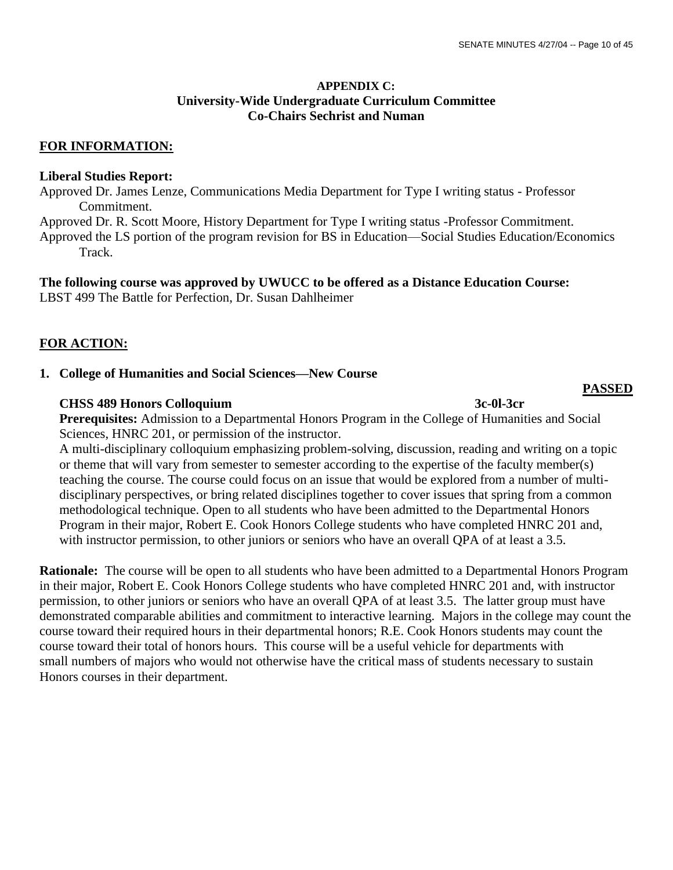## **APPENDIX C: University-Wide Undergraduate Curriculum Committee Co-Chairs Sechrist and Numan**

## **FOR INFORMATION:**

## **Liberal Studies Report:**

Approved Dr. James Lenze, Communications Media Department for Type I writing status - Professor Commitment.

Approved Dr. R. Scott Moore, History Department for Type I writing status -Professor Commitment.

Approved the LS portion of the program revision for BS in Education—Social Studies Education/Economics Track.

### **The following course was approved by UWUCC to be offered as a Distance Education Course:**

LBST 499 The Battle for Perfection, Dr. Susan Dahlheimer

## **FOR ACTION:**

## **1. College of Humanities and Social Sciences—New Course**

## **CHSS 489 Honors Colloquium 3c-0l-3cr**

 **Prerequisites:** Admission to a Departmental Honors Program in the College of Humanities and Social Sciences, HNRC 201, or permission of the instructor.

 A multi-disciplinary colloquium emphasizing problem-solving, discussion, reading and writing on a topic or theme that will vary from semester to semester according to the expertise of the faculty member(s) teaching the course. The course could focus on an issue that would be explored from a number of multi disciplinary perspectives, or bring related disciplines together to cover issues that spring from a common methodological technique. Open to all students who have been admitted to the Departmental Honors Program in their major, Robert E. Cook Honors College students who have completed HNRC 201 and, with instructor permission, to other juniors or seniors who have an overall QPA of at least a 3.5.

**Rationale:** The course will be open to all students who have been admitted to a Departmental Honors Program in their major, Robert E. Cook Honors College students who have completed HNRC 201 and, with instructor permission, to other juniors or seniors who have an overall QPA of at least 3.5. The latter group must have demonstrated comparable abilities and commitment to interactive learning. Majors in the college may count the course toward their required hours in their departmental honors; R.E. Cook Honors students may count the course toward their total of honors hours. This course will be a useful vehicle for departments with small numbers of majors who would not otherwise have the critical mass of students necessary to sustain Honors courses in their department.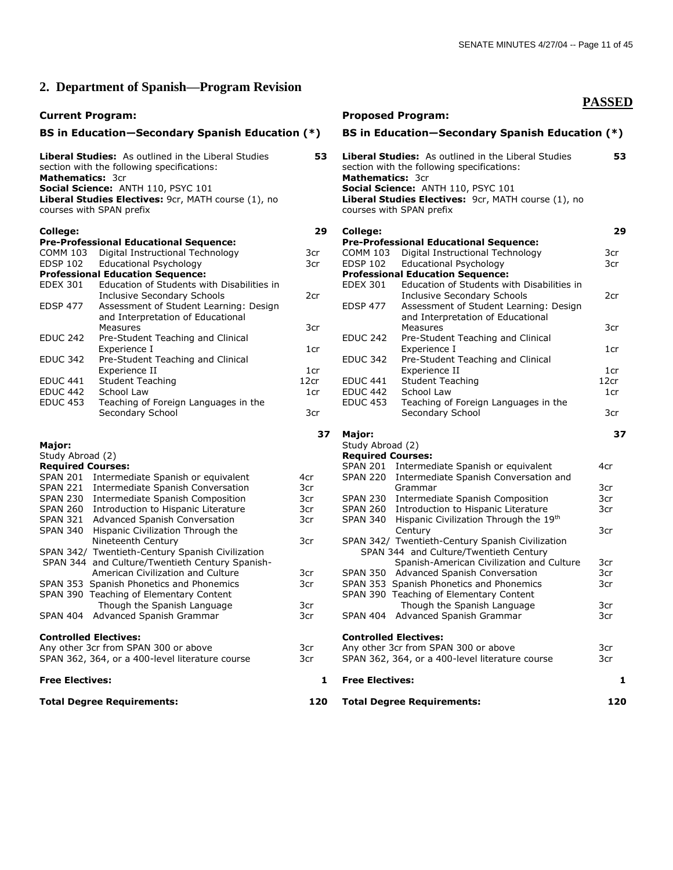**PASSED**

## **2. Department of Spanish—Program Revision**

#### **Current Program: Proposed Program: Proposed Program:**

### **BS in Education—Secondary Spanish Education (\*) BS in Education—Secondary Spanish Education (\*)**

| Mathematics: 3cr             | Liberal Studies: As outlined in the Liberal Studies<br>section with the following specifications:<br>Social Science: ANTH 110, PSYC 101<br>Liberal Studies Electives: 9cr, MATH course (1), no<br>courses with SPAN prefix | 53   | Mathematics: 3cr         | Liberal Studies: As outlined in the Lil<br>section with the following specifications<br>Social Science: ANTH 110, PSYC 101<br>Liberal Studies Electives: 9cr, MATH<br>courses with SPAN prefix |
|------------------------------|----------------------------------------------------------------------------------------------------------------------------------------------------------------------------------------------------------------------------|------|--------------------------|------------------------------------------------------------------------------------------------------------------------------------------------------------------------------------------------|
| College:                     |                                                                                                                                                                                                                            | 29   | College:                 |                                                                                                                                                                                                |
|                              | <b>Pre-Professional Educational Sequence:</b>                                                                                                                                                                              |      |                          | <b>Pre-Professional Educational Seque</b>                                                                                                                                                      |
| <b>COMM 103</b>              | Digital Instructional Technology                                                                                                                                                                                           | 3cr  | <b>COMM 103</b>          | Digital Instructional Techr                                                                                                                                                                    |
| <b>EDSP 102</b>              | Educational Psychology                                                                                                                                                                                                     | 3cr  | <b>EDSP 102</b>          | Educational Psychology                                                                                                                                                                         |
|                              | <b>Professional Education Sequence:</b><br>Education of Students with Disabilities in                                                                                                                                      |      |                          | <b>Professional Education Sequence:</b><br>Education of Students wit                                                                                                                           |
| <b>EDEX 301</b>              |                                                                                                                                                                                                                            |      | <b>EDEX 301</b>          |                                                                                                                                                                                                |
| <b>EDSP 477</b>              | <b>Inclusive Secondary Schools</b><br>Assessment of Student Learning: Design                                                                                                                                               | 2cr  | <b>EDSP 477</b>          | Inclusive Secondary Scho<br>Assessment of Student Le                                                                                                                                           |
|                              | and Interpretation of Educational                                                                                                                                                                                          |      |                          | and Interpretation of Edu                                                                                                                                                                      |
|                              | Measures                                                                                                                                                                                                                   | 3cr  |                          | Measures                                                                                                                                                                                       |
| <b>EDUC 242</b>              | Pre-Student Teaching and Clinical                                                                                                                                                                                          |      | <b>EDUC 242</b>          | Pre-Student Teaching and                                                                                                                                                                       |
|                              | Experience I                                                                                                                                                                                                               | 1cr  |                          | Experience I                                                                                                                                                                                   |
| <b>EDUC 342</b>              | Pre-Student Teaching and Clinical                                                                                                                                                                                          |      | <b>EDUC 342</b>          | Pre-Student Teaching and                                                                                                                                                                       |
|                              | Experience II                                                                                                                                                                                                              | 1cr  |                          | Experience II                                                                                                                                                                                  |
| <b>EDUC 441</b>              | <b>Student Teaching</b>                                                                                                                                                                                                    | 12cr | EDUC <sub>441</sub>      | <b>Student Teaching</b>                                                                                                                                                                        |
| <b>EDUC 442</b>              | School Law                                                                                                                                                                                                                 | 1cr  | <b>EDUC 442</b>          | School Law                                                                                                                                                                                     |
| <b>EDUC 453</b>              | Teaching of Foreign Languages in the                                                                                                                                                                                       |      | <b>EDUC 453</b>          | Teaching of Foreign Langu                                                                                                                                                                      |
|                              | Secondary School                                                                                                                                                                                                           | 3cr  |                          | Secondary School                                                                                                                                                                               |
|                              |                                                                                                                                                                                                                            | 37   | Major:                   |                                                                                                                                                                                                |
| Major:                       |                                                                                                                                                                                                                            |      | Study Abroad (2)         |                                                                                                                                                                                                |
| Study Abroad (2)             |                                                                                                                                                                                                                            |      | <b>Required Courses:</b> |                                                                                                                                                                                                |
| <b>Required Courses:</b>     |                                                                                                                                                                                                                            |      |                          | SPAN 201 Intermediate Spanish or ed                                                                                                                                                            |
|                              | SPAN 201 Intermediate Spanish or equivalent                                                                                                                                                                                | 4cr  | <b>SPAN 220</b>          | Intermediate Spanish Conv                                                                                                                                                                      |
|                              | SPAN 221 Intermediate Spanish Conversation                                                                                                                                                                                 | 3cr  |                          | Grammar                                                                                                                                                                                        |
|                              | SPAN 230 Intermediate Spanish Composition                                                                                                                                                                                  | 3cr  | SPAN 230                 | Intermediate Spanish Com                                                                                                                                                                       |
|                              | SPAN 260 Introduction to Hispanic Literature                                                                                                                                                                               | 3cr  | SPAN 260                 | Introduction to Hispanic Lit                                                                                                                                                                   |
|                              | SPAN 321 Advanced Spanish Conversation                                                                                                                                                                                     | 3cr  | <b>SPAN 340</b>          | <b>Hispanic Civilization Throug</b>                                                                                                                                                            |
| SPAN 340                     | Hispanic Civilization Through the                                                                                                                                                                                          |      |                          | Century                                                                                                                                                                                        |
|                              | Nineteenth Century                                                                                                                                                                                                         | 3cr  |                          | SPAN 342/ Twentieth-Century Spanish                                                                                                                                                            |
|                              | SPAN 342/ Twentieth-Century Spanish Civilization                                                                                                                                                                           |      |                          | SPAN 344 and Culture/Twentieth (                                                                                                                                                               |
|                              | SPAN 344 and Culture/Twentieth Century Spanish-<br>American Civilization and Culture                                                                                                                                       | 3cr  |                          | Spanish-American Civilizati<br>SPAN 350 Advanced Spanish Convers                                                                                                                               |
|                              | SPAN 353 Spanish Phonetics and Phonemics                                                                                                                                                                                   | 3cr  |                          | SPAN 353 Spanish Phonetics and Phor                                                                                                                                                            |
|                              | SPAN 390 Teaching of Elementary Content                                                                                                                                                                                    |      |                          | SPAN 390 Teaching of Elementary Cor                                                                                                                                                            |
|                              | Though the Spanish Language                                                                                                                                                                                                | 3cr  |                          | Though the Spanish Langr                                                                                                                                                                       |
|                              | SPAN 404 Advanced Spanish Grammar                                                                                                                                                                                          | 3cr  |                          | SPAN 404 Advanced Spanish Gramma                                                                                                                                                               |
| <b>Controlled Electives:</b> |                                                                                                                                                                                                                            |      |                          | <b>Controlled Electives:</b>                                                                                                                                                                   |
|                              | Any other 3cr from SPAN 300 or above                                                                                                                                                                                       | 3cr  |                          | Any other 3cr from SPAN 300 or above                                                                                                                                                           |
|                              | SPAN 362, 364, or a 400-level literature course                                                                                                                                                                            | 3cr  |                          | SPAN 362, 364, or a 400-level literatur                                                                                                                                                        |
| <b>Free Flectives:</b>       |                                                                                                                                                                                                                            | 1.   | <b>Free Flectives:</b>   |                                                                                                                                                                                                |

| 53   | <b>Mathematics: 3cr</b>  | <b>Liberal Studies:</b> As outlined in the Liberal Studies<br>section with the following specifications:<br>Social Science: ANTH 110, PSYC 101<br>Liberal Studies Electives: 9cr, MATH course (1), no<br>courses with SPAN prefix | 53   |
|------|--------------------------|-----------------------------------------------------------------------------------------------------------------------------------------------------------------------------------------------------------------------------------|------|
| 29   | College:                 | <b>Pre-Professional Educational Sequence:</b>                                                                                                                                                                                     | 29   |
| 3cr  | <b>COMM 103</b>          | Digital Instructional Technology                                                                                                                                                                                                  | 3cr  |
| 3cr  | <b>EDSP 102</b>          | <b>Educational Psychology</b>                                                                                                                                                                                                     | 3cr  |
|      |                          | <b>Professional Education Sequence:</b>                                                                                                                                                                                           |      |
|      | <b>EDEX 301</b>          | Education of Students with Disabilities in                                                                                                                                                                                        |      |
| 2cr  |                          | <b>Inclusive Secondary Schools</b>                                                                                                                                                                                                | 2cr  |
|      | <b>EDSP 477</b>          | Assessment of Student Learning: Design                                                                                                                                                                                            |      |
|      |                          | and Interpretation of Educational                                                                                                                                                                                                 |      |
| 3cr  |                          | <b>Measures</b>                                                                                                                                                                                                                   | 3cr  |
|      | <b>EDUC 242</b>          | Pre-Student Teaching and Clinical                                                                                                                                                                                                 |      |
| 1cr  |                          | Experience I                                                                                                                                                                                                                      | 1cr  |
|      | <b>EDUC 342</b>          |                                                                                                                                                                                                                                   |      |
| 1cr  |                          | Pre-Student Teaching and Clinical<br>Experience II                                                                                                                                                                                | 1cr  |
| 12cr | <b>EDUC 441</b>          | <b>Student Teaching</b>                                                                                                                                                                                                           | 12cr |
|      | <b>EDUC 442</b>          | School Law                                                                                                                                                                                                                        |      |
| 1cr  | <b>EDUC 453</b>          |                                                                                                                                                                                                                                   | 1cr  |
| 3cr  |                          | Teaching of Foreign Languages in the                                                                                                                                                                                              | 3cr  |
|      |                          | Secondary School                                                                                                                                                                                                                  |      |
| 37   | Major:                   |                                                                                                                                                                                                                                   | 37   |
|      | Study Abroad (2)         |                                                                                                                                                                                                                                   |      |
|      | <b>Required Courses:</b> |                                                                                                                                                                                                                                   |      |
|      | <b>SPAN 201</b>          | Intermediate Spanish or equivalent                                                                                                                                                                                                | 4cr  |
| 4cr  | <b>SPAN 220</b>          | Intermediate Spanish Conversation and                                                                                                                                                                                             |      |
| 3cr  |                          | Grammar                                                                                                                                                                                                                           | 3cr  |
| 3cr  | <b>SPAN 230</b>          | Intermediate Spanish Composition                                                                                                                                                                                                  | 3cr  |
| 3cr  | <b>SPAN 260</b>          | Introduction to Hispanic Literature                                                                                                                                                                                               | 3cr  |
| 3cr  | <b>SPAN 340</b>          | Hispanic Civilization Through the 19th                                                                                                                                                                                            |      |
|      |                          | Century                                                                                                                                                                                                                           | 3cr  |
| 3cr  |                          | SPAN 342/ Twentieth-Century Spanish Civilization                                                                                                                                                                                  |      |
|      |                          | SPAN 344 and Culture/Twentieth Century                                                                                                                                                                                            |      |
|      |                          | Spanish-American Civilization and Culture                                                                                                                                                                                         | 3cr  |
| 3cr  | <b>SPAN 350</b>          | Advanced Spanish Conversation                                                                                                                                                                                                     | 3cr  |
| 3cr  |                          | SPAN 353 Spanish Phonetics and Phonemics                                                                                                                                                                                          | 3cr  |
|      |                          | SPAN 390 Teaching of Elementary Content                                                                                                                                                                                           |      |
| 3cr  |                          | Though the Spanish Language                                                                                                                                                                                                       | 3cr  |
| 3cr  |                          | SPAN 404 Advanced Spanish Grammar                                                                                                                                                                                                 | 3cr  |
|      |                          |                                                                                                                                                                                                                                   |      |

## **Controlled Electives:**

| Any other 3cr from SPAN 300 or above            | 3cr | Any other 3cr from SPAN 300 or above            | 3cr |
|-------------------------------------------------|-----|-------------------------------------------------|-----|
| SPAN 362, 364, or a 400-level literature course | 3cr | SPAN 362, 364, or a 400-level literature course | 3cr |
| <b>Free Electives:</b>                          |     | <b>Free Electives:</b>                          |     |

## **Total Degree Requirements: 120 Total Degree Requirements: 120**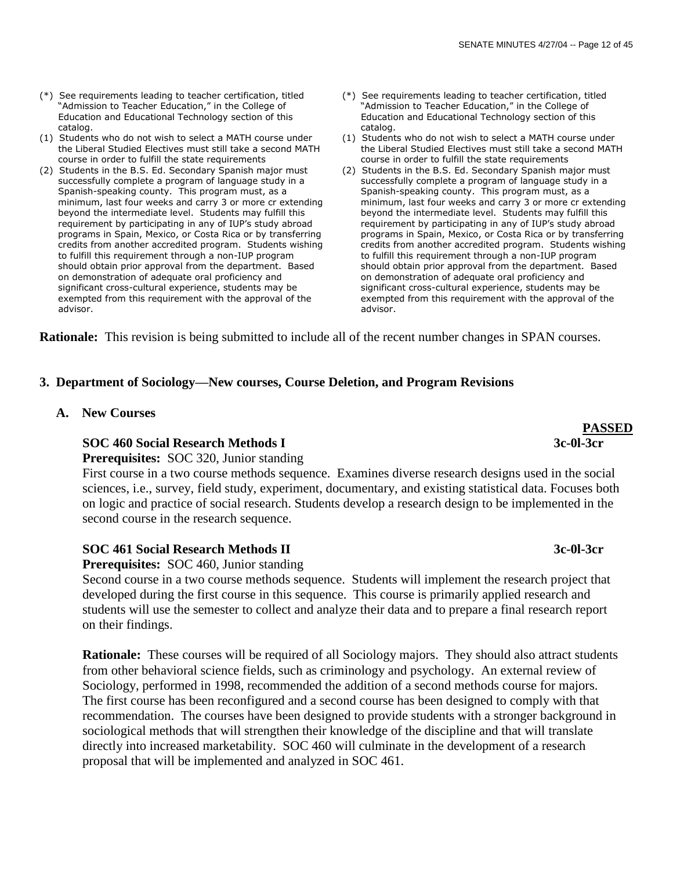- (\*) See requirements leading to teacher certification, titled "Admission to Teacher Education," in the College of Education and Educational Technology section of this catalog.
- (1) Students who do not wish to select a MATH course under the Liberal Studied Electives must still take a second MATH course in order to fulfill the state requirements
- (2) Students in the B.S. Ed. Secondary Spanish major must successfully complete a program of language study in a Spanish-speaking county. This program must, as a minimum, last four weeks and carry 3 or more cr extending beyond the intermediate level. Students may fulfill this requirement by participating in any of IUP's study abroad programs in Spain, Mexico, or Costa Rica or by transferring credits from another accredited program. Students wishing to fulfill this requirement through a non-IUP program should obtain prior approval from the department. Based on demonstration of adequate oral proficiency and significant cross-cultural experience, students may be exempted from this requirement with the approval of the advisor.
- (\*) See requirements leading to teacher certification, titled "Admission to Teacher Education," in the College of Education and Educational Technology section of this catalog.
- (1) Students who do not wish to select a MATH course under the Liberal Studied Electives must still take a second MATH course in order to fulfill the state requirements
- (2) Students in the B.S. Ed. Secondary Spanish major must successfully complete a program of language study in a Spanish-speaking county. This program must, as a minimum, last four weeks and carry 3 or more cr extending beyond the intermediate level. Students may fulfill this requirement by participating in any of IUP's study abroad programs in Spain, Mexico, or Costa Rica or by transferring credits from another accredited program. Students wishing to fulfill this requirement through a non-IUP program should obtain prior approval from the department. Based on demonstration of adequate oral proficiency and significant cross-cultural experience, students may be exempted from this requirement with the approval of the advisor.

**Rationale:** This revision is being submitted to include all of the recent number changes in SPAN courses.

## **3. Department of Sociology—New courses, Course Deletion, and Program Revisions**

 **A. New Courses**

## **SOC 460 Social Research Methods I 3c-0l-3cr**

 **Prerequisites:** SOC 320, Junior standing

 First course in a two course methods sequence. Examines diverse research designs used in the social sciences, i.e., survey, field study, experiment, documentary, and existing statistical data. Focuses both on logic and practice of social research. Students develop a research design to be implemented in the second course in the research sequence.

## **SOC 461 Social Research Methods II 3c-0l-3cr**

 **Prerequisites:** SOC 460, Junior standing

 Second course in a two course methods sequence. Students will implement the research project that developed during the first course in this sequence. This course is primarily applied research and students will use the semester to collect and analyze their data and to prepare a final research report on their findings.

**Rationale:** These courses will be required of all Sociology majors. They should also attract students from other behavioral science fields, such as criminology and psychology. An external review of Sociology, performed in 1998, recommended the addition of a second methods course for majors. The first course has been reconfigured and a second course has been designed to comply with that recommendation. The courses have been designed to provide students with a stronger background in sociological methods that will strengthen their knowledge of the discipline and that will translate directly into increased marketability. SOC 460 will culminate in the development of a research proposal that will be implemented and analyzed in SOC 461.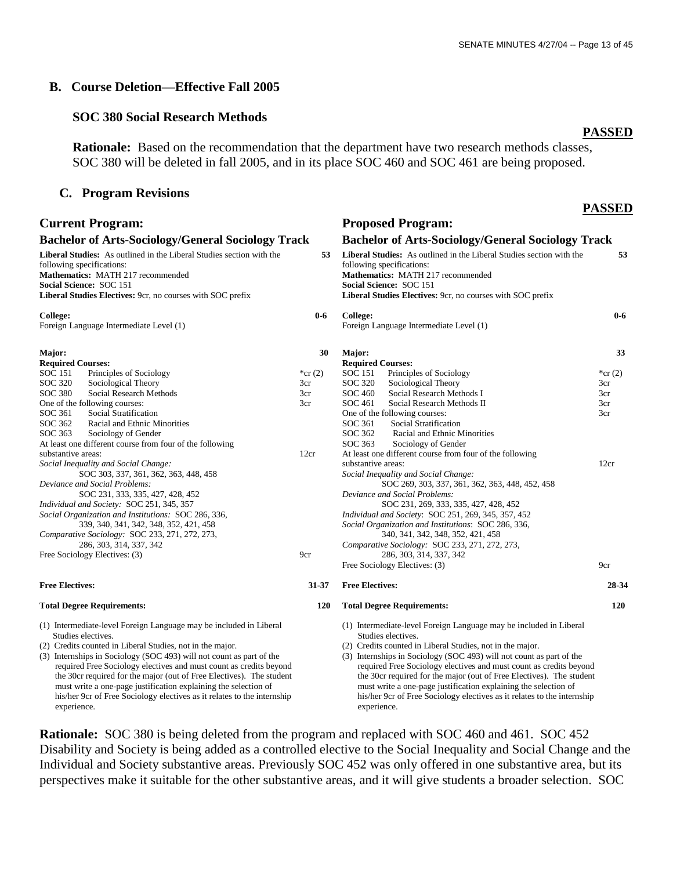## **B. Course Deletion—Effective Fall 2005**

## **SOC 380 Social Research Methods**

 **Rationale:** Based on the recommendation that the department have two research methods classes, SOC 380 will be deleted in fall 2005, and in its place SOC 460 and SOC 461 are being proposed.

## **C. Program Revisions**

### **PASSED**

 **53**

 **0-6**

 **33**

\*cr  $(2)$ 3cr 3cr 3cr 3cr

 **28-34 120**

**PASSED**

| <b>Current Program:</b>                                                                                                                                                                                                                                                                                                                                                                                                                                                                                                                  | <b>Proposed Program:</b> |                                                                                                                                                                                                                                                                                                                                                                                                                                                                                                                                          |                          |  |  |
|------------------------------------------------------------------------------------------------------------------------------------------------------------------------------------------------------------------------------------------------------------------------------------------------------------------------------------------------------------------------------------------------------------------------------------------------------------------------------------------------------------------------------------------|--------------------------|------------------------------------------------------------------------------------------------------------------------------------------------------------------------------------------------------------------------------------------------------------------------------------------------------------------------------------------------------------------------------------------------------------------------------------------------------------------------------------------------------------------------------------------|--------------------------|--|--|
| <b>Bachelor of Arts-Sociology/General Sociology Track</b>                                                                                                                                                                                                                                                                                                                                                                                                                                                                                |                          | <b>Bachelor of Arts-Sociology/General Sociology Track</b>                                                                                                                                                                                                                                                                                                                                                                                                                                                                                |                          |  |  |
| Liberal Studies: As outlined in the Liberal Studies section with the<br>following specifications:<br>Mathematics: MATH 217 recommended<br>Social Science: SOC 151<br>Liberal Studies Electives: 9cr, no courses with SOC prefix                                                                                                                                                                                                                                                                                                          | 53                       | Liberal Studies: As outlined in the Liberal Studies section with the<br>following specifications:<br>Mathematics: MATH 217 recommended<br>Social Science: SOC 151<br>Liberal Studies Electives: 9cr, no courses with SOC prefix                                                                                                                                                                                                                                                                                                          |                          |  |  |
| College:<br>Foreign Language Intermediate Level (1)                                                                                                                                                                                                                                                                                                                                                                                                                                                                                      | $0-6$                    | College:<br>Foreign Language Intermediate Level (1)                                                                                                                                                                                                                                                                                                                                                                                                                                                                                      |                          |  |  |
| Major:<br><b>Required Courses:</b><br>Principles of Sociology<br>SOC 151                                                                                                                                                                                                                                                                                                                                                                                                                                                                 | 30<br>*cr $(2)$          | Major:<br><b>Required Courses:</b><br><b>SOC</b> 151<br>Principles of Sociology                                                                                                                                                                                                                                                                                                                                                                                                                                                          | $*cr$                    |  |  |
| SOC 320<br>Sociological Theory<br>SOC 380<br>Social Research Methods<br>One of the following courses:<br>SOC 361<br>Social Stratification<br>SOC 362<br>Racial and Ethnic Minorities<br>SOC 363<br>Sociology of Gender<br>At least one different course from four of the following                                                                                                                                                                                                                                                       | 3cr<br>3cr<br>3cr        | SOC 320<br>Sociological Theory<br>Social Research Methods I<br><b>SOC 460</b><br>SOC 461<br>Social Research Methods II<br>One of the following courses:<br>SOC 361<br>Social Stratification<br>SOC 362<br>Racial and Ethnic Minorities<br>SOC 363<br>Sociology of Gender                                                                                                                                                                                                                                                                 | 3cr<br>3cr<br>3cr<br>3cr |  |  |
| substantive areas:<br>Social Inequality and Social Change:<br>SOC 303, 337, 361, 362, 363, 448, 458<br>Deviance and Social Problems:<br>SOC 231, 333, 335, 427, 428, 452<br>Individual and Society: SOC 251, 345, 357<br>Social Organization and Institutions: SOC 286, 336,<br>339, 340, 341, 342, 348, 352, 421, 458<br>Comparative Sociology: SOC 233, 271, 272, 273,<br>286, 303, 314, 337, 342<br>Free Sociology Electives: (3)                                                                                                     | 12cr<br>9cr              | At least one different course from four of the following<br>substantive areas:<br>Social Inequality and Social Change:<br>SOC 269, 303, 337, 361, 362, 363, 448, 452, 458<br>Deviance and Social Problems:<br>SOC 231, 269, 333, 335, 427, 428, 452<br>Individual and Society: SOC 251, 269, 345, 357, 452<br>Social Organization and Institutions: SOC 286, 336,<br>340, 341, 342, 348, 352, 421, 458<br>Comparative Sociology: SOC 233, 271, 272, 273,<br>286, 303, 314, 337, 342<br>Free Sociology Electives: (3)                     | 12c <sub>1</sub><br>9cr  |  |  |
| <b>Free Electives:</b>                                                                                                                                                                                                                                                                                                                                                                                                                                                                                                                   | 31-37                    | <b>Free Electives:</b>                                                                                                                                                                                                                                                                                                                                                                                                                                                                                                                   | 2 <sub>i</sub>           |  |  |
| <b>Total Degree Requirements:</b>                                                                                                                                                                                                                                                                                                                                                                                                                                                                                                        | <b>120</b>               | <b>Total Degree Requirements:</b>                                                                                                                                                                                                                                                                                                                                                                                                                                                                                                        |                          |  |  |
| (1) Intermediate-level Foreign Language may be included in Liberal<br>Studies electives.<br>(2) Credits counted in Liberal Studies, not in the major.<br>(3) Internships in Sociology (SOC 493) will not count as part of the<br>required Free Sociology electives and must count as credits beyond<br>the 30cr required for the major (out of Free Electives). The student<br>must write a one-page justification explaining the selection of<br>his/her 9cr of Free Sociology electives as it relates to the internship<br>experience. |                          | (1) Intermediate-level Foreign Language may be included in Liberal<br>Studies electives.<br>(2) Credits counted in Liberal Studies, not in the major.<br>(3) Internships in Sociology (SOC 493) will not count as part of the<br>required Free Sociology electives and must count as credits beyond<br>the 30cr required for the major (out of Free Electives). The student<br>must write a one-page justification explaining the selection of<br>his/her 9cr of Free Sociology electives as it relates to the internship<br>experience. |                          |  |  |

**Rationale:** SOC 380 is being deleted from the program and replaced with SOC 460 and 461. SOC 452 Disability and Society is being added as a controlled elective to the Social Inequality and Social Change and the Individual and Society substantive areas. Previously SOC 452 was only offered in one substantive area, but its perspectives make it suitable for the other substantive areas, and it will give students a broader selection. SOC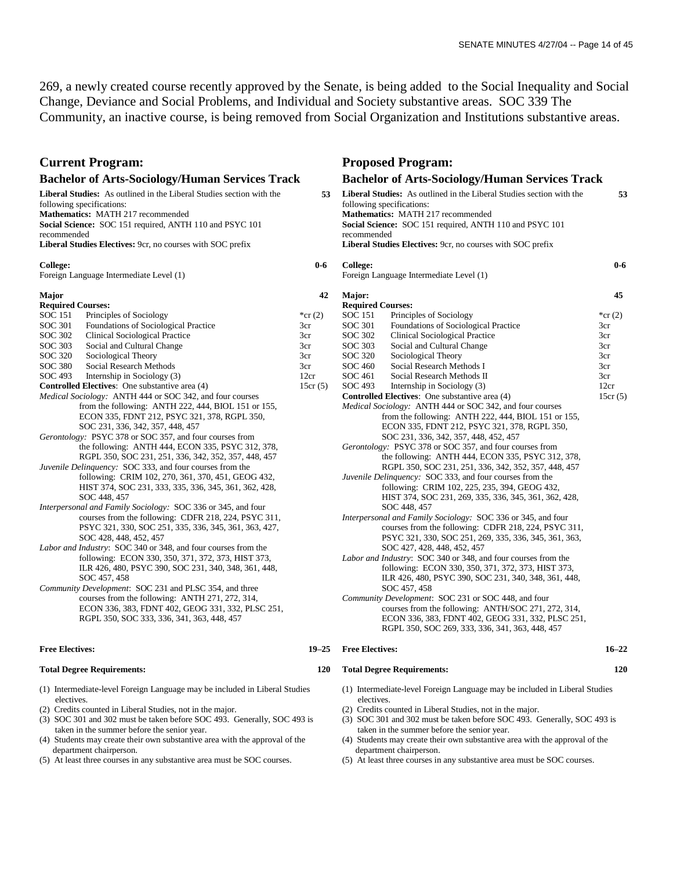269, a newly created course recently approved by the Senate, is being added to the Social Inequality and Social Change, Deviance and Social Problems, and Individual and Society substantive areas. SOC 339 The Community, an inactive course, is being removed from Social Organization and Institutions substantive areas.

## **Current Program: Proposed Program:**

| $\mathbf{u}$ can reproduce                                                                                                                                                                                                                                                                                                                                                                                                                                                                                                                                                                                                                                                                                                                                                                                                                                                                                                                                                                                                                                                                                                                         | 110 postu 110 <sub>5</sub> 1 uni |                                                                                                                                                                                                                                                                                                                                                                                                                                                                                                                                                                                                                                                                                                                                                                                                                                                                                                                                                                                                                                                                                                                                                                                                                                  |           |  |  |
|----------------------------------------------------------------------------------------------------------------------------------------------------------------------------------------------------------------------------------------------------------------------------------------------------------------------------------------------------------------------------------------------------------------------------------------------------------------------------------------------------------------------------------------------------------------------------------------------------------------------------------------------------------------------------------------------------------------------------------------------------------------------------------------------------------------------------------------------------------------------------------------------------------------------------------------------------------------------------------------------------------------------------------------------------------------------------------------------------------------------------------------------------|----------------------------------|----------------------------------------------------------------------------------------------------------------------------------------------------------------------------------------------------------------------------------------------------------------------------------------------------------------------------------------------------------------------------------------------------------------------------------------------------------------------------------------------------------------------------------------------------------------------------------------------------------------------------------------------------------------------------------------------------------------------------------------------------------------------------------------------------------------------------------------------------------------------------------------------------------------------------------------------------------------------------------------------------------------------------------------------------------------------------------------------------------------------------------------------------------------------------------------------------------------------------------|-----------|--|--|
| <b>Bachelor of Arts-Sociology/Human Services Track</b>                                                                                                                                                                                                                                                                                                                                                                                                                                                                                                                                                                                                                                                                                                                                                                                                                                                                                                                                                                                                                                                                                             |                                  | <b>Bachelor of Arts-Sociology/Human Services Track</b>                                                                                                                                                                                                                                                                                                                                                                                                                                                                                                                                                                                                                                                                                                                                                                                                                                                                                                                                                                                                                                                                                                                                                                           |           |  |  |
| Liberal Studies: As outlined in the Liberal Studies section with the<br>following specifications:<br>Mathematics: MATH 217 recommended<br>Social Science: SOC 151 required, ANTH 110 and PSYC 101<br>recommended<br><b>Liberal Studies Electives:</b> 9cr, no courses with SOC prefix                                                                                                                                                                                                                                                                                                                                                                                                                                                                                                                                                                                                                                                                                                                                                                                                                                                              | 53                               | Liberal Studies: As outlined in the Liberal Studies section with the<br>following specifications:<br>Mathematics: MATH 217 recommended<br>Social Science: SOC 151 required, ANTH 110 and PSYC 101<br>recommended<br><b>Liberal Studies Electives:</b> 9cr, no courses with SOC prefix                                                                                                                                                                                                                                                                                                                                                                                                                                                                                                                                                                                                                                                                                                                                                                                                                                                                                                                                            |           |  |  |
| College:                                                                                                                                                                                                                                                                                                                                                                                                                                                                                                                                                                                                                                                                                                                                                                                                                                                                                                                                                                                                                                                                                                                                           | $0-6$                            | College:                                                                                                                                                                                                                                                                                                                                                                                                                                                                                                                                                                                                                                                                                                                                                                                                                                                                                                                                                                                                                                                                                                                                                                                                                         | $0-6$     |  |  |
| Foreign Language Intermediate Level (1)                                                                                                                                                                                                                                                                                                                                                                                                                                                                                                                                                                                                                                                                                                                                                                                                                                                                                                                                                                                                                                                                                                            |                                  | Foreign Language Intermediate Level (1)                                                                                                                                                                                                                                                                                                                                                                                                                                                                                                                                                                                                                                                                                                                                                                                                                                                                                                                                                                                                                                                                                                                                                                                          |           |  |  |
| Major                                                                                                                                                                                                                                                                                                                                                                                                                                                                                                                                                                                                                                                                                                                                                                                                                                                                                                                                                                                                                                                                                                                                              | 42                               | Major:                                                                                                                                                                                                                                                                                                                                                                                                                                                                                                                                                                                                                                                                                                                                                                                                                                                                                                                                                                                                                                                                                                                                                                                                                           | 45        |  |  |
| <b>Required Courses:</b>                                                                                                                                                                                                                                                                                                                                                                                                                                                                                                                                                                                                                                                                                                                                                                                                                                                                                                                                                                                                                                                                                                                           |                                  | <b>Required Courses:</b>                                                                                                                                                                                                                                                                                                                                                                                                                                                                                                                                                                                                                                                                                                                                                                                                                                                                                                                                                                                                                                                                                                                                                                                                         |           |  |  |
| SOC 151<br>Principles of Sociology                                                                                                                                                                                                                                                                                                                                                                                                                                                                                                                                                                                                                                                                                                                                                                                                                                                                                                                                                                                                                                                                                                                 | *cr $(2)$                        | <b>SOC 151</b><br>Principles of Sociology                                                                                                                                                                                                                                                                                                                                                                                                                                                                                                                                                                                                                                                                                                                                                                                                                                                                                                                                                                                                                                                                                                                                                                                        | *cr $(2)$ |  |  |
| <b>SOC 301</b><br>Foundations of Sociological Practice                                                                                                                                                                                                                                                                                                                                                                                                                                                                                                                                                                                                                                                                                                                                                                                                                                                                                                                                                                                                                                                                                             | 3cr                              | SOC 301<br>Foundations of Sociological Practice                                                                                                                                                                                                                                                                                                                                                                                                                                                                                                                                                                                                                                                                                                                                                                                                                                                                                                                                                                                                                                                                                                                                                                                  | 3cr       |  |  |
| SOC 302<br>Clinical Sociological Practice                                                                                                                                                                                                                                                                                                                                                                                                                                                                                                                                                                                                                                                                                                                                                                                                                                                                                                                                                                                                                                                                                                          | 3cr                              | SOC 302<br>Clinical Sociological Practice                                                                                                                                                                                                                                                                                                                                                                                                                                                                                                                                                                                                                                                                                                                                                                                                                                                                                                                                                                                                                                                                                                                                                                                        | 3cr       |  |  |
| SOC 303<br>Social and Cultural Change                                                                                                                                                                                                                                                                                                                                                                                                                                                                                                                                                                                                                                                                                                                                                                                                                                                                                                                                                                                                                                                                                                              | 3cr                              | SOC 303<br>Social and Cultural Change                                                                                                                                                                                                                                                                                                                                                                                                                                                                                                                                                                                                                                                                                                                                                                                                                                                                                                                                                                                                                                                                                                                                                                                            | 3cr       |  |  |
| <b>SOC 320</b><br>Sociological Theory                                                                                                                                                                                                                                                                                                                                                                                                                                                                                                                                                                                                                                                                                                                                                                                                                                                                                                                                                                                                                                                                                                              | 3cr                              | SOC 320<br>Sociological Theory                                                                                                                                                                                                                                                                                                                                                                                                                                                                                                                                                                                                                                                                                                                                                                                                                                                                                                                                                                                                                                                                                                                                                                                                   | 3cr       |  |  |
| <b>SOC 380</b><br>Social Research Methods                                                                                                                                                                                                                                                                                                                                                                                                                                                                                                                                                                                                                                                                                                                                                                                                                                                                                                                                                                                                                                                                                                          | 3cr                              | <b>SOC 460</b><br>Social Research Methods I                                                                                                                                                                                                                                                                                                                                                                                                                                                                                                                                                                                                                                                                                                                                                                                                                                                                                                                                                                                                                                                                                                                                                                                      | 3cr       |  |  |
| SOC 493<br>Internship in Sociology (3)                                                                                                                                                                                                                                                                                                                                                                                                                                                                                                                                                                                                                                                                                                                                                                                                                                                                                                                                                                                                                                                                                                             | 12cr                             | SOC 461<br>Social Research Methods II                                                                                                                                                                                                                                                                                                                                                                                                                                                                                                                                                                                                                                                                                                                                                                                                                                                                                                                                                                                                                                                                                                                                                                                            | 3cr       |  |  |
| <b>Controlled Electives:</b> One substantive area (4)                                                                                                                                                                                                                                                                                                                                                                                                                                                                                                                                                                                                                                                                                                                                                                                                                                                                                                                                                                                                                                                                                              | 15cr(5)                          | SOC 493<br>Internship in Sociology (3)                                                                                                                                                                                                                                                                                                                                                                                                                                                                                                                                                                                                                                                                                                                                                                                                                                                                                                                                                                                                                                                                                                                                                                                           | 12cr      |  |  |
| <i>Medical Sociology:</i> ANTH 444 or SOC 342, and four courses                                                                                                                                                                                                                                                                                                                                                                                                                                                                                                                                                                                                                                                                                                                                                                                                                                                                                                                                                                                                                                                                                    |                                  | <b>Controlled Electives:</b> One substantive area (4)                                                                                                                                                                                                                                                                                                                                                                                                                                                                                                                                                                                                                                                                                                                                                                                                                                                                                                                                                                                                                                                                                                                                                                            | 15cr(5)   |  |  |
| from the following: ANTH 222, 444, BIOL 151 or 155,<br>ECON 335, FDNT 212, PSYC 321, 378, RGPL 350,<br>SOC 231, 336, 342, 357, 448, 457<br><i>Gerontology:</i> PSYC 378 or SOC 357, and four courses from<br>the following: ANTH 444, ECON 335, PSYC 312, 378,<br>RGPL 350, SOC 231, 251, 336, 342, 352, 357, 448, 457<br><i>Juvenile Delinquency:</i> SOC 333, and four courses from the<br>following: CRIM 102, 270, 361, 370, 451, GEOG 432,<br>HIST 374, SOC 231, 333, 335, 336, 345, 361, 362, 428,<br>SOC 448, 457<br>Interpersonal and Family Sociology: SOC 336 or 345, and four<br>courses from the following: CDFR 218, 224, PSYC 311,<br>PSYC 321, 330, SOC 251, 335, 336, 345, 361, 363, 427,<br>SOC 428, 448, 452, 457<br>Labor and Industry: SOC 340 or 348, and four courses from the<br>following: ECON 330, 350, 371, 372, 373, HIST 373,<br>ILR 426, 480, PSYC 390, SOC 231, 340, 348, 361, 448,<br>SOC 457, 458<br>Community Development: SOC 231 and PLSC 354, and three<br>courses from the following: ANTH 271, 272, 314,<br>ECON 336, 383, FDNT 402, GEOG 331, 332, PLSC 251,<br>RGPL 350, SOC 333, 336, 341, 363, 448, 457 |                                  | <i>Medical Sociology:</i> ANTH 444 or SOC 342, and four courses<br>from the following: ANTH 222, 444, BIOL 151 or 155,<br>ECON 335, FDNT 212, PSYC 321, 378, RGPL 350,<br>SOC 231, 336, 342, 357, 448, 452, 457<br><i>Gerontology:</i> PSYC 378 or SOC 357, and four courses from<br>the following: ANTH 444, ECON 335, PSYC 312, 378,<br>RGPL 350, SOC 231, 251, 336, 342, 352, 357, 448, 457<br><i>Juvenile Delinquency:</i> SOC 333, and four courses from the<br>following: CRIM 102, 225, 235, 394, GEOG 432,<br>HIST 374, SOC 231, 269, 335, 336, 345, 361, 362, 428,<br>SOC 448, 457<br>Interpersonal and Family Sociology: SOC 336 or 345, and four<br>courses from the following: CDFR 218, 224, PSYC 311,<br>PSYC 321, 330, SOC 251, 269, 335, 336, 345, 361, 363,<br>SOC 427, 428, 448, 452, 457<br>Labor and Industry: SOC 340 or 348, and four courses from the<br>following: ECON 330, 350, 371, 372, 373, HIST 373,<br>ILR 426, 480, PSYC 390, SOC 231, 340, 348, 361, 448,<br>SOC 457, 458<br>Community Development: SOC 231 or SOC 448, and four<br>courses from the following: ANTH/SOC 271, 272, 314,<br>ECON 336, 383, FDNT 402, GEOG 331, 332, PLSC 251,<br>RGPL 350, SOC 269, 333, 336, 341, 363, 448, 457 |           |  |  |
| <b>Free Electives:</b>                                                                                                                                                                                                                                                                                                                                                                                                                                                                                                                                                                                                                                                                                                                                                                                                                                                                                                                                                                                                                                                                                                                             | $19 - 25$                        | <b>Free Electives:</b>                                                                                                                                                                                                                                                                                                                                                                                                                                                                                                                                                                                                                                                                                                                                                                                                                                                                                                                                                                                                                                                                                                                                                                                                           | $16 - 22$ |  |  |
| <b>Total Degree Requirements:</b>                                                                                                                                                                                                                                                                                                                                                                                                                                                                                                                                                                                                                                                                                                                                                                                                                                                                                                                                                                                                                                                                                                                  | 120                              | <b>Total Degree Requirements:</b>                                                                                                                                                                                                                                                                                                                                                                                                                                                                                                                                                                                                                                                                                                                                                                                                                                                                                                                                                                                                                                                                                                                                                                                                | 120       |  |  |
| (1) Intermediate-level Foreign Language may be included in Liberal Studies<br>electives.                                                                                                                                                                                                                                                                                                                                                                                                                                                                                                                                                                                                                                                                                                                                                                                                                                                                                                                                                                                                                                                           |                                  | (1) Intermediate-level Foreign Language may be included in Liberal Studies<br>electives.                                                                                                                                                                                                                                                                                                                                                                                                                                                                                                                                                                                                                                                                                                                                                                                                                                                                                                                                                                                                                                                                                                                                         |           |  |  |
| (2) Credits counted in Liberal Studies, not in the major.<br>(3) SOC 301 and 302 must be taken before SOC 493. Generally, SOC 493 is                                                                                                                                                                                                                                                                                                                                                                                                                                                                                                                                                                                                                                                                                                                                                                                                                                                                                                                                                                                                               |                                  | (2) Credits counted in Liberal Studies, not in the major.<br>(3) SOC 301 and 302 must be taken before SOC 493. Generally, SOC 493 is                                                                                                                                                                                                                                                                                                                                                                                                                                                                                                                                                                                                                                                                                                                                                                                                                                                                                                                                                                                                                                                                                             |           |  |  |

- (3) SOC 301 and 302 must be taken before SOC 493. Generally, SOC 493 is taken in the summer before the senior year.
- (4) Students may create their own substantive area with the approval of the department chairperson.
- (5) At least three courses in any substantive area must be SOC courses.

(4) Students may create their own substantive area with the approval of the department chairperson.

taken in the summer before the senior year.

(5) At least three courses in any substantive area must be SOC courses.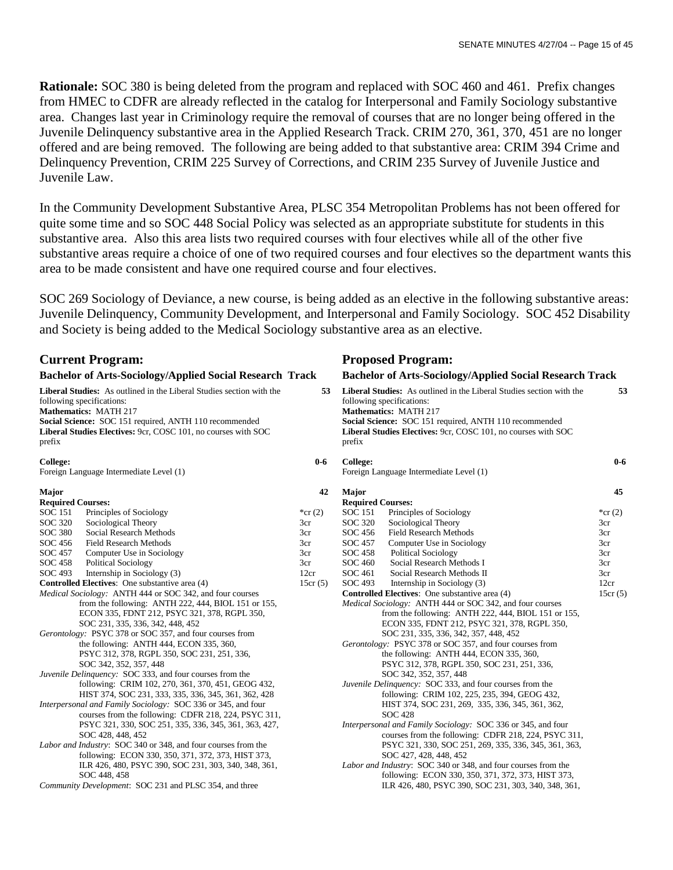**Rationale:** SOC 380 is being deleted from the program and replaced with SOC 460 and 461. Prefix changes from HMEC to CDFR are already reflected in the catalog for Interpersonal and Family Sociology substantive area. Changes last year in Criminology require the removal of courses that are no longer being offered in the Juvenile Delinquency substantive area in the Applied Research Track. CRIM 270, 361, 370, 451 are no longer offered and are being removed. The following are being added to that substantive area: CRIM 394 Crime and Delinquency Prevention, CRIM 225 Survey of Corrections, and CRIM 235 Survey of Juvenile Justice and Juvenile Law.

In the Community Development Substantive Area, PLSC 354 Metropolitan Problems has not been offered for quite some time and so SOC 448 Social Policy was selected as an appropriate substitute for students in this substantive area. Also this area lists two required courses with four electives while all of the other five substantive areas require a choice of one of two required courses and four electives so the department wants this area to be made consistent and have one required course and four electives.

SOC 269 Sociology of Deviance, a new course, is being added as an elective in the following substantive areas: Juvenile Delinquency, Community Development, and Interpersonal and Family Sociology. SOC 452 Disability and Society is being added to the Medical Sociology substantive area as an elective.

| <b>Current Program:</b>                                                                                                                                                                                                                                         |                                                                 |           |                                                                                                                                                                                                                                                                 | <b>Proposed Program:</b>                                        |           |  |  |
|-----------------------------------------------------------------------------------------------------------------------------------------------------------------------------------------------------------------------------------------------------------------|-----------------------------------------------------------------|-----------|-----------------------------------------------------------------------------------------------------------------------------------------------------------------------------------------------------------------------------------------------------------------|-----------------------------------------------------------------|-----------|--|--|
|                                                                                                                                                                                                                                                                 | <b>Bachelor of Arts-Sociology/Applied Social Research Track</b> |           | <b>Bachelor of Arts-Sociology/Applied Social Research Track</b>                                                                                                                                                                                                 |                                                                 |           |  |  |
| Liberal Studies: As outlined in the Liberal Studies section with the<br>following specifications:<br>Mathematics: MATH 217<br>Social Science: SOC 151 required, ANTH 110 recommended<br>Liberal Studies Electives: 9cr, COSC 101, no courses with SOC<br>prefix |                                                                 | 53        | Liberal Studies: As outlined in the Liberal Studies section with the<br>following specifications:<br>Mathematics: MATH 217<br>Social Science: SOC 151 required, ANTH 110 recommended<br>Liberal Studies Electives: 9cr, COSC 101, no courses with SOC<br>prefix |                                                                 |           |  |  |
| College:                                                                                                                                                                                                                                                        | Foreign Language Intermediate Level (1)                         | $0 - 6$   | <b>College:</b>                                                                                                                                                                                                                                                 | Foreign Language Intermediate Level (1)                         | $0 - 6$   |  |  |
| <b>Major</b>                                                                                                                                                                                                                                                    |                                                                 | 42        | Major                                                                                                                                                                                                                                                           |                                                                 | 45        |  |  |
| <b>Required Courses:</b>                                                                                                                                                                                                                                        |                                                                 |           | <b>Required Courses:</b>                                                                                                                                                                                                                                        |                                                                 |           |  |  |
| <b>SOC 151</b>                                                                                                                                                                                                                                                  | Principles of Sociology                                         | *cr $(2)$ | <b>SOC</b> 151                                                                                                                                                                                                                                                  | Principles of Sociology                                         | *cr $(2)$ |  |  |
| <b>SOC 320</b>                                                                                                                                                                                                                                                  | Sociological Theory                                             | 3cr       | SOC 320                                                                                                                                                                                                                                                         | Sociological Theory                                             | 3cr       |  |  |
| <b>SOC 380</b>                                                                                                                                                                                                                                                  | Social Research Methods                                         | 3cr       | SOC 456                                                                                                                                                                                                                                                         | <b>Field Research Methods</b>                                   | 3cr       |  |  |
| SOC 456                                                                                                                                                                                                                                                         | <b>Field Research Methods</b>                                   | 3cr       | SOC 457                                                                                                                                                                                                                                                         | Computer Use in Sociology                                       | 3cr       |  |  |
| <b>SOC 457</b>                                                                                                                                                                                                                                                  | Computer Use in Sociology                                       | 3cr       | <b>SOC 458</b>                                                                                                                                                                                                                                                  | <b>Political Sociology</b>                                      | 3cr       |  |  |
| <b>SOC 458</b>                                                                                                                                                                                                                                                  | <b>Political Sociology</b>                                      | 3cr       | SOC 460                                                                                                                                                                                                                                                         | Social Research Methods I                                       | 3cr       |  |  |
| <b>SOC 493</b>                                                                                                                                                                                                                                                  | Internship in Sociology (3)                                     | 12cr      | SOC 461                                                                                                                                                                                                                                                         | Social Research Methods II                                      | 3cr       |  |  |
|                                                                                                                                                                                                                                                                 | <b>Controlled Electives:</b> One substantive area (4)           | 15cr(5)   | SOC 493                                                                                                                                                                                                                                                         | Internship in Sociology (3)                                     | 12cr      |  |  |
|                                                                                                                                                                                                                                                                 | Medical Sociology: ANTH 444 or SOC 342, and four courses        |           |                                                                                                                                                                                                                                                                 | <b>Controlled Electives:</b> One substantive area (4)           | 15cr(5)   |  |  |
|                                                                                                                                                                                                                                                                 | from the following: ANTH 222, 444, BIOL 151 or 155,             |           |                                                                                                                                                                                                                                                                 | <i>Medical Sociology:</i> ANTH 444 or SOC 342, and four courses |           |  |  |
|                                                                                                                                                                                                                                                                 | ECON 335, FDNT 212, PSYC 321, 378, RGPL 350,                    |           |                                                                                                                                                                                                                                                                 | from the following: ANTH 222, 444, BIOL 151 or 155,             |           |  |  |
|                                                                                                                                                                                                                                                                 | SOC 231, 335, 336, 342, 448, 452                                |           |                                                                                                                                                                                                                                                                 | ECON 335, FDNT 212, PSYC 321, 378, RGPL 350,                    |           |  |  |
|                                                                                                                                                                                                                                                                 | Gerontology: PSYC 378 or SOC 357, and four courses from         |           |                                                                                                                                                                                                                                                                 | SOC 231, 335, 336, 342, 357, 448, 452                           |           |  |  |
|                                                                                                                                                                                                                                                                 | the following: ANTH 444, ECON 335, 360,                         |           |                                                                                                                                                                                                                                                                 | Gerontology: PSYC 378 or SOC 357, and four courses from         |           |  |  |
|                                                                                                                                                                                                                                                                 | PSYC 312, 378, RGPL 350, SOC 231, 251, 336,                     |           |                                                                                                                                                                                                                                                                 | the following: ANTH 444, ECON 335, 360,                         |           |  |  |
|                                                                                                                                                                                                                                                                 | SOC 342, 352, 357, 448                                          |           |                                                                                                                                                                                                                                                                 | PSYC 312, 378, RGPL 350, SOC 231, 251, 336,                     |           |  |  |
|                                                                                                                                                                                                                                                                 | Juvenile Delinquency: SOC 333, and four courses from the        |           |                                                                                                                                                                                                                                                                 | SOC 342, 352, 357, 448                                          |           |  |  |
|                                                                                                                                                                                                                                                                 | following: CRIM 102, 270, 361, 370, 451, GEOG 432,              |           |                                                                                                                                                                                                                                                                 | Juvenile Delinquency: SOC 333, and four courses from the        |           |  |  |
|                                                                                                                                                                                                                                                                 | HIST 374, SOC 231, 333, 335, 336, 345, 361, 362, 428            |           |                                                                                                                                                                                                                                                                 | following: CRIM 102, 225, 235, 394, GEOG 432,                   |           |  |  |
|                                                                                                                                                                                                                                                                 | Interpersonal and Family Sociology: SOC 336 or 345, and four    |           |                                                                                                                                                                                                                                                                 | HIST 374, SOC 231, 269, 335, 336, 345, 361, 362,                |           |  |  |
|                                                                                                                                                                                                                                                                 | courses from the following: CDFR 218, 224, PSYC 311,            |           |                                                                                                                                                                                                                                                                 | <b>SOC 428</b>                                                  |           |  |  |
|                                                                                                                                                                                                                                                                 | PSYC 321, 330, SOC 251, 335, 336, 345, 361, 363, 427,           |           |                                                                                                                                                                                                                                                                 | Interpersonal and Family Sociology: SOC 336 or 345, and four    |           |  |  |
|                                                                                                                                                                                                                                                                 | SOC 428, 448, 452                                               |           |                                                                                                                                                                                                                                                                 | courses from the following: CDFR 218, 224, PSYC 311,            |           |  |  |
|                                                                                                                                                                                                                                                                 | Labor and Industry: SOC 340 or 348, and four courses from the   |           |                                                                                                                                                                                                                                                                 | PSYC 321, 330, SOC 251, 269, 335, 336, 345, 361, 363,           |           |  |  |
|                                                                                                                                                                                                                                                                 | following: ECON 330, 350, 371, 372, 373, HIST 373,              |           |                                                                                                                                                                                                                                                                 | SOC 427, 428, 448, 452                                          |           |  |  |
|                                                                                                                                                                                                                                                                 | ILR 426, 480, PSYC 390, SOC 231, 303, 340, 348, 361,            |           |                                                                                                                                                                                                                                                                 | Labor and Industry: SOC 340 or 348, and four courses from the   |           |  |  |
|                                                                                                                                                                                                                                                                 | SOC 448, 458                                                    |           |                                                                                                                                                                                                                                                                 | following: ECON 330, 350, 371, 372, 373, HIST 373,              |           |  |  |
|                                                                                                                                                                                                                                                                 | Community Development: SOC 231 and PLSC 354, and three          |           |                                                                                                                                                                                                                                                                 | ILR 426, 480, PSYC 390, SOC 231, 303, 340, 348, 361,            |           |  |  |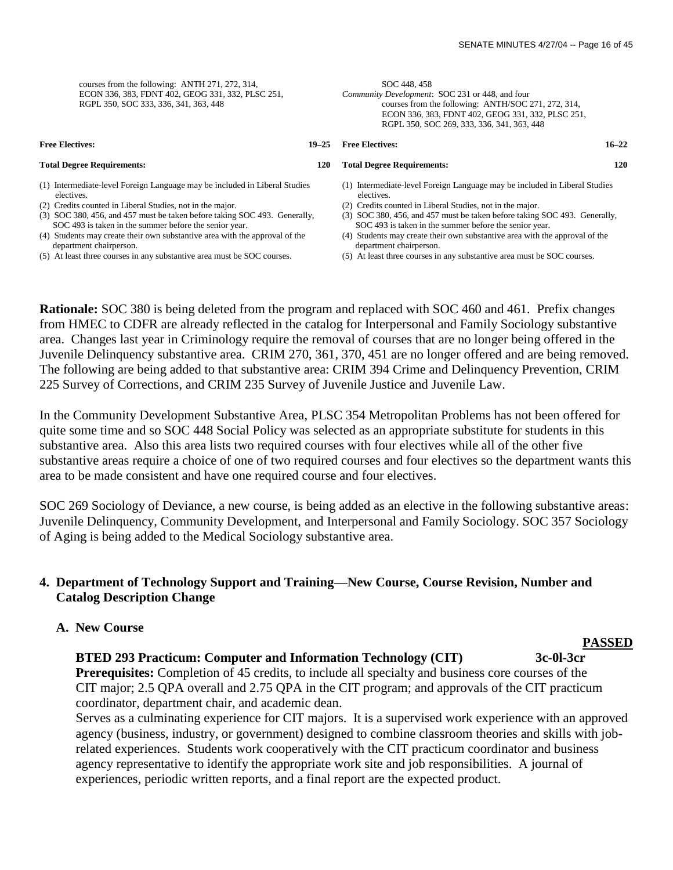| courses from the following: ANTH 271, 272, 314,<br>ECON 336, 383, FDNT 402, GEOG 331, 332, PLSC 251,<br>RGPL 350, SOC 333, 336, 341, 363, 448 | SOC 448, 458<br>Community Development: SOC 231 or 448, and four<br>courses from the following: ANTH/SOC 271, 272, 314,<br>ECON 336, 383, FDNT 402, GEOG 331, 332, PLSC 251,<br>RGPL 350, SOC 269, 333, 336, 341, 363, 448 |
|-----------------------------------------------------------------------------------------------------------------------------------------------|---------------------------------------------------------------------------------------------------------------------------------------------------------------------------------------------------------------------------|
| <b>Free Electives:</b>                                                                                                                        | $16 - 22$                                                                                                                                                                                                                 |
| $19 - 25$                                                                                                                                     | <b>Free Electives:</b>                                                                                                                                                                                                    |
| <b>Total Degree Requirements:</b>                                                                                                             | 120                                                                                                                                                                                                                       |
| <b>120</b>                                                                                                                                    | <b>Total Degree Requirements:</b>                                                                                                                                                                                         |
| (1) Intermediate-level Foreign Language may be included in Liberal Studies                                                                    | (1) Intermediate-level Foreign Language may be included in Liberal Studies                                                                                                                                                |
| electives.                                                                                                                                    | electives.                                                                                                                                                                                                                |
| (2) Credits counted in Liberal Studies, not in the major.                                                                                     | (2) Credits counted in Liberal Studies, not in the major.                                                                                                                                                                 |
| (3) SOC 380, 456, and 457 must be taken before taking SOC 493. Generally,                                                                     | (3) SOC 380, 456, and 457 must be taken before taking SOC 493. Generally,                                                                                                                                                 |
| SOC 493 is taken in the summer before the senior year.                                                                                        | SOC 493 is taken in the summer before the senior year.                                                                                                                                                                    |
| (4) Students may create their own substantive area with the approval of the                                                                   | (4) Students may create their own substantive area with the approval of the                                                                                                                                               |
| department chairperson.                                                                                                                       | department chairperson.                                                                                                                                                                                                   |
| (5) At least three courses in any substantive area must be SOC courses.                                                                       | (5) At least three courses in any substantive area must be SOC courses.                                                                                                                                                   |
|                                                                                                                                               |                                                                                                                                                                                                                           |

**Rationale:** SOC 380 is being deleted from the program and replaced with SOC 460 and 461. Prefix changes from HMEC to CDFR are already reflected in the catalog for Interpersonal and Family Sociology substantive area. Changes last year in Criminology require the removal of courses that are no longer being offered in the Juvenile Delinquency substantive area. CRIM 270, 361, 370, 451 are no longer offered and are being removed. The following are being added to that substantive area: CRIM 394 Crime and Delinquency Prevention, CRIM 225 Survey of Corrections, and CRIM 235 Survey of Juvenile Justice and Juvenile Law.

In the Community Development Substantive Area, PLSC 354 Metropolitan Problems has not been offered for quite some time and so SOC 448 Social Policy was selected as an appropriate substitute for students in this substantive area. Also this area lists two required courses with four electives while all of the other five substantive areas require a choice of one of two required courses and four electives so the department wants this area to be made consistent and have one required course and four electives.

SOC 269 Sociology of Deviance, a new course, is being added as an elective in the following substantive areas: Juvenile Delinquency, Community Development, and Interpersonal and Family Sociology. SOC 357 Sociology of Aging is being added to the Medical Sociology substantive area.

## **4. Department of Technology Support and Training—New Course, Course Revision, Number and Catalog Description Change**

## **A. New Course**

#### **BTED 293 Practicum: Computer and Information Technology (CIT) 3c-0l-3cr**

**Prerequisites:** Completion of 45 credits, to include all specialty and business core courses of the CIT major; 2.5 QPA overall and 2.75 QPA in the CIT program; and approvals of the CIT practicum coordinator, department chair, and academic dean.

 Serves as a culminating experience for CIT majors. It is a supervised work experience with an approved agency (business, industry, or government) designed to combine classroom theories and skills with job related experiences. Students work cooperatively with the CIT practicum coordinator and business agency representative to identify the appropriate work site and job responsibilities. A journal of experiences, periodic written reports, and a final report are the expected product.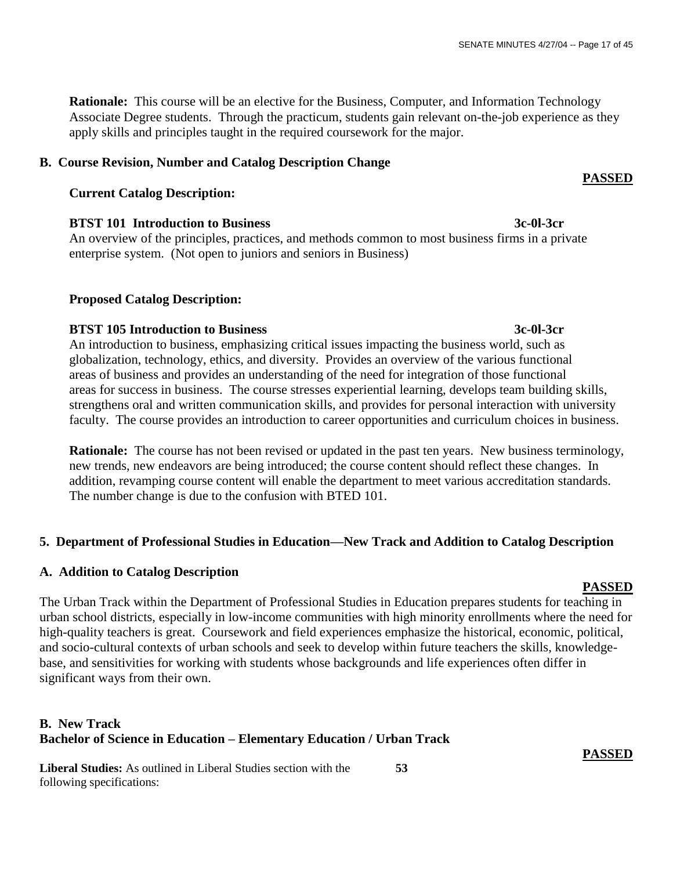**Rationale:** This course will be an elective for the Business, Computer, and Information Technology Associate Degree students. Through the practicum, students gain relevant on-the-job experience as they apply skills and principles taught in the required coursework for the major.

## **B. Course Revision, Number and Catalog Description Change**

## **Current Catalog Description:**

 **BTST 101 Introduction to Business 3c-0l-3cr**

An overview of the principles, practices, and methods common to most business firms in a private enterprise system. (Not open to juniors and seniors in Business)

## **Proposed Catalog Description:**

## **BTST 105 Introduction to Business 3c-0l-3cr**

An introduction to business, emphasizing critical issues impacting the business world, such as globalization, technology, ethics, and diversity. Provides an overview of the various functional areas of business and provides an understanding of the need for integration of those functional areas for success in business. The course stresses experiential learning, develops team building skills, strengthens oral and written communication skills, and provides for personal interaction with university faculty. The course provides an introduction to career opportunities and curriculum choices in business.

**Rationale:** The course has not been revised or updated in the past ten years. New business terminology, new trends, new endeavors are being introduced; the course content should reflect these changes. In addition, revamping course content will enable the department to meet various accreditation standards. The number change is due to the confusion with BTED 101.

## **5. Department of Professional Studies in Education—New Track and Addition to Catalog Description**

## **A. Addition to Catalog Description**

#### **PASSED**

The Urban Track within the Department of Professional Studies in Education prepares students for teaching in urban school districts, especially in low-income communities with high minority enrollments where the need for high-quality teachers is great. Coursework and field experiences emphasize the historical, economic, political, and socio-cultural contexts of urban schools and seek to develop within future teachers the skills, knowledgebase, and sensitivities for working with students whose backgrounds and life experiences often differ in significant ways from their own.

## **B. New Track Bachelor of Science in Education – Elementary Education / Urban Track**

**Liberal Studies:** As outlined in Liberal Studies section with the **53**  following specifications:

 **PASSED**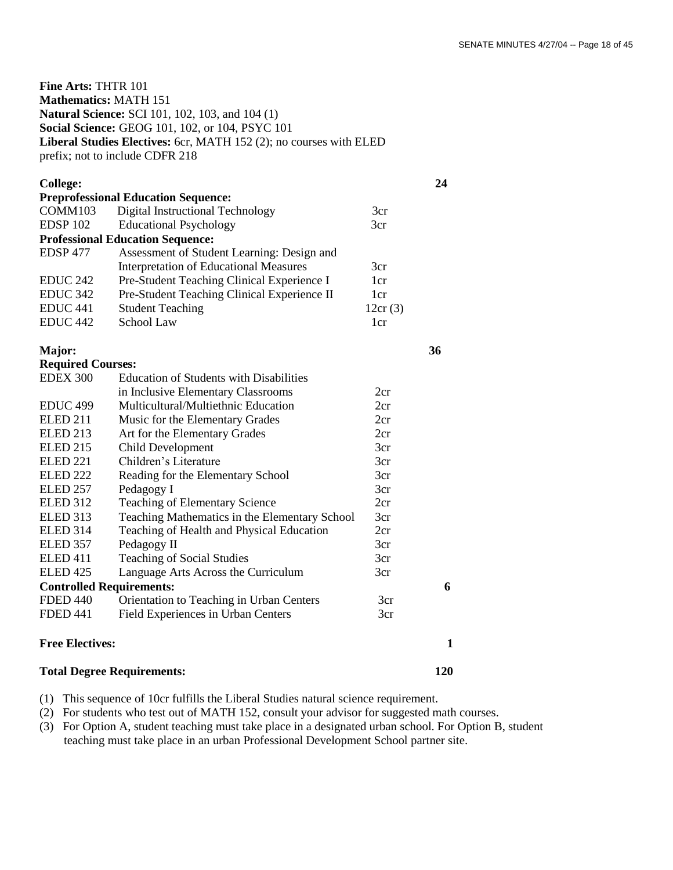**Fine Arts:** THTR 101 **Mathematics:** MATH 151 **Natural Science:** SCI 101, 102, 103, and 104 (1) **Social Science:** GEOG 101, 102, or 104, PSYC 101 **Liberal Studies Electives:** 6cr, MATH 152 (2); no courses with ELED prefix; not to include CDFR 218

| <b>College:</b>     |                                               |                 | 24 |
|---------------------|-----------------------------------------------|-----------------|----|
|                     | <b>Preprofessional Education Sequence:</b>    |                 |    |
| COMM103             | Digital Instructional Technology              | 3cr             |    |
| EDSP <sub>102</sub> | <b>Educational Psychology</b>                 | 3cr             |    |
|                     | <b>Professional Education Sequence:</b>       |                 |    |
| EDSP <sub>477</sub> | Assessment of Student Learning: Design and    |                 |    |
|                     | <b>Interpretation of Educational Measures</b> | 3cr             |    |
| <b>EDUC 242</b>     | Pre-Student Teaching Clinical Experience I    | 1 <sub>cr</sub> |    |
| <b>EDUC 342</b>     | Pre-Student Teaching Clinical Experience II   | 1 <sub>cr</sub> |    |
| EDUC <sub>441</sub> | <b>Student Teaching</b>                       | 12cr(3)         |    |
| EDUC <sub>442</sub> | School Law                                    | 1cr             |    |

**Major: 36** 

**Required Courses:**

EDEX 300 Education of Students with Disabilities in Inclusive Elementary Classrooms 2cr EDUC 499 Multicultural/Multiethnic Education 2cr ELED 211 Music for the Elementary Grades 2cr ELED 213 Art for the Elementary Grades 2cr ELED 215 Child Development 3cr ELED 221 Children's Literature 3cr ELED 222 Reading for the Elementary School 3cr ELED 257 Pedagogy I 3cr ELED 312 Teaching of Elementary Science 2cr ELED 313 Teaching Mathematics in the Elementary School 3cr ELED 314 Teaching of Health and Physical Education 2cr ELED 357 Pedagogy II 3cr ELED 411 Teaching of Social Studies 3cr ELED 425 Language Arts Across the Curriculum 3cr **Controlled Requirements: 6** FDED 440 Orientation to Teaching in Urban Centers 3cr FDED 441 Field Experiences in Urban Centers 3cr **Free Electives:** 1

## **Total Degree Requirements: 120**

(1) This sequence of 10cr fulfills the Liberal Studies natural science requirement.

(2) For students who test out of MATH 152, consult your advisor for suggested math courses.

(3) For Option A, student teaching must take place in a designated urban school. For Option B, student teaching must take place in an urban Professional Development School partner site.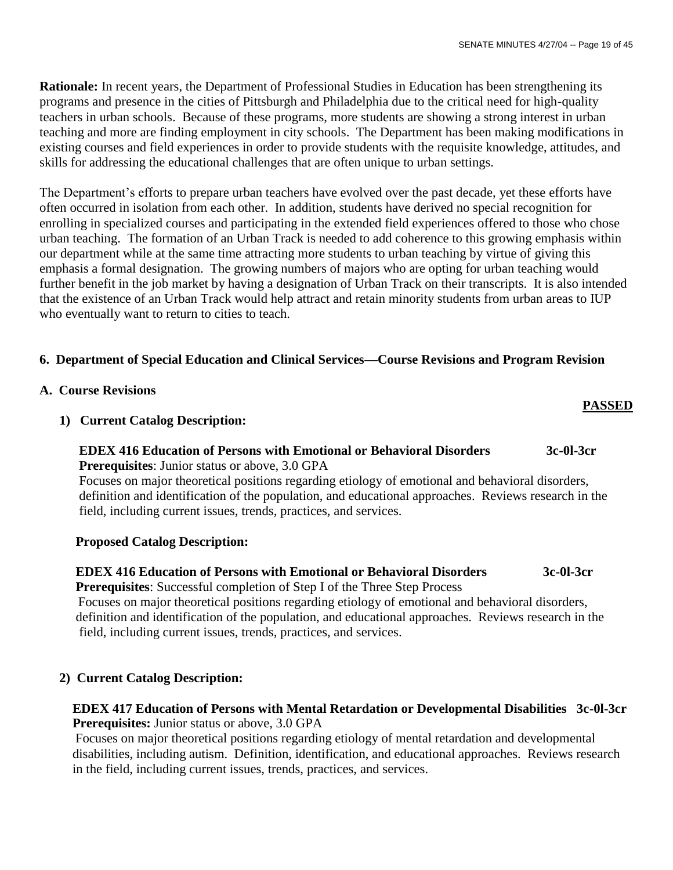**Rationale:** In recent years, the Department of Professional Studies in Education has been strengthening its programs and presence in the cities of Pittsburgh and Philadelphia due to the critical need for high-quality teachers in urban schools. Because of these programs, more students are showing a strong interest in urban teaching and more are finding employment in city schools. The Department has been making modifications in existing courses and field experiences in order to provide students with the requisite knowledge, attitudes, and skills for addressing the educational challenges that are often unique to urban settings.

The Department's efforts to prepare urban teachers have evolved over the past decade, yet these efforts have often occurred in isolation from each other. In addition, students have derived no special recognition for enrolling in specialized courses and participating in the extended field experiences offered to those who chose urban teaching. The formation of an Urban Track is needed to add coherence to this growing emphasis within our department while at the same time attracting more students to urban teaching by virtue of giving this emphasis a formal designation. The growing numbers of majors who are opting for urban teaching would further benefit in the job market by having a designation of Urban Track on their transcripts. It is also intended that the existence of an Urban Track would help attract and retain minority students from urban areas to IUP who eventually want to return to cities to teach.

## **6. Department of Special Education and Clinical Services—Course Revisions and Program Revision**

- **A. Course Revisions**
	- **1) Current Catalog Description:**

## **EDEX 416 Education of Persons with Emotional or Behavioral Disorders 3c-0l-3cr Prerequisites**: Junior status or above, 3.0 GPA

 Focuses on major theoretical positions regarding etiology of emotional and behavioral disorders, definition and identification of the population, and educational approaches. Reviews research in the field, including current issues, trends, practices, and services.

## **Proposed Catalog Description:**

## **EDEX 416 Education of Persons with Emotional or Behavioral Disorders 3c-0l-3cr Prerequisites**: Successful completion of Step I of the Three Step Process

 Focuses on major theoretical positions regarding etiology of emotional and behavioral disorders, definition and identification of the population, and educational approaches. Reviews research in the field, including current issues, trends, practices, and services.

## **2) Current Catalog Description:**

## **EDEX 417 Education of Persons with Mental Retardation or Developmental Disabilities 3c-0l-3cr Prerequisites:** Junior status or above, 3.0 GPA

 Focuses on major theoretical positions regarding etiology of mental retardation and developmental disabilities, including autism. Definition, identification, and educational approaches. Reviews research in the field, including current issues, trends, practices, and services.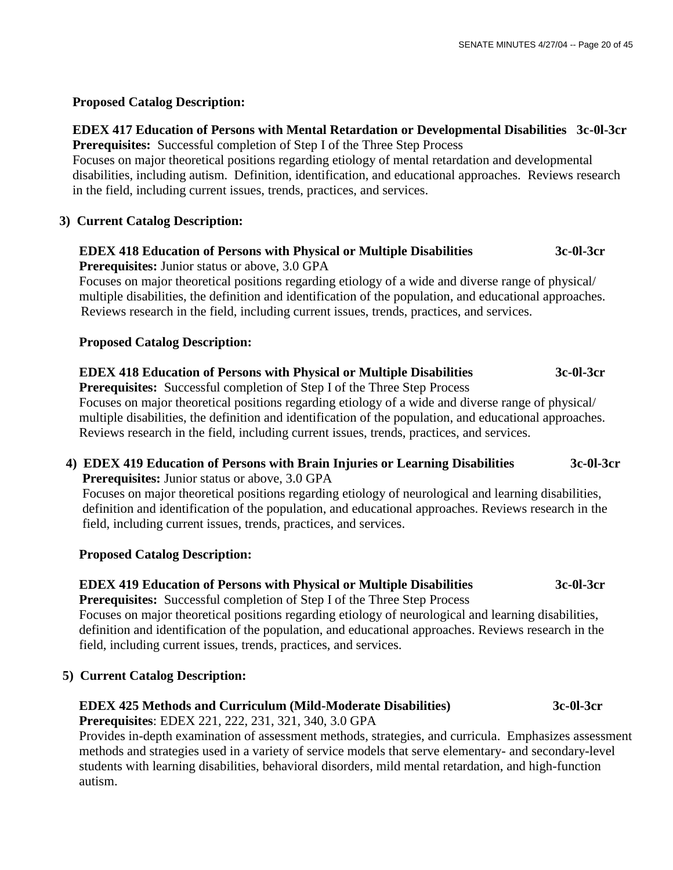## **Proposed Catalog Description:**

## **EDEX 417 Education of Persons with Mental Retardation or Developmental Disabilities 3c-0l-3cr Prerequisites:** Successful completion of Step I of the Three Step Process

 Focuses on major theoretical positions regarding etiology of mental retardation and developmental disabilities, including autism. Definition, identification, and educational approaches. Reviews research in the field, including current issues, trends, practices, and services.

## **3) Current Catalog Description:**

## **EDEX 418 Education of Persons with Physical or Multiple Disabilities 3c-0l-3cr**

 **Prerequisites:** Junior status or above, 3.0 GPA

Focuses on major theoretical positions regarding etiology of a wide and diverse range of physical/ multiple disabilities, the definition and identification of the population, and educational approaches. Reviews research in the field, including current issues, trends, practices, and services.

## **Proposed Catalog Description:**

## **EDEX 418 Education of Persons with Physical or Multiple Disabilities 3c-0l-3cr**

**Prerequisites:** Successful completion of Step I of the Three Step Process

Focuses on major theoretical positions regarding etiology of a wide and diverse range of physical/ multiple disabilities, the definition and identification of the population, and educational approaches. Reviews research in the field, including current issues, trends, practices, and services.

## **4) EDEX 419 Education of Persons with Brain Injuries or Learning Disabilities 3c-0l-3cr Prerequisites:** Junior status or above, 3.0 GPA

Focuses on major theoretical positions regarding etiology of neurological and learning disabilities, definition and identification of the population, and educational approaches. Reviews research in the field, including current issues, trends, practices, and services.

## **Proposed Catalog Description:**

## **EDEX 419 Education of Persons with Physical or Multiple Disabilities 3c-0l-3cr**

**Prerequisites:** Successful completion of Step I of the Three Step Process Focuses on major theoretical positions regarding etiology of neurological and learning disabilities, definition and identification of the population, and educational approaches. Reviews research in the field, including current issues, trends, practices, and services.

## **5) Current Catalog Description:**

## **EDEX 425 Methods and Curriculum (Mild-Moderate Disabilities) 3c-0l-3cr**

**Prerequisites**: EDEX 221, 222, 231, 321, 340, 3.0 GPA

 Provides in-depth examination of assessment methods, strategies, and curricula. Emphasizes assessment methods and strategies used in a variety of service models that serve elementary- and secondary-level students with learning disabilities, behavioral disorders, mild mental retardation, and high-function autism.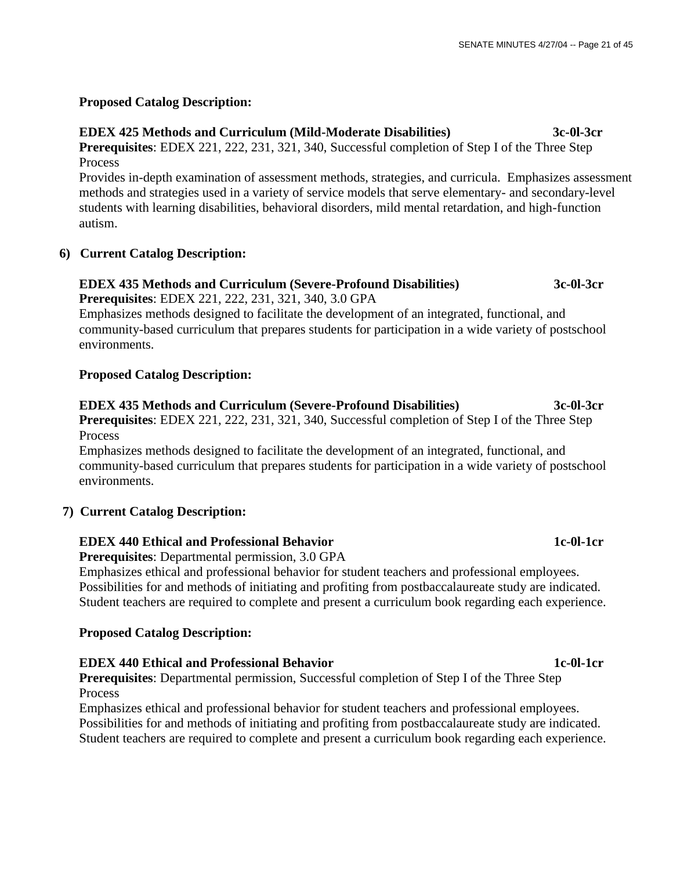## **Proposed Catalog Description:**

## **EDEX 425 Methods and Curriculum (Mild-Moderate Disabilities) 3c-0l-3cr**

**Prerequisites**: EDEX 221, 222, 231, 321, 340, Successful completion of Step I of the Three Step Process

Provides in-depth examination of assessment methods, strategies, and curricula. Emphasizes assessment methods and strategies used in a variety of service models that serve elementary- and secondary-level students with learning disabilities, behavioral disorders, mild mental retardation, and high-function autism.

## **6) Current Catalog Description:**

## **EDEX 435 Methods and Curriculum (Severe-Profound Disabilities) 3c-0l-3cr**

 **Prerequisites**: EDEX 221, 222, 231, 321, 340, 3.0 GPA

Emphasizes methods designed to facilitate the development of an integrated, functional, and community-based curriculum that prepares students for participation in a wide variety of postschool environments.

## **Proposed Catalog Description:**

## **EDEX 435 Methods and Curriculum (Severe-Profound Disabilities) 3c-0l-3cr**

**Prerequisites**: EDEX 221, 222, 231, 321, 340, Successful completion of Step I of the Three Step Process

Emphasizes methods designed to facilitate the development of an integrated, functional, and community-based curriculum that prepares students for participation in a wide variety of postschool environments.

## **7) Current Catalog Description:**

## **EDEX 440 Ethical and Professional Behavior 1c-0l-1cr** 1c-0l-1cr

 **Prerequisites**: Departmental permission, 3.0 GPA

 Emphasizes ethical and professional behavior for student teachers and professional employees. Possibilities for and methods of initiating and profiting from postbaccalaureate study are indicated. Student teachers are required to complete and present a curriculum book regarding each experience.

## **Proposed Catalog Description:**

## **EDEX 440 Ethical and Professional Behavior 1c-0l-1cr** 1c-0l-1cr

**Prerequisites**: Departmental permission, Successful completion of Step I of the Three Step Process

 Emphasizes ethical and professional behavior for student teachers and professional employees. Possibilities for and methods of initiating and profiting from postbaccalaureate study are indicated. Student teachers are required to complete and present a curriculum book regarding each experience.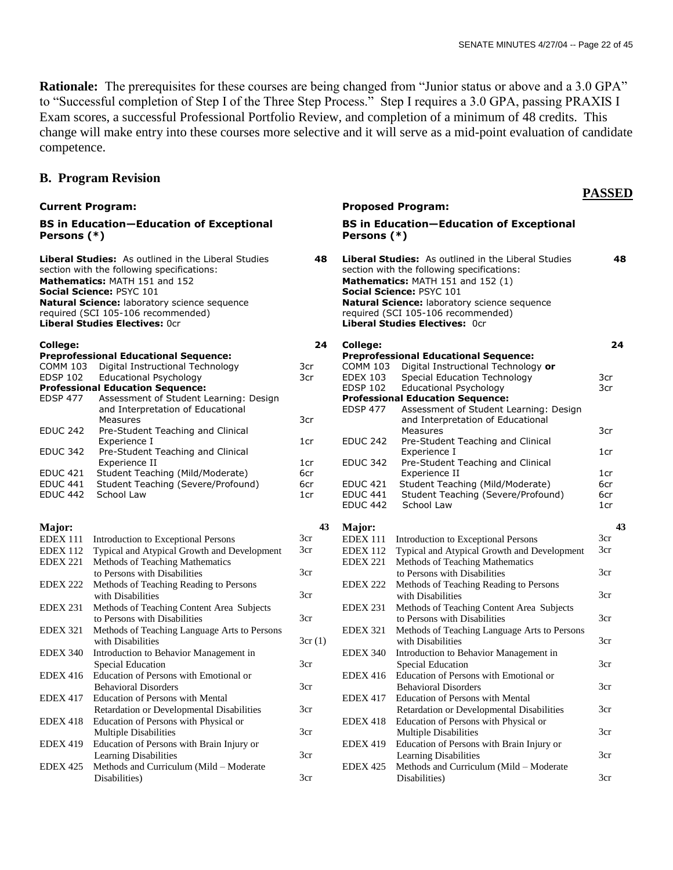**PASSED**

**Rationale:** The prerequisites for these courses are being changed from "Junior status or above and a 3.0 GPA" to "Successful completion of Step I of the Three Step Process." Step I requires a 3.0 GPA, passing PRAXIS I Exam scores, a successful Professional Portfolio Review, and completion of a minimum of 48 credits. This change will make entry into these courses more selective and it will serve as a mid-point evaluation of candidate competence.

### **B. Program Revision**

#### **Current Program: Proposed Program: BS in Education—Education of Exceptional Persons (\*) BS in Education—Education of Exceptional Persons (\*) Liberal Studies:** As outlined in the Liberal Studies section with the following specifications:  **48 Liberal Studies:** As outlined in the Liberal Studies section with the following specifications:  **48 Mathematics:** MATH 151 and 152 **Mathematics:** MATH 151 and 152 (1) **Social Science:** PSYC 101 **Social Science:** PSYC 101 **Natural Science:** laboratory science sequence required (SCI 105-106 recommended) **Natural Science:** laboratory science sequence required (SCI 105-106 recommended) **Liberal Studies Electives:** 0cr **Liberal Studies Electives:** 0cr **College: Preprofessional Educational Sequence:** COMM 103 Digital Instructional Technology EDSP 102 Educational Psychology **Professional Education Sequence:** EDSP 477 Assessment of Student Learning: Design and Interpretation of Educational Measures EDUC 242 Pre-Student Teaching and Clinical Experience I EDUC 342 Pre-Student Teaching and Clinical Experience II EDUC 421 Student Teaching (Mild/Moderate) EDUC 441 Student Teaching (Severe/Profound) EDUC 442 School Law  **24** 3cr 3cr 3cr 1cr 1cr 6cr 6cr 1cr **College: Preprofessional Educational Sequence:** COMM 103 Digital Instructional Technology **or** EDEX 103 Special Education Technology EDSP 102 Educational Psychology **Professional Education Sequence:** EDSP 477 Assessment of Student Learning: Design and Interpretation of Educational Measures EDUC 242 Pre-Student Teaching and Clinical Experience I EDUC 342 Pre-Student Teaching and Clinical Experience II EDUC 421 Student Teaching (Mild/Moderate)<br>EDUC 441 Student Teaching (Severe/Profour EDUC 441 Student Teaching (Severe/Profound)<br>EDUC 442 School Law School Law **24** 3cr 3cr 3cr 1cr 1cr 6cr 6cr 1cr **Major:**  EDEX 111 Introduction to Exceptional Persons EDEX 112 Typical and Atypical Growth and Development EDEX 221 Methods of Teaching Mathematics to Persons with Disabilities EDEX 222 Methods of Teaching Reading to Persons with Disabilities EDEX 231 Methods of Teaching Content Area Subjects to Persons with Disabilities EDEX 321 Methods of Teaching Language Arts to Persons with Disabilities EDEX 340 Introduction to Behavior Management in Special Education EDEX 416 Education of Persons with Emotional or Behavioral Disorders EDEX 417 Education of Persons with Mental Retardation or Developmental Disabilities EDEX 418 Education of Persons with Physical or Multiple Disabilities EDEX 419 Education of Persons with Brain Injury or Learning Disabilities EDEX 425 Methods and Curriculum (Mild – Moderate Disabilities) **43** 3cr 3cr 3cr 3cr 3cr 3cr (1) 3cr 3cr 3cr 3cr 3cr 3cr **Major:**  EDEX 111 Introduction to Exceptional Persons EDEX 112 Typical and Atypical Growth and Development EDEX 221 Methods of Teaching Mathematics to Persons with Disabilities EDEX 222 Methods of Teaching Reading to Persons with Disabilities EDEX 231 Methods of Teaching Content Area Subjects to Persons with Disabilities EDEX 321 Methods of Teaching Language Arts to Persons with Disabilities EDEX 340 Introduction to Behavior Management in Special Education EDEX 416 Education of Persons with Emotional or Behavioral Disorders EDEX 417 Education of Persons with Mental Retardation or Developmental Disabilities EDEX 418 Education of Persons with Physical or Multiple Disabilities EDEX 419 Education of Persons with Brain Injury or Learning Disabilities EDEX 425 Methods and Curriculum (Mild – Moderate Disabilities) **43** 3cr 3cr 3cr 3cr 3cr 3cr 3cr 3cr 3cr 3cr 3cr 3cr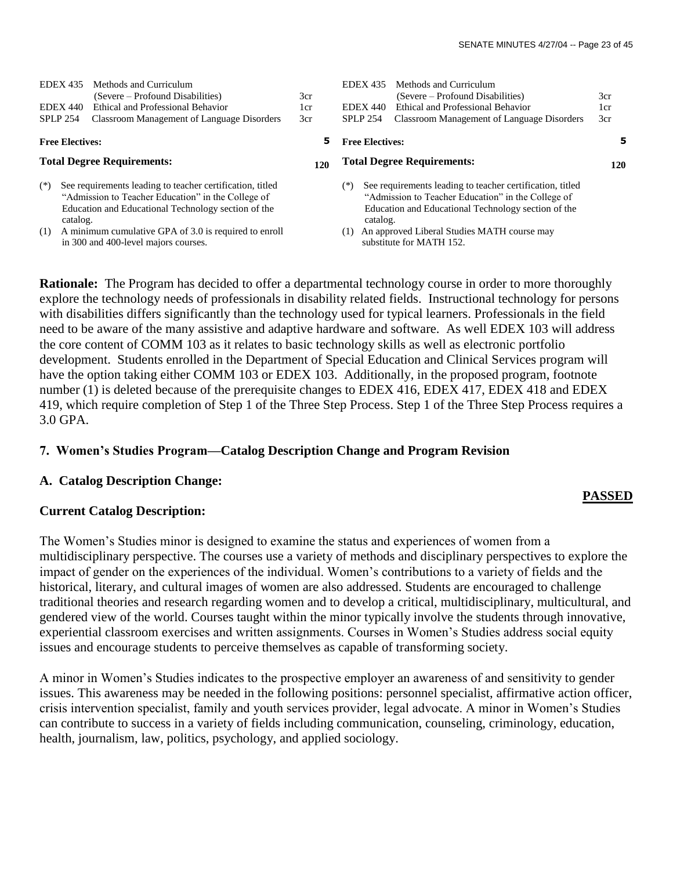| <b>EDEX 435</b><br><b>EDEX 440</b><br><b>SPLP 254</b> |                                                                                                                                                                                                                                                                                     | Methods and Curriculum<br>(Severe – Profound Disabilities)<br>Ethical and Professional Behavior<br>Classroom Management of Language Disorders | 3cr<br>1cr<br>3cr                   | <b>EDEX 435</b><br><b>EDEX 440</b><br><b>SPLP 254</b>                                                                                                                                                                                             | Methods and Curriculum<br>(Severe – Profound Disabilities)<br>Ethical and Professional Behavior<br>Classroom Management of Language Disorders | 3cr<br>1cr<br>3cr |
|-------------------------------------------------------|-------------------------------------------------------------------------------------------------------------------------------------------------------------------------------------------------------------------------------------------------------------------------------------|-----------------------------------------------------------------------------------------------------------------------------------------------|-------------------------------------|---------------------------------------------------------------------------------------------------------------------------------------------------------------------------------------------------------------------------------------------------|-----------------------------------------------------------------------------------------------------------------------------------------------|-------------------|
| <b>Free Electives:</b>                                |                                                                                                                                                                                                                                                                                     |                                                                                                                                               | 5                                   | <b>Free Electives:</b>                                                                                                                                                                                                                            |                                                                                                                                               | 5                 |
| <b>Total Degree Requirements:</b>                     |                                                                                                                                                                                                                                                                                     |                                                                                                                                               | 120                                 | <b>Total Degree Requirements:</b>                                                                                                                                                                                                                 |                                                                                                                                               |                   |
| $(*)$<br>(1)                                          | See requirements leading to teacher certification, titled<br>"Admission to Teacher Education" in the College of<br>Education and Educational Technology section of the<br>catalog.<br>A minimum cumulative GPA of 3.0 is required to enroll<br>in 300 and 400-level majors courses. |                                                                                                                                               | (*)<br>catalog.<br>$\left(1\right)$ | See requirements leading to teacher certification, titled<br>"Admission to Teacher Education" in the College of<br>Education and Educational Technology section of the<br>An approved Liberal Studies MATH course may<br>substitute for MATH 152. |                                                                                                                                               |                   |

**Rationale:** The Program has decided to offer a departmental technology course in order to more thoroughly explore the technology needs of professionals in disability related fields. Instructional technology for persons with disabilities differs significantly than the technology used for typical learners. Professionals in the field need to be aware of the many assistive and adaptive hardware and software. As well EDEX 103 will address the core content of COMM 103 as it relates to basic technology skills as well as electronic portfolio development. Students enrolled in the Department of Special Education and Clinical Services program will have the option taking either COMM 103 or EDEX 103. Additionally, in the proposed program, footnote number (1) is deleted because of the prerequisite changes to EDEX 416, EDEX 417, EDEX 418 and EDEX 419, which require completion of Step 1 of the Three Step Process. Step 1 of the Three Step Process requires a 3.0 GPA.

## **7. Women's Studies Program—Catalog Description Change and Program Revision**

## **A. Catalog Description Change:**

## **Current Catalog Description:**

The Women's Studies minor is designed to examine the status and experiences of women from a multidisciplinary perspective. The courses use a variety of methods and disciplinary perspectives to explore the impact of gender on the experiences of the individual. Women's contributions to a variety of fields and the historical, literary, and cultural images of women are also addressed. Students are encouraged to challenge traditional theories and research regarding women and to develop a critical, multidisciplinary, multicultural, and gendered view of the world. Courses taught within the minor typically involve the students through innovative, experiential classroom exercises and written assignments. Courses in Women's Studies address social equity issues and encourage students to perceive themselves as capable of transforming society.

A minor in Women's Studies indicates to the prospective employer an awareness of and sensitivity to gender issues. This awareness may be needed in the following positions: personnel specialist, affirmative action officer, crisis intervention specialist, family and youth services provider, legal advocate. A minor in Women's Studies can contribute to success in a variety of fields including communication, counseling, criminology, education, health, journalism, law, politics, psychology, and applied sociology.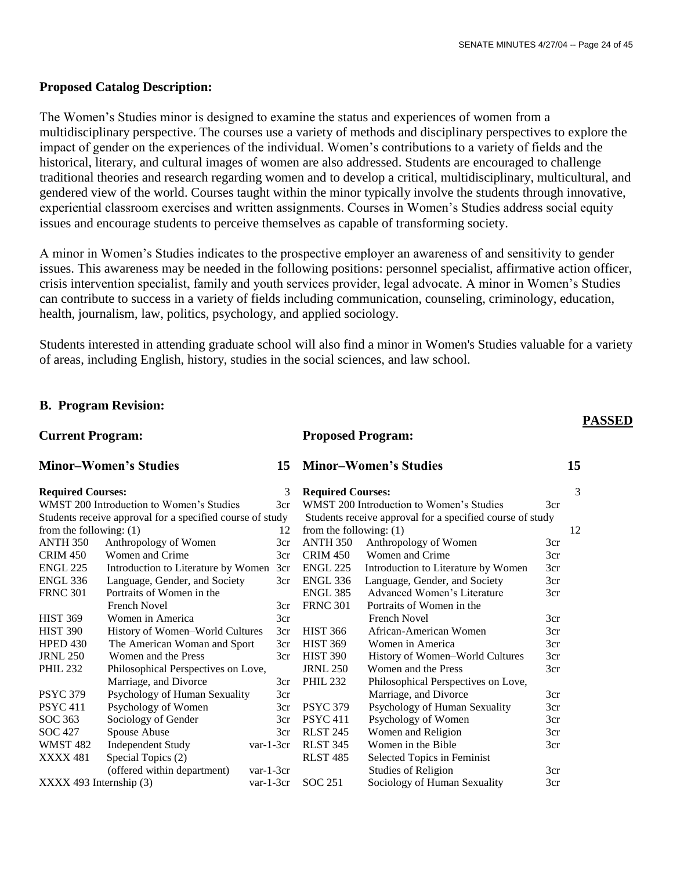## **Proposed Catalog Description:**

The Women's Studies minor is designed to examine the status and experiences of women from a multidisciplinary perspective. The courses use a variety of methods and disciplinary perspectives to explore the impact of gender on the experiences of the individual. Women's contributions to a variety of fields and the historical, literary, and cultural images of women are also addressed. Students are encouraged to challenge traditional theories and research regarding women and to develop a critical, multidisciplinary, multicultural, and gendered view of the world. Courses taught within the minor typically involve the students through innovative, experiential classroom exercises and written assignments. Courses in Women's Studies address social equity issues and encourage students to perceive themselves as capable of transforming society.

A minor in Women's Studies indicates to the prospective employer an awareness of and sensitivity to gender issues. This awareness may be needed in the following positions: personnel specialist, affirmative action officer, crisis intervention specialist, family and youth services provider, legal advocate. A minor in Women's Studies can contribute to success in a variety of fields including communication, counseling, criminology, education, health, journalism, law, politics, psychology, and applied sociology.

Students interested in attending graduate school will also find a minor in Women's Studies valuable for a variety of areas, including English, history, studies in the social sciences, and law school.

**Proposed Program:**

## **B. Program Revision:**

### **Current Program:**

## **Minor–Women's Studies**

#### **Required Courses:** 3

| <b>Required Courses:</b>                                  |                 | 3                                        | <b>Required Courses:</b> |                 |                                                           | 3   |  |
|-----------------------------------------------------------|-----------------|------------------------------------------|--------------------------|-----------------|-----------------------------------------------------------|-----|--|
|                                                           |                 | WMST 200 Introduction to Women's Studies | 3cr                      |                 | WMST 200 Introduction to Women's Studies                  | 3cr |  |
| Students receive approval for a specified course of study |                 |                                          |                          |                 | Students receive approval for a specified course of study |     |  |
| from the following: $(1)$                                 |                 |                                          | 12                       |                 | from the following: $(1)$                                 |     |  |
|                                                           | ANTH 350        | Anthropology of Women                    | 3cr                      | ANTH 350        | Anthropology of Women                                     | 3cr |  |
|                                                           | <b>CRIM 450</b> | Women and Crime                          | 3cr                      | <b>CRIM 450</b> | Women and Crime                                           | 3cr |  |
|                                                           | <b>ENGL 225</b> | Introduction to Literature by Women      | 3cr                      | <b>ENGL 225</b> | Introduction to Literature by Women                       | 3cr |  |
|                                                           | ENGL 336        | Language, Gender, and Society            | 3cr                      | ENGL 336        | Language, Gender, and Society                             | 3cr |  |
|                                                           | <b>FRNC 301</b> | Portraits of Women in the                |                          | <b>ENGL 385</b> | Advanced Women's Literature                               | 3cr |  |
|                                                           |                 | <b>French Novel</b>                      | 3cr                      | <b>FRNC 301</b> | Portraits of Women in the                                 |     |  |
|                                                           | <b>HIST 369</b> | Women in America                         | 3cr                      |                 | <b>French Novel</b>                                       | 3cr |  |
|                                                           | <b>HIST 390</b> | History of Women-World Cultures          | 3cr                      | <b>HIST 366</b> | African-American Women                                    | 3cr |  |
|                                                           | HPED 430        | The American Woman and Sport             | 3cr                      | <b>HIST 369</b> | Women in America                                          | 3cr |  |
|                                                           | <b>JRNL 250</b> | Women and the Press                      | 3cr                      | <b>HIST 390</b> | History of Women-World Cultures                           | 3cr |  |
|                                                           | <b>PHIL 232</b> | Philosophical Perspectives on Love,      |                          | <b>JRNL 250</b> | Women and the Press                                       | 3cr |  |
|                                                           |                 | Marriage, and Divorce                    | 3cr                      | <b>PHIL 232</b> | Philosophical Perspectives on Love,                       |     |  |
|                                                           | <b>PSYC 379</b> | Psychology of Human Sexuality            | 3cr                      |                 | Marriage, and Divorce                                     | 3cr |  |
|                                                           | <b>PSYC 411</b> | Psychology of Women                      | 3cr                      | <b>PSYC 379</b> | Psychology of Human Sexuality                             | 3cr |  |
|                                                           | SOC 363         | Sociology of Gender                      | 3cr                      | <b>PSYC 411</b> | Psychology of Women                                       | 3cr |  |
|                                                           | SOC 427         | Spouse Abuse                             | 3cr                      | <b>RLST 245</b> | Women and Religion                                        | 3cr |  |
|                                                           | <b>WMST 482</b> | <b>Independent Study</b>                 | $var-1-3cr$              | <b>RLST 345</b> | Women in the Bible                                        | 3cr |  |
|                                                           | <b>XXXX 481</b> | Special Topics (2)                       |                          | <b>RLST 485</b> | Selected Topics in Feminist                               |     |  |
|                                                           |                 | (offered within department)              | $var-1-3cr$              |                 | <b>Studies of Religion</b>                                | 3cr |  |
| $XXXX$ 493 Internship $(3)$                               |                 |                                          | $var-1-3cr$              | SOC 251         | Sociology of Human Sexuality                              | 3cr |  |

## **PASSED**

# **Minor–Women's Studies 15**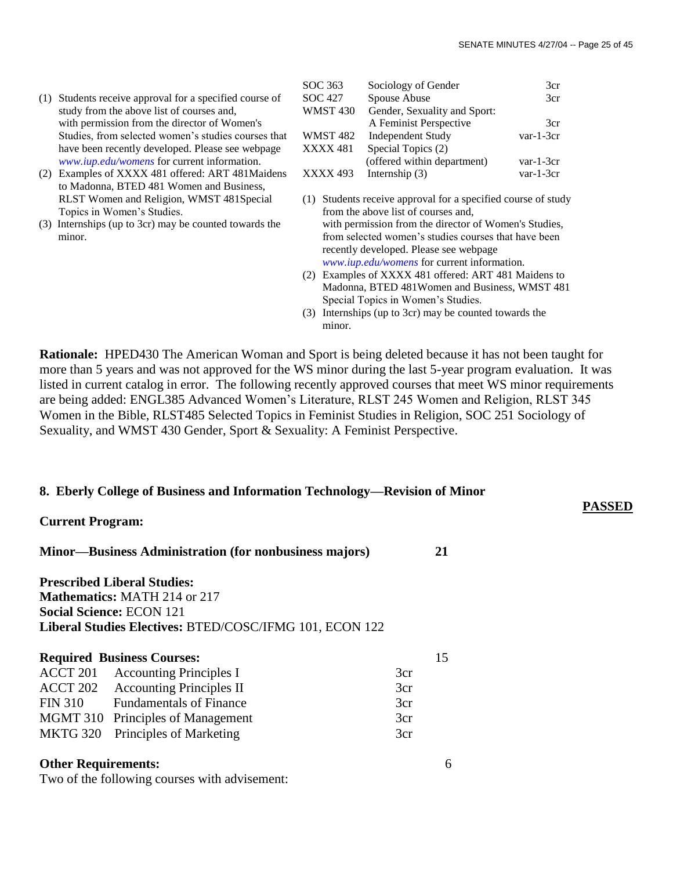**PASSED**

- (1) Students receive approval for a specified course of study from the above list of courses and, with permission from the director of Women's Studies, from selected women's studies courses that have been recently developed. Please see webpage *[www.iup.edu/womens](http://www.iup.edu/womens/)* for current information.
- (2) Examples of XXXX 481 offered: ART 481Maidens to Madonna, BTED 481 Women and Business, RLST Women and Religion, WMST 481Special Topics in Women's Studies.
- (3) Internships (up to 3cr) may be counted towards the minor.

Two of the following courses with advisement:

| SOC 363  | Sociology of Gender          | 3cr         |
|----------|------------------------------|-------------|
| SOC 427  | Spouse Abuse                 | 3cr         |
| WMST 430 | Gender, Sexuality and Sport: |             |
|          | A Feminist Perspective       | 3cr         |
| WMST 482 | <b>Independent Study</b>     | $var-1-3cr$ |
| XXXX 481 | Special Topics (2)           |             |
|          | (offered within department)  | $var-1-3cr$ |
| XXXX 493 | Internship $(3)$             | $var-1-3cr$ |
|          |                              |             |

- (1) Students receive approval for a specified course of study from the above list of courses and, with permission from the director of Women's Studies, from selected women's studies courses that have been recently developed. Please see webpage *[www.iup.edu/womens](http://www.iup.edu/womens/)* for current information.
- (2) Examples of XXXX 481 offered: ART 481 Maidens to Madonna, BTED 481Women and Business, WMST 481 Special Topics in Women's Studies.
- (3) Internships (up to 3cr) may be counted towards the minor.

**Rationale:** HPED430 The American Woman and Sport is being deleted because it has not been taught for more than 5 years and was not approved for the WS minor during the last 5-year program evaluation. It was listed in current catalog in error. The following recently approved courses that meet WS minor requirements are being added: ENGL385 Advanced Women's Literature, RLST 245 Women and Religion, RLST 345 Women in the Bible, RLST485 Selected Topics in Feminist Studies in Religion, SOC 251 Sociology of Sexuality, and WMST 430 Gender, Sport & Sexuality: A Feminist Perspective.

#### **8. Eberly College of Business and Information Technology—Revision of Minor**

| <b>Current Program:</b>    |                                                                                                                                                                         |     |    |  |
|----------------------------|-------------------------------------------------------------------------------------------------------------------------------------------------------------------------|-----|----|--|
|                            | <b>Minor—Business Administration (for nonbusiness majors)</b>                                                                                                           |     | 21 |  |
|                            | <b>Prescribed Liberal Studies:</b><br><b>Mathematics: MATH 214 or 217</b><br><b>Social Science: ECON 121</b><br>Liberal Studies Electives: BTED/COSC/IFMG 101, ECON 122 |     |    |  |
|                            | <b>Required Business Courses:</b>                                                                                                                                       |     | 15 |  |
|                            | <b>ACCT 201</b> Accounting Principles I                                                                                                                                 | 3cr |    |  |
|                            | <b>ACCT 202</b> Accounting Principles II                                                                                                                                | 3cr |    |  |
| <b>FIN 310</b>             | <b>Fundamentals of Finance</b>                                                                                                                                          | 3cr |    |  |
|                            | MGMT 310 Principles of Management                                                                                                                                       | 3cr |    |  |
| <b>MKTG 320</b>            | Principles of Marketing                                                                                                                                                 | 3cr |    |  |
| <b>Other Requirements:</b> |                                                                                                                                                                         |     | h  |  |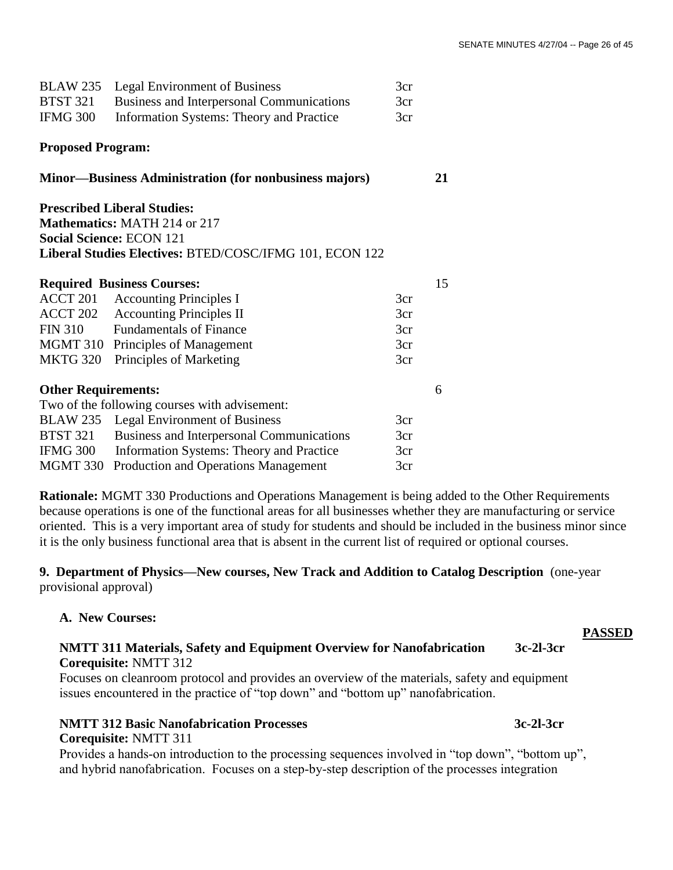| <b>BLAW 235</b>            | Legal Environment of Business                                 | 3cr |    |
|----------------------------|---------------------------------------------------------------|-----|----|
| <b>BTST 321</b>            | <b>Business and Interpersonal Communications</b>              | 3cr |    |
| <b>IFMG 300</b>            | <b>Information Systems: Theory and Practice</b><br>3cr        |     |    |
| <b>Proposed Program:</b>   |                                                               |     |    |
|                            | <b>Minor—Business Administration (for nonbusiness majors)</b> |     | 21 |
|                            | <b>Prescribed Liberal Studies:</b>                            |     |    |
|                            | <b>Mathematics: MATH 214 or 217</b>                           |     |    |
|                            | <b>Social Science: ECON 121</b>                               |     |    |
|                            | Liberal Studies Electives: BTED/COSC/IFMG 101, ECON 122       |     |    |
|                            | <b>Required Business Courses:</b>                             |     | 15 |
| ACCT 201                   | <b>Accounting Principles I</b>                                | 3cr |    |
| ACCT 202                   | <b>Accounting Principles II</b>                               | 3cr |    |
| <b>FIN 310</b>             | <b>Fundamentals of Finance</b>                                | 3cr |    |
| MGMT 310                   | Principles of Management                                      | 3cr |    |
| <b>MKTG 320</b>            | Principles of Marketing                                       | 3cr |    |
| <b>Other Requirements:</b> |                                                               |     | 6  |
|                            | Two of the following courses with advisement:                 |     |    |
| <b>BLAW 235</b>            | <b>Legal Environment of Business</b>                          | 3cr |    |
| <b>BTST 321</b>            | Business and Interpersonal Communications                     | 3cr |    |
| <b>IFMG 300</b>            | <b>Information Systems: Theory and Practice</b>               | 3cr |    |
| MGMT 330                   | Production and Operations Management                          | 3cr |    |

**Rationale:** MGMT 330 Productions and Operations Management is being added to the Other Requirements because operations is one of the functional areas for all businesses whether they are manufacturing or service oriented. This is a very important area of study for students and should be included in the business minor since it is the only business functional area that is absent in the current list of required or optional courses.

**9. Department of Physics—New courses, New Track and Addition to Catalog Description** (one-year provisional approval)

## **A. New Courses:**

**Corequisite:** NMTT 311

## **NMTT 311 Materials, Safety and Equipment Overview for Nanofabrication 3c-2l-3cr Corequisite:** NMTT 312

Focuses on cleanroom protocol and provides an overview of the materials, safety and equipment issues encountered in the practice of "top down" and "bottom up" nanofabrication.

## **NMTT 312 Basic Nanofabrication Processes 3c-2l-3cr**

Provides a hands-on introduction to the processing sequences involved in "top down", "bottom up", and hybrid nanofabrication. Focuses on a step-by-step description of the processes integration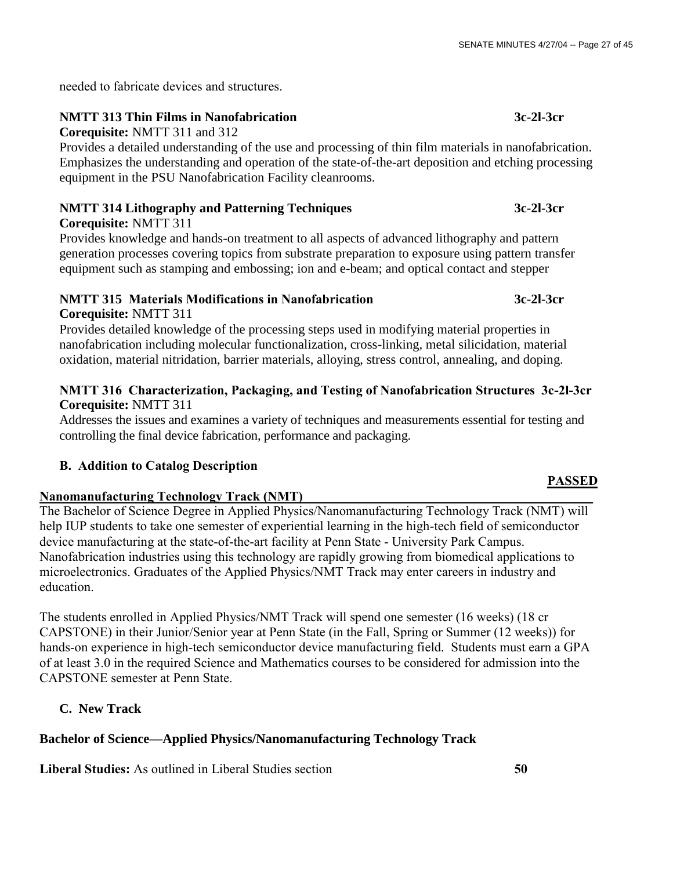needed to fabricate devices and structures.

## **NMTT 313 Thin Films in Nanofabrication 3c-2l-3cr**

**Corequisite:** NMTT 311 and 312

Provides a detailed understanding of the use and processing of thin film materials in nanofabrication. Emphasizes the understanding and operation of the state-of-the-art deposition and etching processing equipment in the PSU Nanofabrication Facility cleanrooms.

## **NMTT 314 Lithography and Patterning Techniques 3c-2l-3cr**

## **Corequisite:** NMTT 311

Provides knowledge and hands-on treatment to all aspects of advanced lithography and pattern generation processes covering topics from substrate preparation to exposure using pattern transfer equipment such as stamping and embossing; ion and e-beam; and optical contact and stepper

## **NMTT 315 Materials Modifications in Nanofabrication 3c-2l-3cr Corequisite:** NMTT 311

Provides detailed knowledge of the processing steps used in modifying material properties in nanofabrication including molecular functionalization, cross-linking, metal silicidation, material oxidation, material nitridation, barrier materials, alloying, stress control, annealing, and doping.

## **NMTT 316 Characterization, Packaging, and Testing of Nanofabrication Structures 3c-2l-3cr Corequisite:** NMTT 311

Addresses the issues and examines a variety of techniques and measurements essential for testing and controlling the final device fabrication, performance and packaging.

## **B. Addition to Catalog Description**

## Nanomanufacturing Technology Track (NMT)

The Bachelor of Science Degree in Applied Physics/Nanomanufacturing Technology Track (NMT) will help IUP students to take one semester of experiential learning in the high-tech field of semiconductor device manufacturing at the state-of-the-art facility at Penn State - University Park Campus. Nanofabrication industries using this technology are rapidly growing from biomedical applications to microelectronics. Graduates of the Applied Physics/NMT Track may enter careers in industry and education.

The students enrolled in Applied Physics/NMT Track will spend one semester (16 weeks) (18 cr CAPSTONE) in their Junior/Senior year at Penn State (in the Fall, Spring or Summer (12 weeks)) for hands-on experience in high-tech semiconductor device manufacturing field. Students must earn a GPA of at least 3.0 in the required Science and Mathematics courses to be considered for admission into the CAPSTONE semester at Penn State.

## **C. New Track**

## **Bachelor of Science—Applied Physics/Nanomanufacturing Technology Track**

**Liberal Studies:** As outlined in Liberal Studies section **50**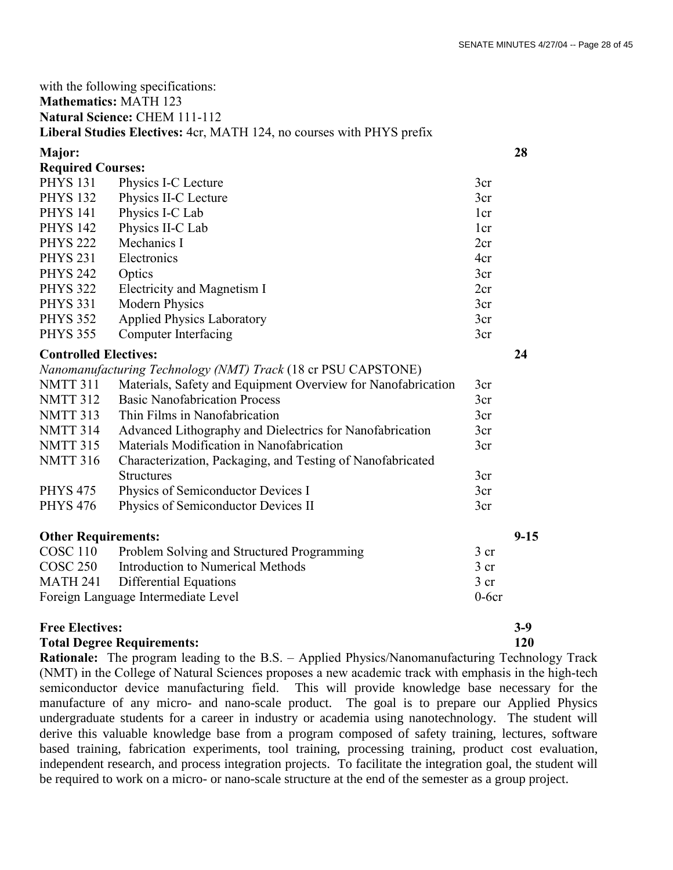| with the following specifications:             |                                                                       |                 |          |  |
|------------------------------------------------|-----------------------------------------------------------------------|-----------------|----------|--|
| <b>Mathematics: MATH 123</b>                   |                                                                       |                 |          |  |
| Natural Science: CHEM 111-112                  |                                                                       |                 |          |  |
|                                                | Liberal Studies Electives: 4cr, MATH 124, no courses with PHYS prefix |                 |          |  |
| <b>Major:</b>                                  |                                                                       |                 | 28       |  |
| <b>Required Courses:</b>                       |                                                                       |                 |          |  |
| <b>PHYS 131</b>                                | Physics I-C Lecture                                                   | 3cr             |          |  |
| <b>PHYS 132</b>                                | Physics II-C Lecture                                                  | 3cr             |          |  |
| <b>PHYS 141</b>                                | Physics I-C Lab                                                       | 1 <sub>cr</sub> |          |  |
| <b>PHYS 142</b>                                | Physics II-C Lab                                                      | 1 <sub>cr</sub> |          |  |
| <b>PHYS 222</b>                                | Mechanics I                                                           | 2cr             |          |  |
| <b>PHYS 231</b>                                | Electronics                                                           | 4cr             |          |  |
| <b>PHYS 242</b>                                | Optics                                                                | 3cr             |          |  |
| <b>PHYS 322</b>                                | Electricity and Magnetism I                                           | 2cr             |          |  |
| <b>PHYS 331</b>                                | <b>Modern Physics</b>                                                 | 3cr             |          |  |
| <b>PHYS 352</b>                                | <b>Applied Physics Laboratory</b>                                     | 3cr             |          |  |
| <b>PHYS 355</b>                                | <b>Computer Interfacing</b>                                           | 3cr             |          |  |
| <b>Controlled Electives:</b>                   |                                                                       |                 | 24       |  |
|                                                | Nanomanufacturing Technology (NMT) Track (18 cr PSU CAPSTONE)         |                 |          |  |
| NMTT 311                                       | Materials, Safety and Equipment Overview for Nanofabrication          | 3cr             |          |  |
| <b>NMTT 312</b>                                | <b>Basic Nanofabrication Process</b>                                  | 3cr             |          |  |
| NMTT 313                                       | Thin Films in Nanofabrication                                         | 3cr             |          |  |
| <b>NMTT 314</b>                                | Advanced Lithography and Dielectrics for Nanofabrication              | 3cr             |          |  |
| <b>NMTT 315</b>                                | Materials Modification in Nanofabrication                             | 3cr             |          |  |
| NMTT 316                                       | Characterization, Packaging, and Testing of Nanofabricated            |                 |          |  |
|                                                | <b>Structures</b>                                                     | 3cr             |          |  |
| <b>PHYS 475</b>                                | Physics of Semiconductor Devices I                                    | 3cr             |          |  |
| <b>PHYS 476</b>                                | Physics of Semiconductor Devices II                                   | 3cr             |          |  |
| <b>Other Requirements:</b>                     |                                                                       |                 | $9 - 15$ |  |
| COSC 110                                       | Problem Solving and Structured Programming                            | 3 cr            |          |  |
| <b>COSC 250</b>                                | <b>Introduction to Numerical Methods</b>                              | 3 cr            |          |  |
| <b>MATH 241</b>                                | Differential Equations                                                | $3$ cr          |          |  |
| Foreign Language Intermediate Level<br>$0-6cr$ |                                                                       |                 |          |  |
| <b>Free Electives:</b>                         |                                                                       |                 | $3-9$    |  |

## **Total Degree Requirements: 120**

**Rationale:** The program leading to the B.S. – Applied Physics/Nanomanufacturing Technology Track (NMT) in the College of Natural Sciences proposes a new academic track with emphasis in the high-tech semiconductor device manufacturing field. This will provide knowledge base necessary for the manufacture of any micro- and nano-scale product. The goal is to prepare our Applied Physics undergraduate students for a career in industry or academia using nanotechnology. The student will derive this valuable knowledge base from a program composed of safety training, lectures, software based training, fabrication experiments, tool training, processing training, product cost evaluation, independent research, and process integration projects. To facilitate the integration goal, the student will be required to work on a micro- or nano-scale structure at the end of the semester as a group project.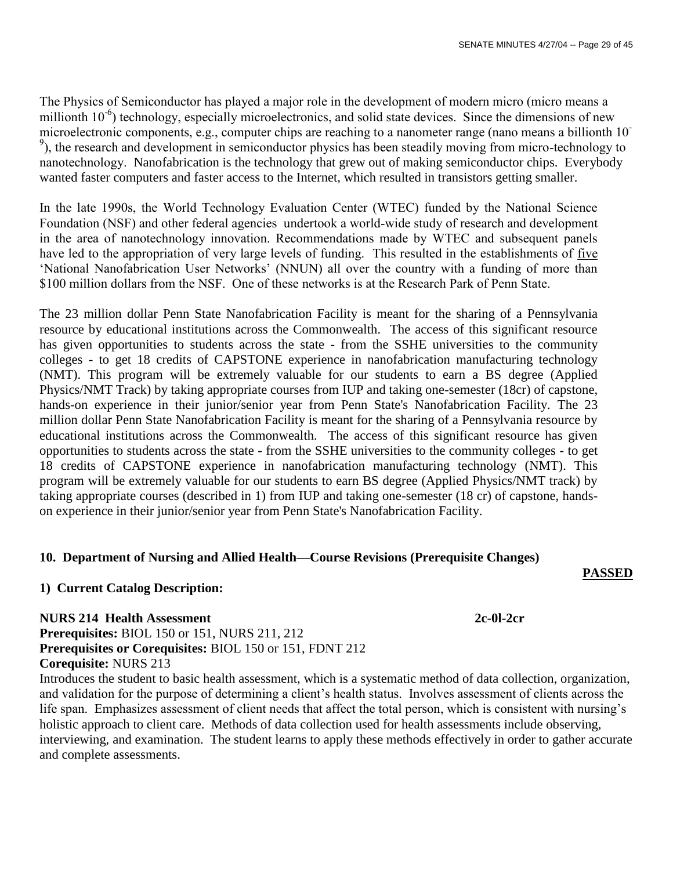The Physics of Semiconductor has played a major role in the development of modern micro (micro means a millionth 10<sup>-6</sup>) technology, especially microelectronics, and solid state devices. Since the dimensions of new microelectronic components, e.g., computer chips are reaching to a nanometer range (nano means a billionth 10- <sup>9</sup>), the research and development in semiconductor physics has been steadily moving from micro-technology to nanotechnology. Nanofabrication is the technology that grew out of making semiconductor chips. Everybody wanted faster computers and faster access to the Internet, which resulted in transistors getting smaller.

In the late 1990s, the World Technology Evaluation Center (WTEC) funded by the National Science Foundation (NSF) and other federal agencies undertook a world-wide study of research and development in the area of nanotechnology innovation. Recommendations made by WTEC and subsequent panels have led to the appropriation of very large levels of funding. This resulted in the establishments of five "National Nanofabrication User Networks" (NNUN) all over the country with a funding of more than \$100 million dollars from the NSF. One of these networks is at the Research Park of Penn State.

The 23 million dollar Penn State Nanofabrication Facility is meant for the sharing of a Pennsylvania resource by educational institutions across the Commonwealth. The access of this significant resource has given opportunities to students across the state - from the SSHE universities to the community colleges - to get 18 credits of CAPSTONE experience in nanofabrication manufacturing technology (NMT). This program will be extremely valuable for our students to earn a BS degree (Applied Physics/NMT Track) by taking appropriate courses from IUP and taking one-semester (18cr) of capstone, hands-on experience in their junior/senior year from Penn State's Nanofabrication Facility. The 23 million dollar Penn State Nanofabrication Facility is meant for the sharing of a Pennsylvania resource by educational institutions across the Commonwealth. The access of this significant resource has given opportunities to students across the state - from the SSHE universities to the community colleges - to get 18 credits of CAPSTONE experience in nanofabrication manufacturing technology (NMT). This program will be extremely valuable for our students to earn BS degree (Applied Physics/NMT track) by taking appropriate courses (described in 1) from IUP and taking one-semester (18 cr) of capstone, handson experience in their junior/senior year from Penn State's Nanofabrication Facility.

## **10. Department of Nursing and Allied Health—Course Revisions (Prerequisite Changes)**

## **1) Current Catalog Description:**

**PASSED**

**NURS 214 Health Assessment 2c-0l-2cr Prerequisites:** BIOL 150 or 151, NURS 211, 212 **Prerequisites or Corequisites:** BIOL 150 or 151, FDNT 212 **Corequisite:** NURS 213

Introduces the student to basic health assessment, which is a systematic method of data collection, organization, and validation for the purpose of determining a client's health status. Involves assessment of clients across the life span. Emphasizes assessment of client needs that affect the total person, which is consistent with nursing's holistic approach to client care. Methods of data collection used for health assessments include observing, interviewing, and examination. The student learns to apply these methods effectively in order to gather accurate and complete assessments.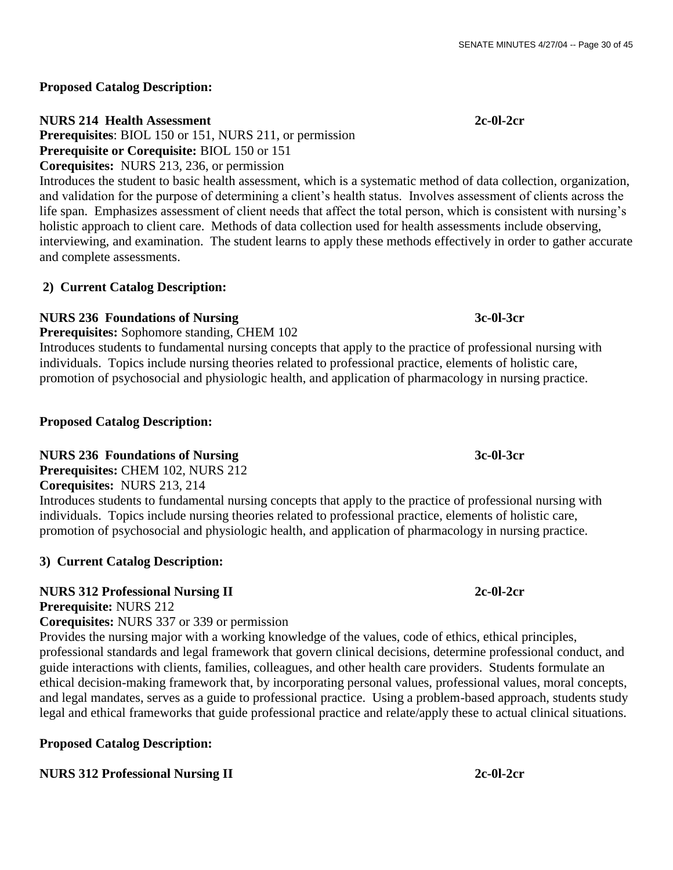## **Proposed Catalog Description:**

## **NURS 214 Health Assessment 2c-0l-2cr**

**Prerequisites**: BIOL 150 or 151, NURS 211, or permission **Prerequisite or Corequisite:** BIOL 150 or 151

**Corequisites:** NURS 213, 236, or permission

Introduces the student to basic health assessment, which is a systematic method of data collection, organization, and validation for the purpose of determining a client's health status. Involves assessment of clients across the life span. Emphasizes assessment of client needs that affect the total person, which is consistent with nursing's holistic approach to client care. Methods of data collection used for health assessments include observing, interviewing, and examination. The student learns to apply these methods effectively in order to gather accurate and complete assessments.

## **2) Current Catalog Description:**

## **NURS 236 Foundations of Nursing 3c-0l-3cr**

**Prerequisites:** Sophomore standing, CHEM 102

Introduces students to fundamental nursing concepts that apply to the practice of professional nursing with individuals. Topics include nursing theories related to professional practice, elements of holistic care, promotion of psychosocial and physiologic health, and application of pharmacology in nursing practice.

## **Proposed Catalog Description:**

## **NURS 236 Foundations of Nursing 3c-0l-3cr**

**Prerequisites:** CHEM 102, NURS 212

**Corequisites:** NURS 213, 214

Introduces students to fundamental nursing concepts that apply to the practice of professional nursing with individuals. Topics include nursing theories related to professional practice, elements of holistic care, promotion of psychosocial and physiologic health, and application of pharmacology in nursing practice.

## **3) Current Catalog Description:**

## **NURS 312 Professional Nursing II** 2c-0l-2cr

**Prerequisite:** NURS 212

**Corequisites:** NURS 337 or 339 or permission

Provides the nursing major with a working knowledge of the values, code of ethics, ethical principles, professional standards and legal framework that govern clinical decisions, determine professional conduct, and guide interactions with clients, families, colleagues, and other health care providers. Students formulate an ethical decision-making framework that, by incorporating personal values, professional values, moral concepts, and legal mandates, serves as a guide to professional practice. Using a problem-based approach, students study legal and ethical frameworks that guide professional practice and relate/apply these to actual clinical situations.

## **Proposed Catalog Description:**

## **NURS 312 Professional Nursing II 2c-0l-2cr**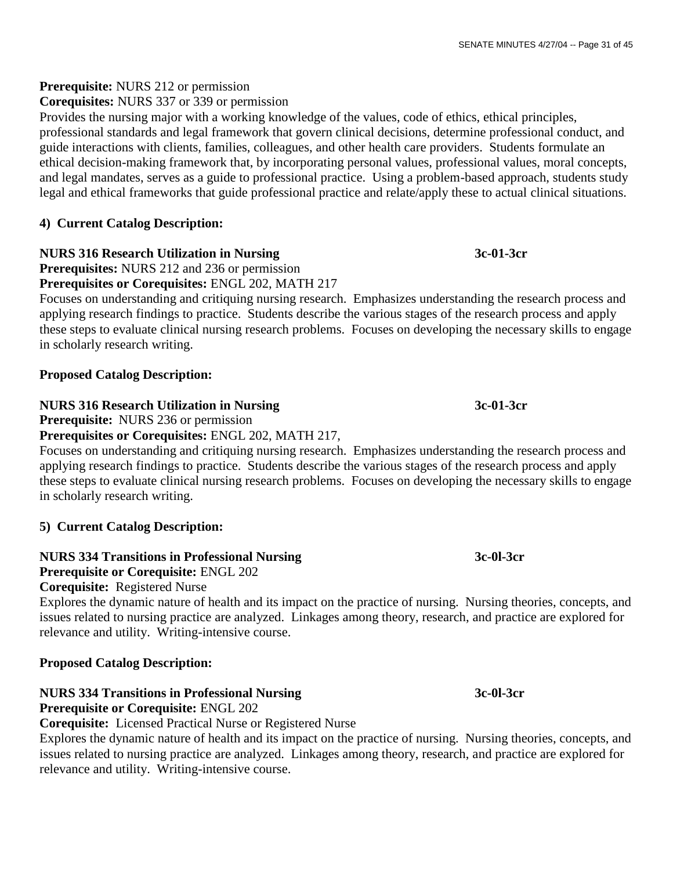## **Prerequisite:** NURS 212 or permission

**Corequisites:** NURS 337 or 339 or permission

Provides the nursing major with a working knowledge of the values, code of ethics, ethical principles, professional standards and legal framework that govern clinical decisions, determine professional conduct, and guide interactions with clients, families, colleagues, and other health care providers. Students formulate an ethical decision-making framework that, by incorporating personal values, professional values, moral concepts, and legal mandates, serves as a guide to professional practice. Using a problem-based approach, students study legal and ethical frameworks that guide professional practice and relate/apply these to actual clinical situations.

## **4) Current Catalog Description:**

## **NURS 316 Research Utilization in Nursing 3c-01-3cr**

**Prerequisites:** NURS 212 and 236 or permission

**Prerequisites or Corequisites:** ENGL 202, MATH 217

Focuses on understanding and critiquing nursing research. Emphasizes understanding the research process and applying research findings to practice. Students describe the various stages of the research process and apply these steps to evaluate clinical nursing research problems. Focuses on developing the necessary skills to engage in scholarly research writing.

## **Proposed Catalog Description:**

## **NURS 316 Research Utilization in Nursing 3c-01-3cr**

**Prerequisite:** NURS 236 or permission

## **Prerequisites or Corequisites:** ENGL 202, MATH 217,

Focuses on understanding and critiquing nursing research. Emphasizes understanding the research process and applying research findings to practice. Students describe the various stages of the research process and apply these steps to evaluate clinical nursing research problems. Focuses on developing the necessary skills to engage in scholarly research writing.

## **5) Current Catalog Description:**

## **NURS 334 Transitions in Professional Nursing 3c-0l-3cr**

**Prerequisite or Corequisite:** ENGL 202

## **Corequisite:** Registered Nurse

Explores the dynamic nature of health and its impact on the practice of nursing. Nursing theories, concepts, and issues related to nursing practice are analyzed. Linkages among theory, research, and practice are explored for relevance and utility. Writing-intensive course.

## **Proposed Catalog Description:**

## **NURS 334 Transitions in Professional Nursing 3c-0l-3cr Prerequisite or Corequisite:** ENGL 202

**Corequisite:** Licensed Practical Nurse or Registered Nurse

Explores the dynamic nature of health and its impact on the practice of nursing. Nursing theories, concepts, and issues related to nursing practice are analyzed. Linkages among theory, research, and practice are explored for relevance and utility. Writing-intensive course.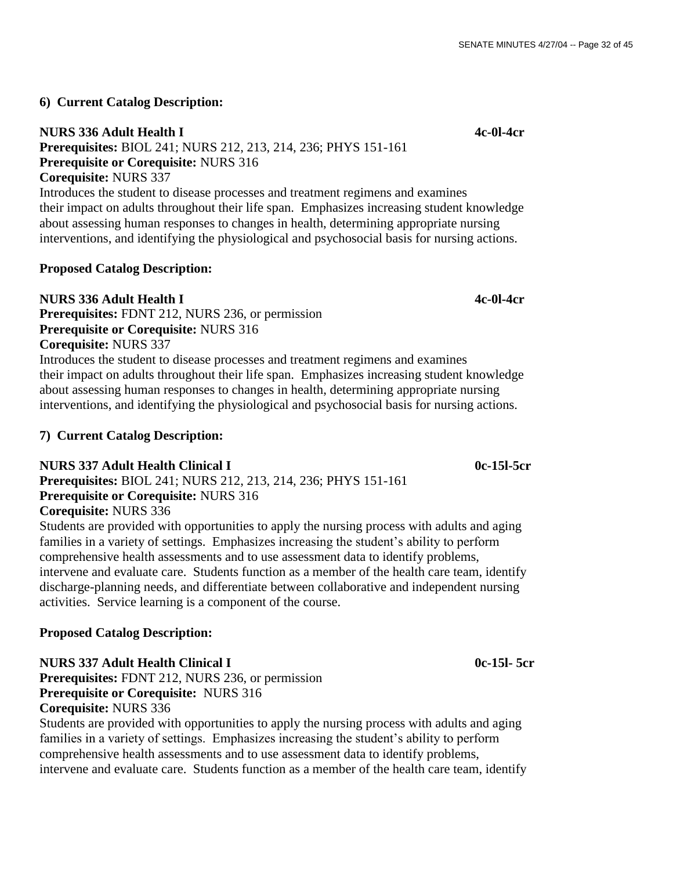## **6) Current Catalog Description:**

## **NURS 336 Adult Health I 4c-0l-4cr**

**Prerequisites:** BIOL 241; NURS 212, 213, 214, 236; PHYS 151-161 **Prerequisite or Corequisite:** NURS 316 **Corequisite:** NURS 337

Introduces the student to disease processes and treatment regimens and examines their impact on adults throughout their life span. Emphasizes increasing student knowledge about assessing human responses to changes in health, determining appropriate nursing interventions, and identifying the physiological and psychosocial basis for nursing actions.

## **Proposed Catalog Description:**

**NURS 336 Adult Health I 4c-0l-4cr Prerequisites:** FDNT 212, NURS 236, or permission **Prerequisite or Corequisite:** NURS 316 **Corequisite:** NURS 337

Introduces the student to disease processes and treatment regimens and examines their impact on adults throughout their life span. Emphasizes increasing student knowledge about assessing human responses to changes in health, determining appropriate nursing interventions, and identifying the physiological and psychosocial basis for nursing actions.

## **7) Current Catalog Description:**

## **NURS 337 Adult Health Clinical I 0c-15l-5cr**

**Prerequisites:** BIOL 241; NURS 212, 213, 214, 236; PHYS 151-161 **Prerequisite or Corequisite:** NURS 316

## **Corequisite:** NURS 336

Students are provided with opportunities to apply the nursing process with adults and aging families in a variety of settings. Emphasizes increasing the student's ability to perform comprehensive health assessments and to use assessment data to identify problems, intervene and evaluate care. Students function as a member of the health care team, identify discharge-planning needs, and differentiate between collaborative and independent nursing activities. Service learning is a component of the course.

## **Proposed Catalog Description:**

## **NURS 337 Adult Health Clinical I 0c-15l- 5cr**

**Prerequisites:** FDNT 212, NURS 236, or permission **Prerequisite or Corequisite:** NURS 316 **Corequisite:** NURS 336

Students are provided with opportunities to apply the nursing process with adults and aging families in a variety of settings. Emphasizes increasing the student's ability to perform comprehensive health assessments and to use assessment data to identify problems, intervene and evaluate care. Students function as a member of the health care team, identify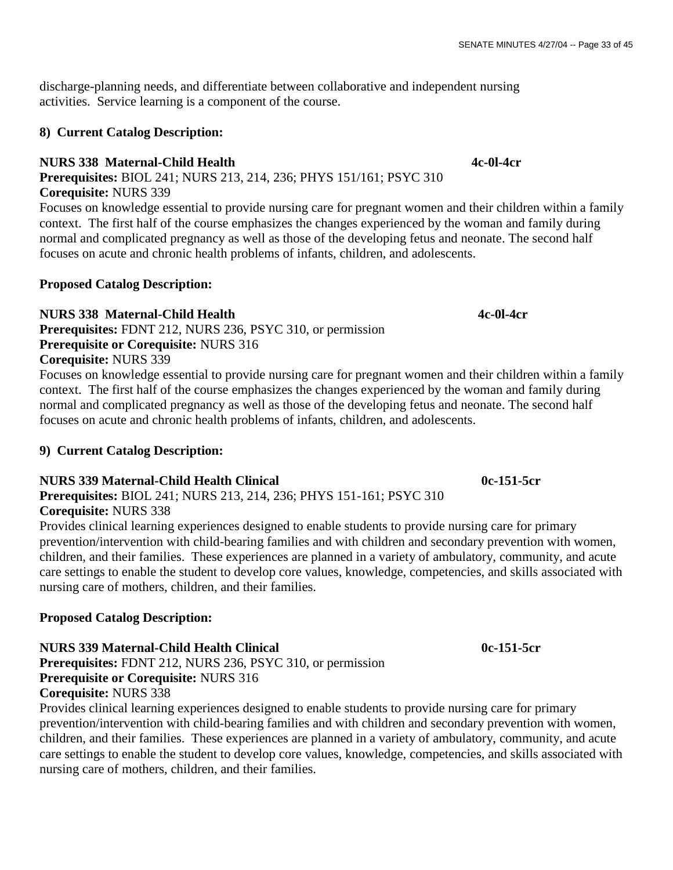discharge-planning needs, and differentiate between collaborative and independent nursing activities. Service learning is a component of the course.

## **8) Current Catalog Description:**

## **NURS 338 Maternal-Child Health 4c-0l-4cr**

**Prerequisites:** BIOL 241; NURS 213, 214, 236; PHYS 151/161; PSYC 310 **Corequisite:** NURS 339

Focuses on knowledge essential to provide nursing care for pregnant women and their children within a family context. The first half of the course emphasizes the changes experienced by the woman and family during normal and complicated pregnancy as well as those of the developing fetus and neonate. The second half focuses on acute and chronic health problems of infants, children, and adolescents.

## **Proposed Catalog Description:**

## **NURS 338 Maternal-Child Health 4c-0l-4cr**

**Prerequisites:** FDNT 212, NURS 236, PSYC 310, or permission **Prerequisite or Corequisite:** NURS 316 **Corequisite:** NURS 339

Focuses on knowledge essential to provide nursing care for pregnant women and their children within a family context. The first half of the course emphasizes the changes experienced by the woman and family during normal and complicated pregnancy as well as those of the developing fetus and neonate. The second half focuses on acute and chronic health problems of infants, children, and adolescents.

## **9) Current Catalog Description:**

## **NURS 339 Maternal-Child Health Clinical 120 Community 120 Community 130 Maternal According to 151-5cr**

**Prerequisites:** BIOL 241; NURS 213, 214, 236; PHYS 151-161; PSYC 310 **Corequisite:** NURS 338

Provides clinical learning experiences designed to enable students to provide nursing care for primary prevention/intervention with child-bearing families and with children and secondary prevention with women, children, and their families. These experiences are planned in a variety of ambulatory, community, and acute care settings to enable the student to develop core values, knowledge, competencies, and skills associated with nursing care of mothers, children, and their families.

## **Proposed Catalog Description:**

## **NURS 339 Maternal-Child Health Clinical 120 Community 120 Community 130 Maternal According 130 Maternal According 130 Maternal According 130 Maternal According 130 Maternal According 130 Maternal According 130 Maternal Ac**

**Prerequisites:** FDNT 212, NURS 236, PSYC 310, or permission **Prerequisite or Corequisite:** NURS 316

**Corequisite:** NURS 338

Provides clinical learning experiences designed to enable students to provide nursing care for primary prevention/intervention with child-bearing families and with children and secondary prevention with women, children, and their families. These experiences are planned in a variety of ambulatory, community, and acute care settings to enable the student to develop core values, knowledge, competencies, and skills associated with nursing care of mothers, children, and their families.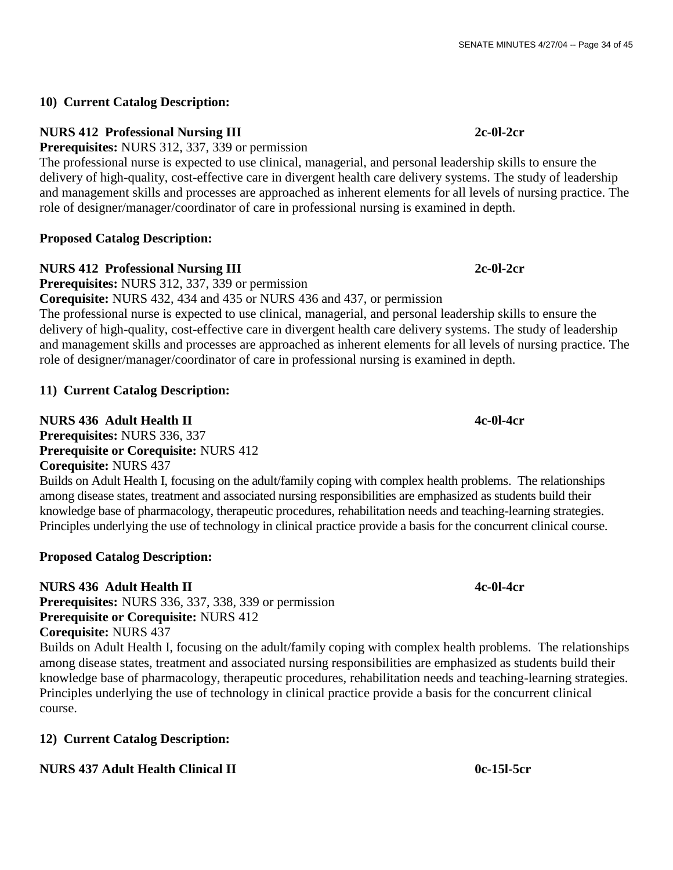## **10) Current Catalog Description:**

## **NURS 412 Professional Nursing III 2c-0l-2cr**

**Prerequisites:** NURS 312, 337, 339 or permission

The professional nurse is expected to use clinical, managerial, and personal leadership skills to ensure the delivery of high-quality, cost-effective care in divergent health care delivery systems. The study of leadership and management skills and processes are approached as inherent elements for all levels of nursing practice. The role of designer/manager/coordinator of care in professional nursing is examined in depth.

## **Proposed Catalog Description:**

## **NURS 412 Professional Nursing III 2c-0l-2cr**

**Prerequisites:** NURS 312, 337, 339 or permission

**Corequisite:** NURS 432, 434 and 435 or NURS 436 and 437, or permission

The professional nurse is expected to use clinical, managerial, and personal leadership skills to ensure the delivery of high-quality, cost-effective care in divergent health care delivery systems. The study of leadership and management skills and processes are approached as inherent elements for all levels of nursing practice. The role of designer/manager/coordinator of care in professional nursing is examined in depth.

## **11) Current Catalog Description:**

## **NURS 436 Adult Health II 4c-0l-4cr**

**Prerequisites:** NURS 336, 337 **Prerequisite or Corequisite:** NURS 412 **Corequisite:** NURS 437

Builds on Adult Health I, focusing on the adult/family coping with complex health problems. The relationships among disease states, treatment and associated nursing responsibilities are emphasized as students build their knowledge base of pharmacology, therapeutic procedures, rehabilitation needs and teaching-learning strategies. Principles underlying the use of technology in clinical practice provide a basis for the concurrent clinical course.

## **Proposed Catalog Description:**

## **NURS 436 Adult Health II 4c-0l-4cr**

**Prerequisites:** NURS 336, 337, 338, 339 or permission **Prerequisite or Corequisite:** NURS 412 **Corequisite:** NURS 437

Builds on Adult Health I, focusing on the adult/family coping with complex health problems. The relationships among disease states, treatment and associated nursing responsibilities are emphasized as students build their knowledge base of pharmacology, therapeutic procedures, rehabilitation needs and teaching-learning strategies. Principles underlying the use of technology in clinical practice provide a basis for the concurrent clinical course.

## **12) Current Catalog Description:**

## **NURS 437 Adult Health Clinical II 0c-15l-5cr**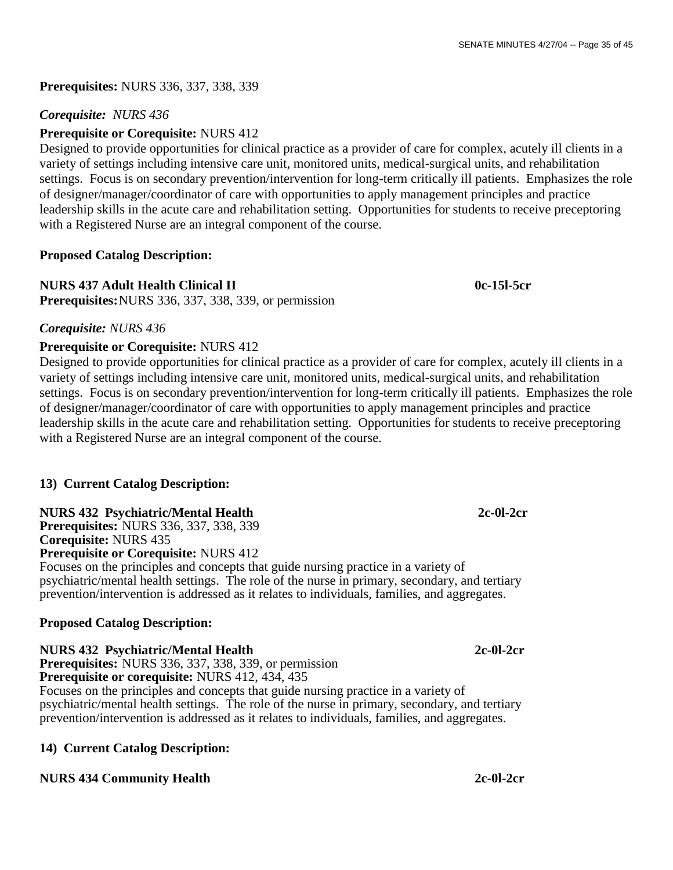**Prerequisites:** NURS 336, 337, 338, 339

## *Corequisite: NURS 436*

## **Prerequisite or Corequisite:** NURS 412

Designed to provide opportunities for clinical practice as a provider of care for complex, acutely ill clients in a variety of settings including intensive care unit, monitored units, medical-surgical units, and rehabilitation settings. Focus is on secondary prevention/intervention for long-term critically ill patients. Emphasizes the role of designer/manager/coordinator of care with opportunities to apply management principles and practice leadership skills in the acute care and rehabilitation setting. Opportunities for students to receive preceptoring with a Registered Nurse are an integral component of the course.

## **Proposed Catalog Description:**

## **NURS 437 Adult Health Clinical II 0c-15l-5cr**

**Prerequisites:**NURS 336, 337, 338, 339, or permission

## *Corequisite: NURS 436*

## **Prerequisite or Corequisite:** NURS 412

Designed to provide opportunities for clinical practice as a provider of care for complex, acutely ill clients in a variety of settings including intensive care unit, monitored units, medical-surgical units, and rehabilitation settings. Focus is on secondary prevention/intervention for long-term critically ill patients. Emphasizes the role of designer/manager/coordinator of care with opportunities to apply management principles and practice leadership skills in the acute care and rehabilitation setting. Opportunities for students to receive preceptoring with a Registered Nurse are an integral component of the course.

## **13) Current Catalog Description:**

## **NURS 432 Psychiatric/Mental Health 2c-0l-2cr**

**Prerequisites:** NURS 336, 337, 338, 339 **Corequisite:** NURS 435

**Prerequisite or Corequisite:** NURS 412

Focuses on the principles and concepts that guide nursing practice in a variety of psychiatric/mental health settings. The role of the nurse in primary, secondary, and tertiary prevention/intervention is addressed as it relates to individuals, families, and aggregates.

## **Proposed Catalog Description:**

**NURS 432 Psychiatric/Mental Health 2c-0l-2cr Prerequisites:** NURS 336, 337, 338, 339, or permission **Prerequisite or corequisite:** NURS 412, 434, 435 Focuses on the principles and concepts that guide nursing practice in a variety of psychiatric/mental health settings. The role of the nurse in primary, secondary, and tertiary prevention/intervention is addressed as it relates to individuals, families, and aggregates.

## **14) Current Catalog Description:**

## **NURS 434 Community Health** 2c-0l-2cr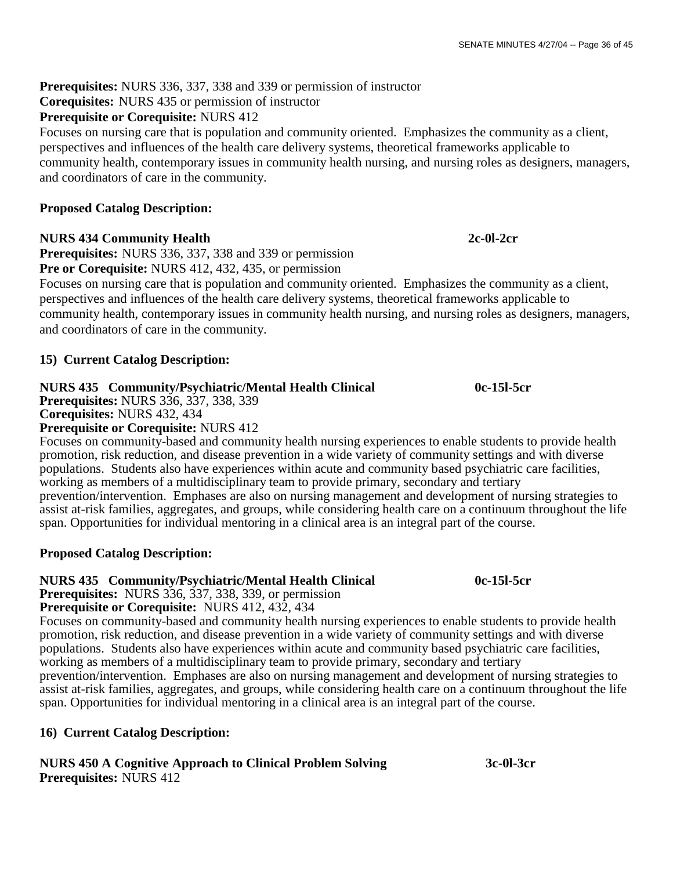**Prerequisites:** NURS 336, 337, 338 and 339 or permission of instructor

**Corequisites:** NURS 435 or permission of instructor

## **Prerequisite or Corequisite:** NURS 412

Focuses on nursing care that is population and community oriented. Emphasizes the community as a client, perspectives and influences of the health care delivery systems, theoretical frameworks applicable to community health, contemporary issues in community health nursing, and nursing roles as designers, managers, and coordinators of care in the community.

## **Proposed Catalog Description:**

## **NURS 434 Community Health 2c-0l-2cr**

**Prerequisites:** NURS 336, 337, 338 and 339 or permission **Pre or Corequisite:** NURS 412, 432, 435, or permission

Focuses on nursing care that is population and community oriented. Emphasizes the community as a client, perspectives and influences of the health care delivery systems, theoretical frameworks applicable to community health, contemporary issues in community health nursing, and nursing roles as designers, managers, and coordinators of care in the community.

## **15) Current Catalog Description:**

## **NURS 435 Community/Psychiatric/Mental Health Clinical 0c-15l-5cr**

**Prerequisites:** NURS 336, 337, 338, 339 **Corequisites:** NURS 432, 434

## **Prerequisite or Corequisite:** NURS 412

Focuses on community-based and community health nursing experiences to enable students to provide health promotion, risk reduction, and disease prevention in a wide variety of community settings and with diverse populations. Students also have experiences within acute and community based psychiatric care facilities, working as members of a multidisciplinary team to provide primary, secondary and tertiary prevention/intervention. Emphases are also on nursing management and development of nursing strategies to assist at-risk families, aggregates, and groups, while considering health care on a continuum throughout the life span. Opportunities for individual mentoring in a clinical area is an integral part of the course.

## **Proposed Catalog Description:**

## **NURS 435 Community/Psychiatric/Mental Health Clinical 0c-15l-5cr**

**Prerequisites:** NURS 336, 337, 338, 339, or permission **Prerequisite or Corequisite:** NURS 412, 432, 434

Focuses on community-based and community health nursing experiences to enable students to provide health promotion, risk reduction, and disease prevention in a wide variety of community settings and with diverse populations. Students also have experiences within acute and community based psychiatric care facilities, working as members of a multidisciplinary team to provide primary, secondary and tertiary prevention/intervention. Emphases are also on nursing management and development of nursing strategies to assist at-risk families, aggregates, and groups, while considering health care on a continuum throughout the life span. Opportunities for individual mentoring in a clinical area is an integral part of the course.

## **16) Current Catalog Description:**

## **NURS 450 A Cognitive Approach to Clinical Problem Solving 3c-0l-3cr Prerequisites:** NURS 412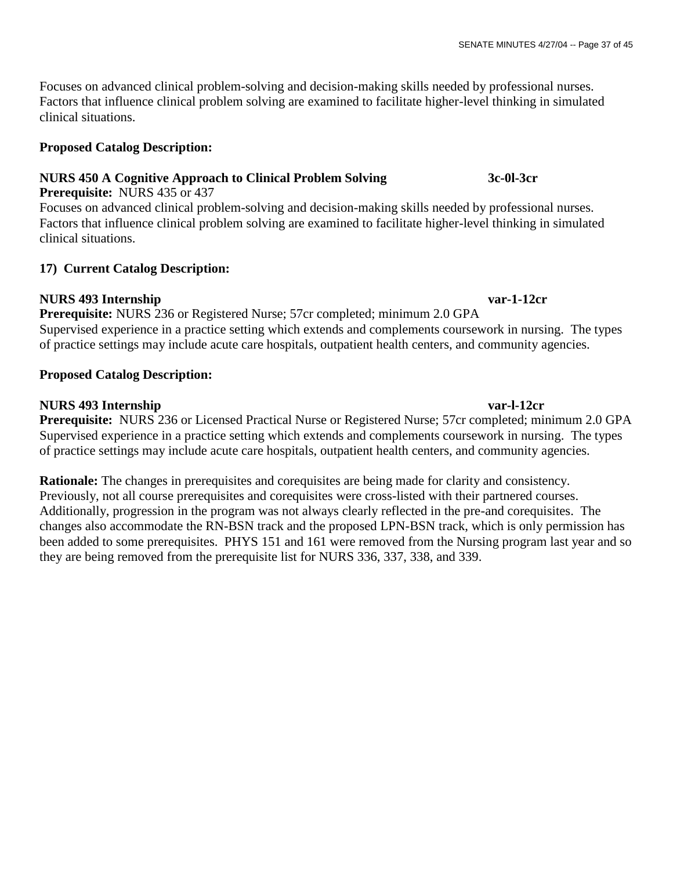Focuses on advanced clinical problem-solving and decision-making skills needed by professional nurses. Factors that influence clinical problem solving are examined to facilitate higher-level thinking in simulated clinical situations.

## **Proposed Catalog Description:**

## **NURS 450 A Cognitive Approach to Clinical Problem Solving 3c-0l-3cr**

## **Prerequisite:** NURS 435 or 437

Focuses on advanced clinical problem-solving and decision-making skills needed by professional nurses. Factors that influence clinical problem solving are examined to facilitate higher-level thinking in simulated clinical situations.

## **17) Current Catalog Description:**

## **NURS 493 Internship var-1-12cr**

**Prerequisite:** NURS 236 or Registered Nurse; 57cr completed; minimum 2.0 GPA Supervised experience in a practice setting which extends and complements coursework in nursing. The types of practice settings may include acute care hospitals, outpatient health centers, and community agencies.

## **Proposed Catalog Description:**

## **NURS 493 Internship var-l-12cr**

**Prerequisite:** NURS 236 or Licensed Practical Nurse or Registered Nurse; 57cr completed; minimum 2.0 GPA Supervised experience in a practice setting which extends and complements coursework in nursing. The types of practice settings may include acute care hospitals, outpatient health centers, and community agencies.

**Rationale:** The changes in prerequisites and corequisites are being made for clarity and consistency. Previously, not all course prerequisites and corequisites were cross-listed with their partnered courses. Additionally, progression in the program was not always clearly reflected in the pre-and corequisites. The changes also accommodate the RN-BSN track and the proposed LPN-BSN track, which is only permission has been added to some prerequisites. PHYS 151 and 161 were removed from the Nursing program last year and so they are being removed from the prerequisite list for NURS 336, 337, 338, and 339.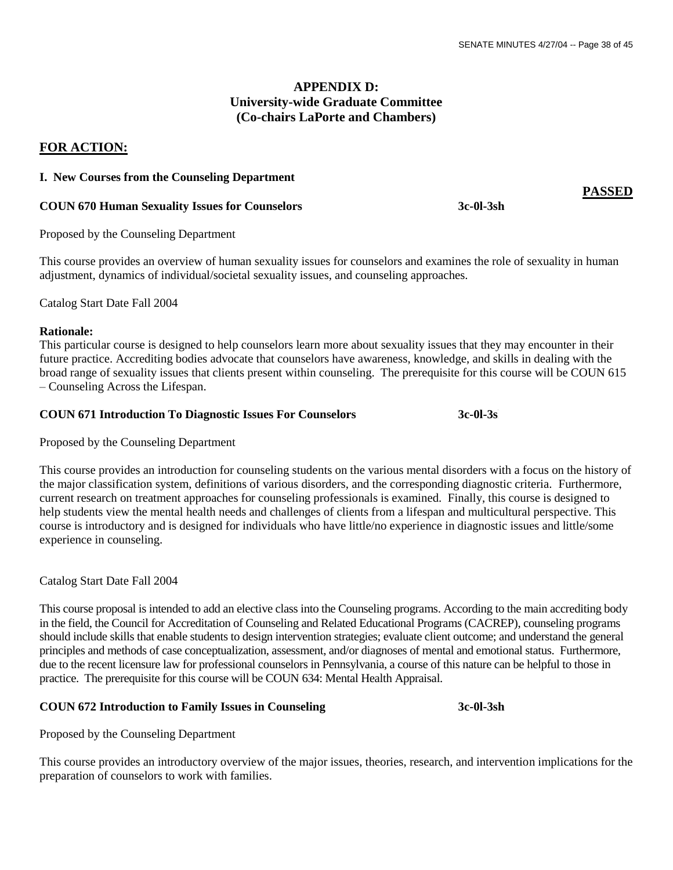## **APPENDIX D: University-wide Graduate Committee (Co-chairs LaPorte and Chambers)**

## **FOR ACTION:**

### **I. New Courses from the Counseling Department**

#### **COUN 670 Human Sexuality Issues for Counselors 3c-0l-3sh**

Proposed by the Counseling Department

This course provides an overview of human sexuality issues for counselors and examines the role of sexuality in human adjustment, dynamics of individual/societal sexuality issues, and counseling approaches.

Catalog Start Date Fall 2004

#### **Rationale:**

This particular course is designed to help counselors learn more about sexuality issues that they may encounter in their future practice. Accrediting bodies advocate that counselors have awareness, knowledge, and skills in dealing with the broad range of sexuality issues that clients present within counseling. The prerequisite for this course will be COUN 615 – Counseling Across the Lifespan.

#### **COUN 671 Introduction To Diagnostic Issues For Counselors 3c-0l-3s**

Proposed by the Counseling Department

This course provides an introduction for counseling students on the various mental disorders with a focus on the history of the major classification system, definitions of various disorders, and the corresponding diagnostic criteria. Furthermore, current research on treatment approaches for counseling professionals is examined. Finally, this course is designed to help students view the mental health needs and challenges of clients from a lifespan and multicultural perspective. This course is introductory and is designed for individuals who have little/no experience in diagnostic issues and little/some experience in counseling.

Catalog Start Date Fall 2004

This course proposal is intended to add an elective class into the Counseling programs. According to the main accrediting body in the field, the Council for Accreditation of Counseling and Related Educational Programs (CACREP), counseling programs should include skills that enable students to design intervention strategies; evaluate client outcome; and understand the general principles and methods of case conceptualization, assessment, and/or diagnoses of mental and emotional status. Furthermore, due to the recent licensure law for professional counselors in Pennsylvania, a course of this nature can be helpful to those in practice. The prerequisite for this course will be COUN 634: Mental Health Appraisal.

## **COUN 672 Introduction to Family Issues in Counseling 3c-0l-3sh**

Proposed by the Counseling Department

This course provides an introductory overview of the major issues, theories, research, and intervention implications for the preparation of counselors to work with families.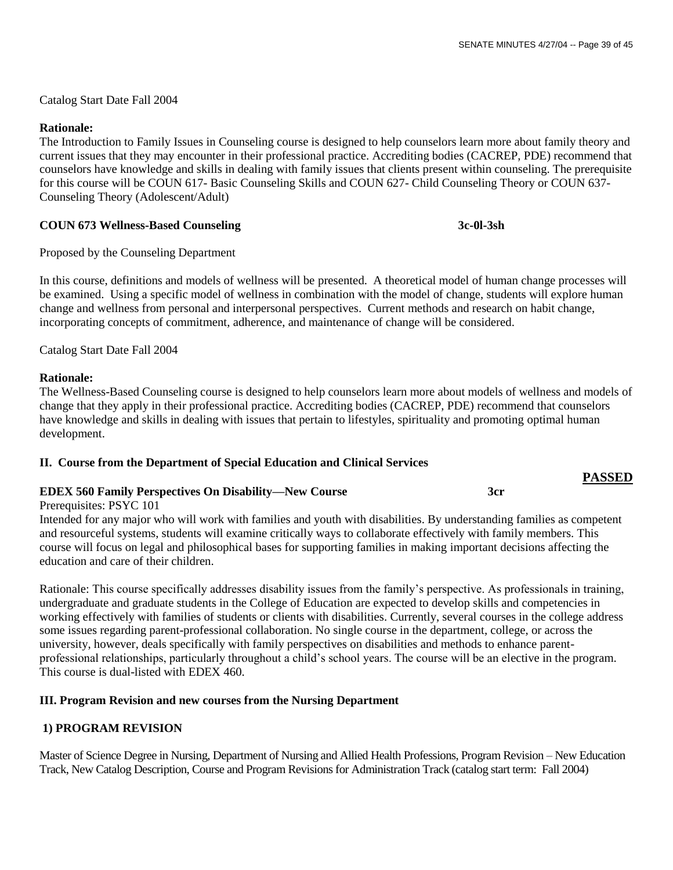**PASSED**

Catalog Start Date Fall 2004

## **Rationale:**

The Introduction to Family Issues in Counseling course is designed to help counselors learn more about family theory and current issues that they may encounter in their professional practice. Accrediting bodies (CACREP, PDE) recommend that counselors have knowledge and skills in dealing with family issues that clients present within counseling. The prerequisite for this course will be COUN 617- Basic Counseling Skills and COUN 627- Child Counseling Theory or COUN 637- Counseling Theory (Adolescent/Adult)

## **COUN 673 Wellness-Based Counseling 3c-0l-3sh**

Proposed by the Counseling Department

In this course, definitions and models of wellness will be presented. A theoretical model of human change processes will be examined. Using a specific model of wellness in combination with the model of change, students will explore human change and wellness from personal and interpersonal perspectives. Current methods and research on habit change, incorporating concepts of commitment, adherence, and maintenance of change will be considered.

Catalog Start Date Fall 2004

### **Rationale:**

The Wellness-Based Counseling course is designed to help counselors learn more about models of wellness and models of change that they apply in their professional practice. Accrediting bodies (CACREP, PDE) recommend that counselors have knowledge and skills in dealing with issues that pertain to lifestyles, spirituality and promoting optimal human development.

## **II. Course from the Department of Special Education and Clinical Services**

## **EDEX 560 Family Perspectives On Disability—New Course 3cr**

Prerequisites: PSYC 101

Intended for any major who will work with families and youth with disabilities. By understanding families as competent and resourceful systems, students will examine critically ways to collaborate effectively with family members. This course will focus on legal and philosophical bases for supporting families in making important decisions affecting the education and care of their children.

Rationale: This course specifically addresses disability issues from the family's perspective. As professionals in training, undergraduate and graduate students in the College of Education are expected to develop skills and competencies in working effectively with families of students or clients with disabilities. Currently, several courses in the college address some issues regarding parent-professional collaboration. No single course in the department, college, or across the university, however, deals specifically with family perspectives on disabilities and methods to enhance parentprofessional relationships, particularly throughout a child's school years. The course will be an elective in the program. This course is dual-listed with EDEX 460.

## **III. Program Revision and new courses from the Nursing Department**

## **1) PROGRAM REVISION**

Master of Science Degree in Nursing, Department of Nursing and Allied Health Professions, Program Revision – New Education Track, New Catalog Description, Course and Program Revisions for Administration Track (catalog start term: Fall 2004)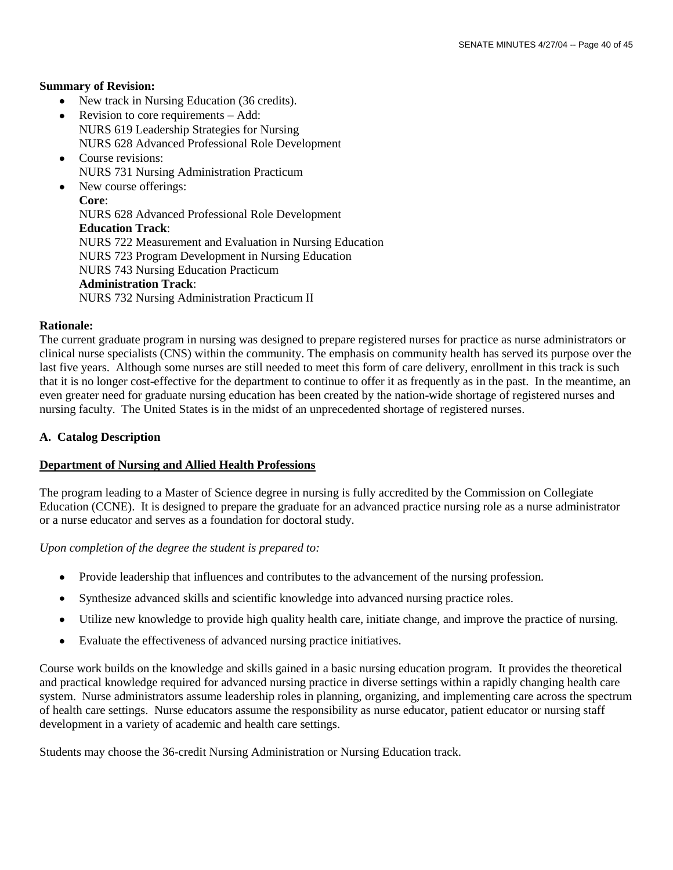#### **Summary of Revision:**

- New track in Nursing Education (36 credits).  $\bullet$
- Revision to core requirements Add: NURS 619 Leadership Strategies for Nursing NURS 628 Advanced Professional Role Development
- Course revisions: NURS 731 Nursing Administration Practicum
- New course offerings: **Core**: NURS 628 Advanced Professional Role Development **Education Track**: NURS 722 Measurement and Evaluation in Nursing Education NURS 723 Program Development in Nursing Education NURS 743 Nursing Education Practicum **Administration Track**: NURS 732 Nursing Administration Practicum II

#### **Rationale:**

The current graduate program in nursing was designed to prepare registered nurses for practice as nurse administrators or clinical nurse specialists (CNS) within the community. The emphasis on community health has served its purpose over the last five years. Although some nurses are still needed to meet this form of care delivery, enrollment in this track is such that it is no longer cost-effective for the department to continue to offer it as frequently as in the past. In the meantime, an even greater need for graduate nursing education has been created by the nation-wide shortage of registered nurses and nursing faculty. The United States is in the midst of an unprecedented shortage of registered nurses.

### **A. Catalog Description**

### **Department of Nursing and Allied Health Professions**

The program leading to a Master of Science degree in nursing is fully accredited by the Commission on Collegiate Education (CCNE). It is designed to prepare the graduate for an advanced practice nursing role as a nurse administrator or a nurse educator and serves as a foundation for doctoral study.

*Upon completion of the degree the student is prepared to:*

- Provide leadership that influences and contributes to the advancement of the nursing profession.  $\bullet$
- Synthesize advanced skills and scientific knowledge into advanced nursing practice roles.  $\bullet$
- Utilize new knowledge to provide high quality health care, initiate change, and improve the practice of nursing.  $\bullet$
- Evaluate the effectiveness of advanced nursing practice initiatives.

Course work builds on the knowledge and skills gained in a basic nursing education program. It provides the theoretical and practical knowledge required for advanced nursing practice in diverse settings within a rapidly changing health care system. Nurse administrators assume leadership roles in planning, organizing, and implementing care across the spectrum of health care settings. Nurse educators assume the responsibility as nurse educator, patient educator or nursing staff development in a variety of academic and health care settings.

Students may choose the 36-credit Nursing Administration or Nursing Education track.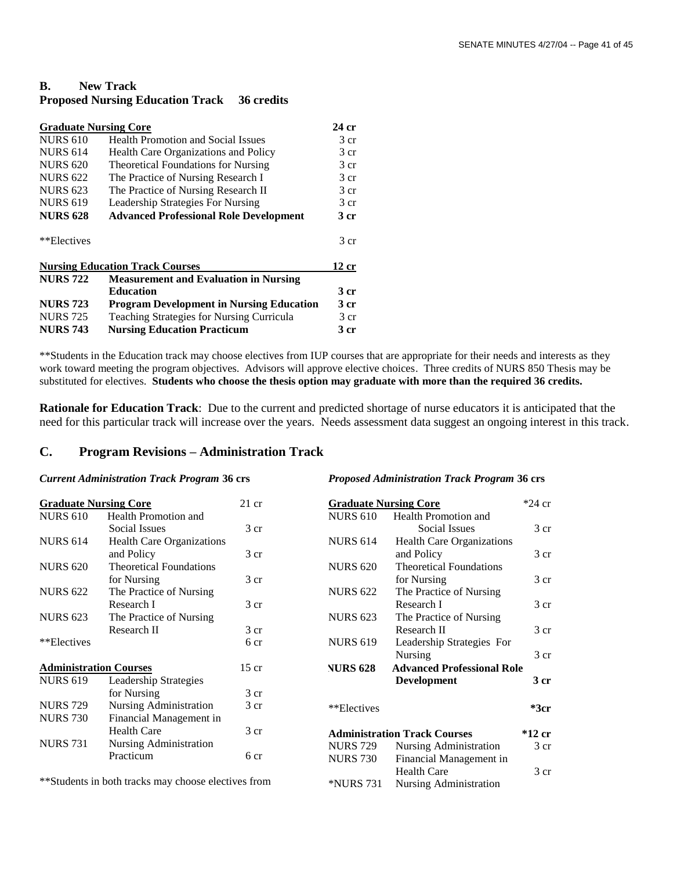## **B. New Track Proposed Nursing Education Track 36 credits**

| <b>Graduate Nursing Core</b><br>24 cr |                                                 |                 |  |  |
|---------------------------------------|-------------------------------------------------|-----------------|--|--|
| <b>NURS 610</b>                       | <b>Health Promotion and Social Issues</b>       |                 |  |  |
| <b>NURS 614</b>                       | <b>Health Care Organizations and Policy</b>     |                 |  |  |
| <b>NURS 620</b>                       | <b>Theoretical Foundations for Nursing</b>      | 3 cr            |  |  |
| <b>NURS 622</b>                       | The Practice of Nursing Research I              | 3 cr            |  |  |
| <b>NURS 623</b>                       | The Practice of Nursing Research II             | 3 <sub>cr</sub> |  |  |
| <b>NURS 619</b>                       | Leadership Strategies For Nursing               | 3 cr            |  |  |
| <b>NURS 628</b>                       | <b>Advanced Professional Role Development</b>   | 3 cr            |  |  |
| **Electives                           |                                                 | 3 cr            |  |  |
|                                       | <b>Nursing Education Track Courses</b>          | 12 cr           |  |  |
| <b>NURS 722</b>                       | <b>Measurement and Evaluation in Nursing</b>    |                 |  |  |
|                                       | <b>Education</b>                                | 3 cr            |  |  |
| <b>NURS 723</b>                       | <b>Program Development in Nursing Education</b> | 3 cr            |  |  |
| <b>NURS</b> 725                       | Teaching Strategies for Nursing Curricula       | 3 cr            |  |  |
| <b>NURS 743</b>                       | <b>Nursing Education Practicum</b>              | 3 cr            |  |  |

\*\*Students in the Education track may choose electives from IUP courses that are appropriate for their needs and interests as they work toward meeting the program objectives. Advisors will approve elective choices. Three credits of NURS 850 Thesis may be substituted for electives. **Students who choose the thesis option may graduate with more than the required 36 credits.**

**Rationale for Education Track**: Due to the current and predicted shortage of nurse educators it is anticipated that the need for this particular track will increase over the years. Needs assessment data suggest an ongoing interest in this track.

*Proposed Administration Track Program* **36 crs**

## **C. Program Revisions – Administration Track**

#### *Current Administration Track Program* **36 crs**

| <b>Graduate Nursing Core</b>  |                                                     | $21$ cr         | <b>Graduate Nursing Core</b> |                                     | $*24$ cr        |
|-------------------------------|-----------------------------------------------------|-----------------|------------------------------|-------------------------------------|-----------------|
| <b>NURS 610</b>               | Health Promotion and                                |                 | <b>NURS 610</b>              | Health Promotion and                |                 |
|                               | Social Issues                                       | 3 cr            |                              | Social Issues                       | 3 <sub>cr</sub> |
| <b>NURS 614</b>               | <b>Health Care Organizations</b>                    |                 | <b>NURS 614</b>              | <b>Health Care Organizations</b>    |                 |
|                               | and Policy                                          | 3 cr            |                              | and Policy                          | 3 <sub>cr</sub> |
| <b>NURS 620</b>               | <b>Theoretical Foundations</b>                      |                 | <b>NURS 620</b>              | <b>Theoretical Foundations</b>      |                 |
|                               | for Nursing                                         | 3 cr            |                              | for Nursing                         | 3 <sub>cr</sub> |
| <b>NURS 622</b>               | The Practice of Nursing                             |                 | <b>NURS 622</b>              | The Practice of Nursing             |                 |
|                               | Research I                                          | 3 cr            |                              | Research I                          | 3 <sub>cr</sub> |
| <b>NURS 623</b>               | The Practice of Nursing                             |                 | <b>NURS 623</b>              | The Practice of Nursing             |                 |
|                               | Research II                                         | 3 <sub>cr</sub> |                              | Research II                         | 3 <sub>cr</sub> |
| **Electives                   |                                                     | 6 cr            | <b>NURS 619</b>              | Leadership Strategies For           |                 |
|                               |                                                     |                 |                              | Nursing                             | 3 <sub>cr</sub> |
| <b>Administration Courses</b> |                                                     | $15$ cr         | <b>NURS 628</b>              | <b>Advanced Professional Role</b>   |                 |
| <b>NURS 619</b>               | Leadership Strategies                               |                 |                              | <b>Development</b>                  | 3 cr            |
|                               | for Nursing                                         | 3 <sub>cr</sub> |                              |                                     |                 |
| <b>NURS 729</b>               | Nursing Administration                              | 3 cr            | **Electives                  |                                     | $*3cr$          |
| <b>NURS 730</b>               | Financial Management in                             |                 |                              |                                     |                 |
|                               | <b>Health Care</b>                                  | 3 cr            |                              | <b>Administration Track Courses</b> | $*12$ cr        |
| <b>NURS 731</b>               | Nursing Administration                              |                 | <b>NURS 729</b>              | Nursing Administration              | 3 <sub>cr</sub> |
|                               | Practicum                                           | 6 cr            | <b>NURS 730</b>              | Financial Management in             |                 |
|                               |                                                     |                 |                              | <b>Health Care</b>                  | 3 <sub>cr</sub> |
|                               | **Students in both tracks may choose electives from |                 | <i><b>*NURS 731</b></i>      | Nursing Administration              |                 |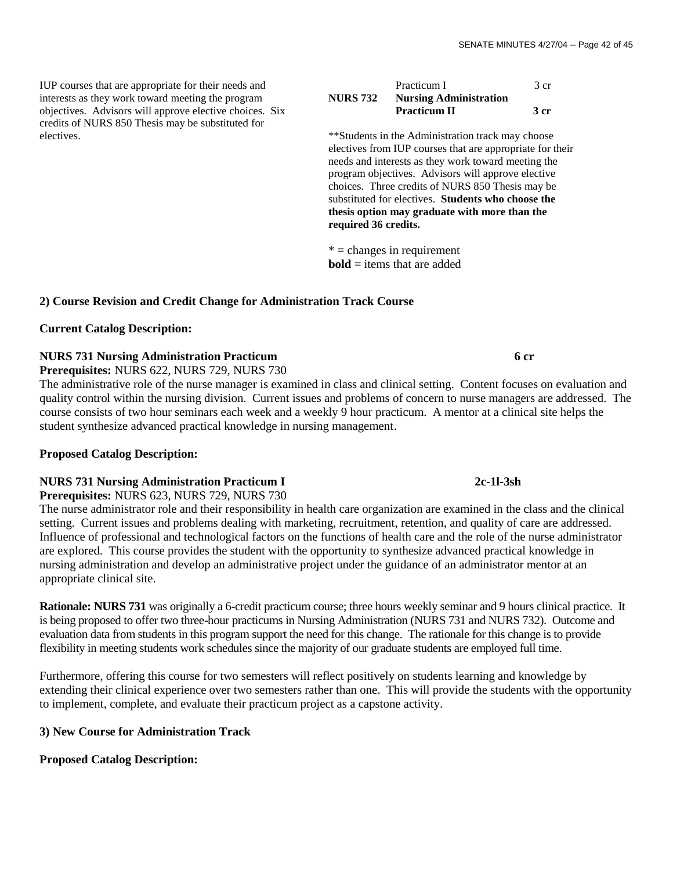IUP courses that are appropriate for their needs and interests as they work toward meeting the program objectives. Advisors will approve elective choices. Six credits of NURS 850 Thesis may be substituted for electives.

|                 | Practicum I                   | 3 cr |
|-----------------|-------------------------------|------|
| <b>NURS 732</b> | <b>Nursing Administration</b> |      |
|                 | <b>Practicum II</b>           | 3 cr |

\*\*Students in the Administration track may choose electives from IUP courses that are appropriate for their needs and interests as they work toward meeting the program objectives. Advisors will approve elective choices. Three credits of NURS 850 Thesis may be substituted for electives. **Students who choose the thesis option may graduate with more than the required 36 credits.**

 $* =$  changes in requirement **bold** = items that are added

## **2) Course Revision and Credit Change for Administration Track Course**

### **Current Catalog Description:**

## **NURS 731 Nursing Administration Practicum 6 cr**

**Prerequisites:** NURS 622, NURS 729, NURS 730

The administrative role of the nurse manager is examined in class and clinical setting. Content focuses on evaluation and quality control within the nursing division. Current issues and problems of concern to nurse managers are addressed. The course consists of two hour seminars each week and a weekly 9 hour practicum. A mentor at a clinical site helps the student synthesize advanced practical knowledge in nursing management.

#### **Proposed Catalog Description:**

#### **NURS 731 Nursing Administration Practicum I 2c-1l-3sh**

**Prerequisites:** NURS 623, NURS 729, NURS 730

The nurse administrator role and their responsibility in health care organization are examined in the class and the clinical setting. Current issues and problems dealing with marketing, recruitment, retention, and quality of care are addressed. Influence of professional and technological factors on the functions of health care and the role of the nurse administrator are explored. This course provides the student with the opportunity to synthesize advanced practical knowledge in nursing administration and develop an administrative project under the guidance of an administrator mentor at an appropriate clinical site.

**Rationale: NURS 731** was originally a 6-credit practicum course; three hours weekly seminar and 9 hours clinical practice. It is being proposed to offer two three-hour practicums in Nursing Administration (NURS 731 and NURS 732). Outcome and evaluation data from students in this program support the need for this change. The rationale for this change is to provide flexibility in meeting students work schedules since the majority of our graduate students are employed full time.

Furthermore, offering this course for two semesters will reflect positively on students learning and knowledge by extending their clinical experience over two semesters rather than one. This will provide the students with the opportunity to implement, complete, and evaluate their practicum project as a capstone activity.

## **3) New Course for Administration Track**

## **Proposed Catalog Description:**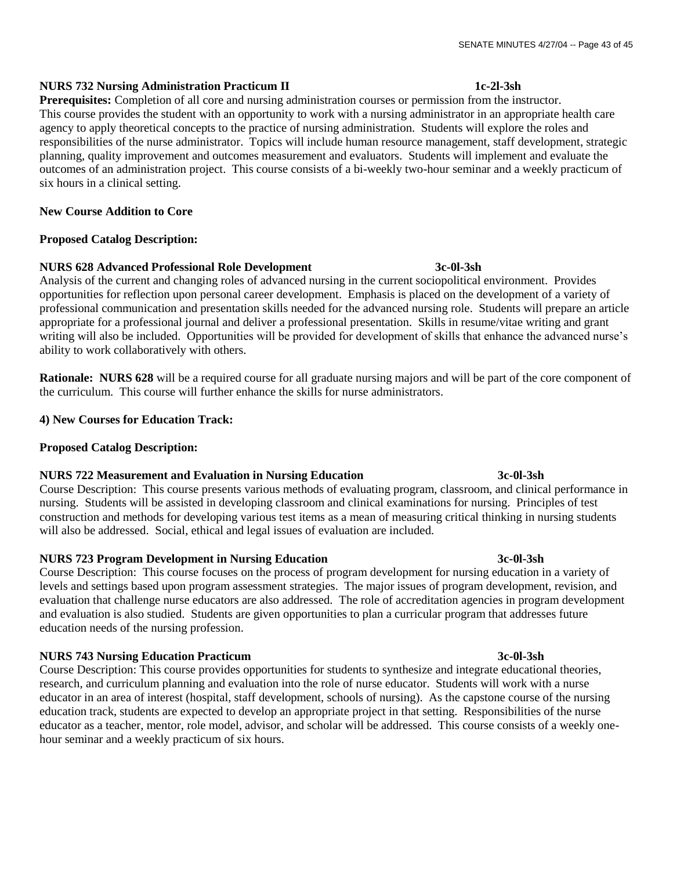## **NURS 732 Nursing Administration Practicum II 1c-2l-3sh**

**Prerequisites:** Completion of all core and nursing administration courses or permission from the instructor. This course provides the student with an opportunity to work with a nursing administrator in an appropriate health care agency to apply theoretical concepts to the practice of nursing administration. Students will explore the roles and responsibilities of the nurse administrator. Topics will include human resource management, staff development, strategic planning, quality improvement and outcomes measurement and evaluators. Students will implement and evaluate the outcomes of an administration project. This course consists of a bi-weekly two-hour seminar and a weekly practicum of six hours in a clinical setting.

### **New Course Addition to Core**

### **Proposed Catalog Description:**

## **NURS 628 Advanced Professional Role Development 3c-0l-3sh**

Analysis of the current and changing roles of advanced nursing in the current sociopolitical environment. Provides opportunities for reflection upon personal career development. Emphasis is placed on the development of a variety of professional communication and presentation skills needed for the advanced nursing role. Students will prepare an article appropriate for a professional journal and deliver a professional presentation. Skills in resume/vitae writing and grant writing will also be included. Opportunities will be provided for development of skills that enhance the advanced nurse's ability to work collaboratively with others.

**Rationale:** NURS 628 will be a required course for all graduate nursing majors and will be part of the core component of the curriculum. This course will further enhance the skills for nurse administrators.

**4) New Courses for Education Track:**

## **Proposed Catalog Description:**

## **NURS 722 Measurement and Evaluation in Nursing Education 3c-0l-3sh**

Course Description: This course presents various methods of evaluating program, classroom, and clinical performance in nursing. Students will be assisted in developing classroom and clinical examinations for nursing. Principles of test construction and methods for developing various test items as a mean of measuring critical thinking in nursing students will also be addressed. Social, ethical and legal issues of evaluation are included.

## **NURS 723 Program Development in Nursing Education 3c-0l-3sh**

Course Description: This course focuses on the process of program development for nursing education in a variety of levels and settings based upon program assessment strategies. The major issues of program development, revision, and evaluation that challenge nurse educators are also addressed. The role of accreditation agencies in program development and evaluation is also studied. Students are given opportunities to plan a curricular program that addresses future education needs of the nursing profession.

## **NURS 743 Nursing Education Practicum 3c-0l-3sh**

Course Description: This course provides opportunities for students to synthesize and integrate educational theories, research, and curriculum planning and evaluation into the role of nurse educator. Students will work with a nurse educator in an area of interest (hospital, staff development, schools of nursing). As the capstone course of the nursing education track, students are expected to develop an appropriate project in that setting. Responsibilities of the nurse educator as a teacher, mentor, role model, advisor, and scholar will be addressed. This course consists of a weekly onehour seminar and a weekly practicum of six hours.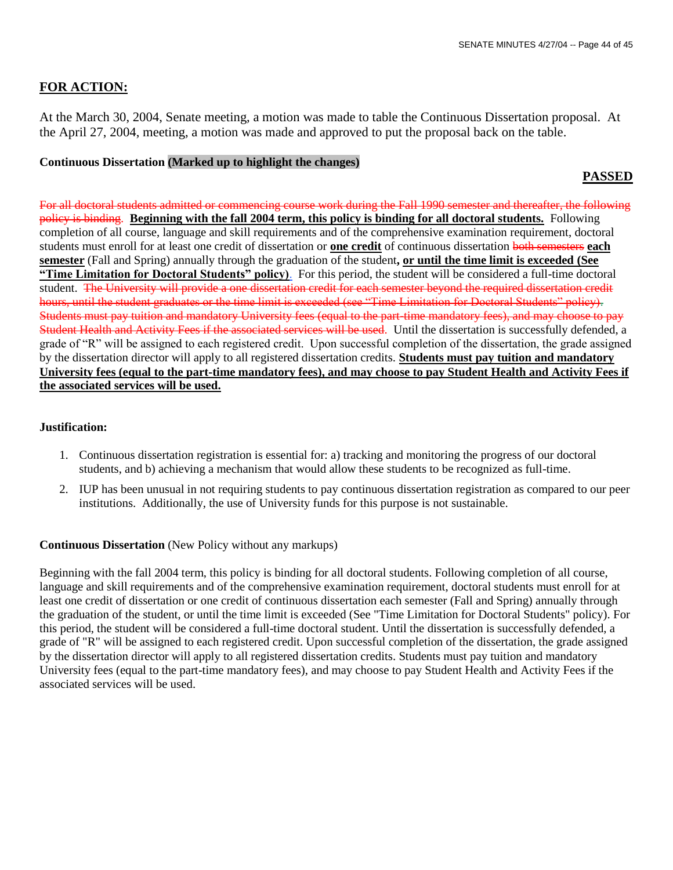## **FOR ACTION:**

At the March 30, 2004, Senate meeting, a motion was made to table the Continuous Dissertation proposal. At the April 27, 2004, meeting, a motion was made and approved to put the proposal back on the table.

## **Continuous Dissertation (Marked up to highlight the changes)**

## **PASSED**

For all doctoral students admitted or commencing course work during the Fall 1990 semester and thereafter, the following policy is binding. **Beginning with the fall 2004 term, this policy is binding for all doctoral students.** Following completion of all course, language and skill requirements and of the comprehensive examination requirement, doctoral students must enroll for at least one credit of dissertation or **one credit** of continuous dissertation both semesters **each semester** (Fall and Spring) annually through the graduation of the student**, or until the time limit is exceeded (See ―Time Limitation for Doctoral Students‖ policy)**. For this period, the student will be considered a full-time doctoral student. The University will provide a one dissertation credit for each semester beyond the required dissertation credit hours, until the student graduates or the time limit is exceeded (see "Time Limitation for Doctoral Students" policy). Students must pay tuition and mandatory University fees (equal to the part-time mandatory fees), and may choose to pay Student Health and Activity Fees if the associated services will be used. Until the dissertation is successfully defended, a grade of "R" will be assigned to each registered credit. Upon successful completion of the dissertation, the grade assigned by the dissertation director will apply to all registered dissertation credits. **Students must pay tuition and mandatory University fees (equal to the part-time mandatory fees), and may choose to pay Student Health and Activity Fees if the associated services will be used.**

### **Justification:**

- 1. Continuous dissertation registration is essential for: a) tracking and monitoring the progress of our doctoral students, and b) achieving a mechanism that would allow these students to be recognized as full-time.
- 2. IUP has been unusual in not requiring students to pay continuous dissertation registration as compared to our peer institutions. Additionally, the use of University funds for this purpose is not sustainable.

## **Continuous Dissertation** (New Policy without any markups)

Beginning with the fall 2004 term, this policy is binding for all doctoral students. Following completion of all course, language and skill requirements and of the comprehensive examination requirement, doctoral students must enroll for at least one credit of dissertation or one credit of continuous dissertation each semester (Fall and Spring) annually through the graduation of the student, or until the time limit is exceeded (See "Time Limitation for Doctoral Students" policy). For this period, the student will be considered a full-time doctoral student. Until the dissertation is successfully defended, a grade of "R" will be assigned to each registered credit. Upon successful completion of the dissertation, the grade assigned by the dissertation director will apply to all registered dissertation credits. Students must pay tuition and mandatory University fees (equal to the part-time mandatory fees), and may choose to pay Student Health and Activity Fees if the associated services will be used.